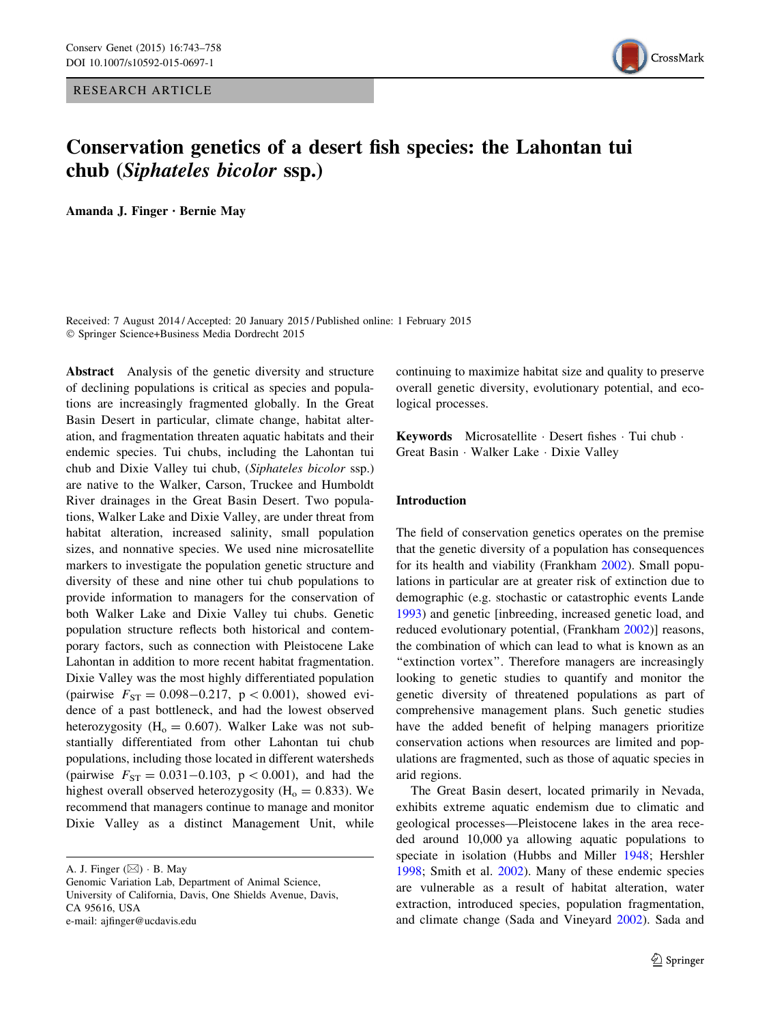RESEARCH ARTICLE



# Conservation genetics of a desert fish species: the Lahontan tui chub (Siphateles bicolor ssp.)

Amanda J. Finger • Bernie May

Received: 7 August 2014 / Accepted: 20 January 2015 / Published online: 1 February 2015 - Springer Science+Business Media Dordrecht 2015

Abstract Analysis of the genetic diversity and structure of declining populations is critical as species and populations are increasingly fragmented globally. In the Great Basin Desert in particular, climate change, habitat alteration, and fragmentation threaten aquatic habitats and their endemic species. Tui chubs, including the Lahontan tui chub and Dixie Valley tui chub, (Siphateles bicolor ssp.) are native to the Walker, Carson, Truckee and Humboldt River drainages in the Great Basin Desert. Two populations, Walker Lake and Dixie Valley, are under threat from habitat alteration, increased salinity, small population sizes, and nonnative species. We used nine microsatellite markers to investigate the population genetic structure and diversity of these and nine other tui chub populations to provide information to managers for the conservation of both Walker Lake and Dixie Valley tui chubs. Genetic population structure reflects both historical and contemporary factors, such as connection with Pleistocene Lake Lahontan in addition to more recent habitat fragmentation. Dixie Valley was the most highly differentiated population (pairwise  $F_{ST} = 0.098 - 0.217$ ,  $p < 0.001$ ), showed evidence of a past bottleneck, and had the lowest observed heterozygosity ( $H<sub>o</sub> = 0.607$ ). Walker Lake was not substantially differentiated from other Lahontan tui chub populations, including those located in different watersheds (pairwise  $F_{ST} = 0.031 - 0.103$ ,  $p < 0.001$ ), and had the highest overall observed heterozygosity ( $H<sub>o</sub> = 0.833$ ). We recommend that managers continue to manage and monitor Dixie Valley as a distinct Management Unit, while continuing to maximize habitat size and quality to preserve overall genetic diversity, evolutionary potential, and ecological processes.

Keywords Microsatellite · Desert fishes · Tui chub · Great Basin - Walker Lake - Dixie Valley

# Introduction

The field of conservation genetics operates on the premise that the genetic diversity of a population has consequences for its health and viability (Frankham [2002\)](#page-14-0). Small populations in particular are at greater risk of extinction due to demographic (e.g. stochastic or catastrophic events Lande [1993](#page-14-0)) and genetic [inbreeding, increased genetic load, and reduced evolutionary potential, (Frankham [2002](#page-14-0))] reasons, the combination of which can lead to what is known as an "extinction vortex". Therefore managers are increasingly looking to genetic studies to quantify and monitor the genetic diversity of threatened populations as part of comprehensive management plans. Such genetic studies have the added benefit of helping managers prioritize conservation actions when resources are limited and populations are fragmented, such as those of aquatic species in arid regions.

The Great Basin desert, located primarily in Nevada, exhibits extreme aquatic endemism due to climatic and geological processes—Pleistocene lakes in the area receded around 10,000 ya allowing aquatic populations to speciate in isolation (Hubbs and Miller [1948;](#page-14-0) Hershler [1998](#page-14-0); Smith et al. [2002\)](#page-15-0). Many of these endemic species are vulnerable as a result of habitat alteration, water extraction, introduced species, population fragmentation, and climate change (Sada and Vineyard [2002\)](#page-15-0). Sada and

A. J. Finger  $(\boxtimes) \cdot$  B. May

Genomic Variation Lab, Department of Animal Science, University of California, Davis, One Shields Avenue, Davis, CA 95616, USA e-mail: ajfinger@ucdavis.edu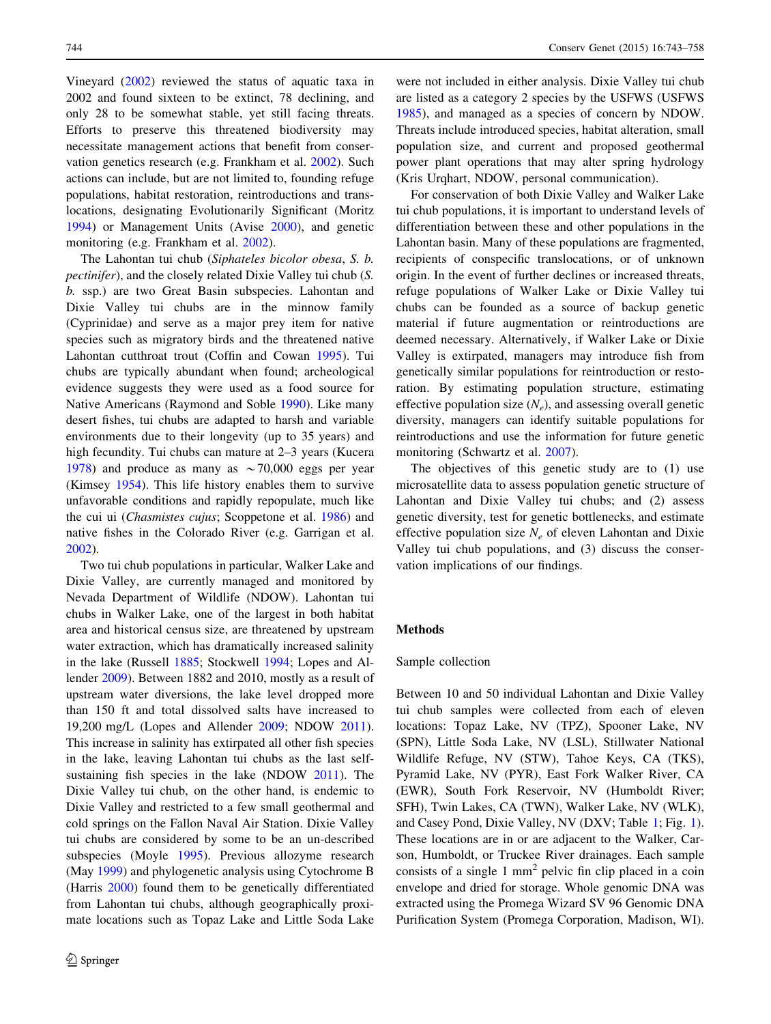Vineyard ([2002\)](#page-15-0) reviewed the status of aquatic taxa in 2002 and found sixteen to be extinct, 78 declining, and only 28 to be somewhat stable, yet still facing threats. Efforts to preserve this threatened biodiversity may necessitate management actions that benefit from conservation genetics research (e.g. Frankham et al. [2002](#page-14-0)). Such actions can include, but are not limited to, founding refuge populations, habitat restoration, reintroductions and translocations, designating Evolutionarily Significant (Moritz [1994\)](#page-14-0) or Management Units (Avise [2000](#page-13-0)), and genetic monitoring (e.g. Frankham et al. [2002](#page-14-0)).

The Lahontan tui chub (Siphateles bicolor obesa, S. b. pectinifer), and the closely related Dixie Valley tui chub (S. b. ssp.) are two Great Basin subspecies. Lahontan and Dixie Valley tui chubs are in the minnow family (Cyprinidae) and serve as a major prey item for native species such as migratory birds and the threatened native Lahontan cutthroat trout (Coffin and Cowan [1995](#page-13-0)). Tui chubs are typically abundant when found; archeological evidence suggests they were used as a food source for Native Americans (Raymond and Soble [1990](#page-15-0)). Like many desert fishes, tui chubs are adapted to harsh and variable environments due to their longevity (up to 35 years) and high fecundity. Tui chubs can mature at 2–3 years (Kucera [1978\)](#page-14-0) and produce as many as  $\sim$  70,000 eggs per year (Kimsey [1954](#page-14-0)). This life history enables them to survive unfavorable conditions and rapidly repopulate, much like the cui ui (Chasmistes cujus; Scoppetone et al. [1986\)](#page-15-0) and native fishes in the Colorado River (e.g. Garrigan et al. [2002\)](#page-14-0).

Two tui chub populations in particular, Walker Lake and Dixie Valley, are currently managed and monitored by Nevada Department of Wildlife (NDOW). Lahontan tui chubs in Walker Lake, one of the largest in both habitat area and historical census size, are threatened by upstream water extraction, which has dramatically increased salinity in the lake (Russell [1885](#page-15-0); Stockwell [1994;](#page-15-0) Lopes and Allender [2009\)](#page-14-0). Between 1882 and 2010, mostly as a result of upstream water diversions, the lake level dropped more than 150 ft and total dissolved salts have increased to 19,200 mg/L (Lopes and Allender [2009;](#page-14-0) NDOW [2011](#page-14-0)). This increase in salinity has extirpated all other fish species in the lake, leaving Lahontan tui chubs as the last selfsustaining fish species in the lake (NDOW [2011](#page-14-0)). The Dixie Valley tui chub, on the other hand, is endemic to Dixie Valley and restricted to a few small geothermal and cold springs on the Fallon Naval Air Station. Dixie Valley tui chubs are considered by some to be an un-described subspecies (Moyle [1995](#page-14-0)). Previous allozyme research (May [1999](#page-14-0)) and phylogenetic analysis using Cytochrome B (Harris [2000](#page-14-0)) found them to be genetically differentiated from Lahontan tui chubs, although geographically proximate locations such as Topaz Lake and Little Soda Lake

were not included in either analysis. Dixie Valley tui chub are listed as a category 2 species by the USFWS (USFWS [1985](#page-15-0)), and managed as a species of concern by NDOW. Threats include introduced species, habitat alteration, small population size, and current and proposed geothermal power plant operations that may alter spring hydrology (Kris Urqhart, NDOW, personal communication).

For conservation of both Dixie Valley and Walker Lake tui chub populations, it is important to understand levels of differentiation between these and other populations in the Lahontan basin. Many of these populations are fragmented, recipients of conspecific translocations, or of unknown origin. In the event of further declines or increased threats, refuge populations of Walker Lake or Dixie Valley tui chubs can be founded as a source of backup genetic material if future augmentation or reintroductions are deemed necessary. Alternatively, if Walker Lake or Dixie Valley is extirpated, managers may introduce fish from genetically similar populations for reintroduction or restoration. By estimating population structure, estimating effective population size  $(N_e)$ , and assessing overall genetic diversity, managers can identify suitable populations for reintroductions and use the information for future genetic monitoring (Schwartz et al. [2007](#page-15-0)).

The objectives of this genetic study are to (1) use microsatellite data to assess population genetic structure of Lahontan and Dixie Valley tui chubs; and (2) assess genetic diversity, test for genetic bottlenecks, and estimate effective population size  $N_e$  of eleven Lahontan and Dixie Valley tui chub populations, and (3) discuss the conservation implications of our findings.

# Methods

# Sample collection

Between 10 and 50 individual Lahontan and Dixie Valley tui chub samples were collected from each of eleven locations: Topaz Lake, NV (TPZ), Spooner Lake, NV (SPN), Little Soda Lake, NV (LSL), Stillwater National Wildlife Refuge, NV (STW), Tahoe Keys, CA (TKS), Pyramid Lake, NV (PYR), East Fork Walker River, CA (EWR), South Fork Reservoir, NV (Humboldt River; SFH), Twin Lakes, CA (TWN), Walker Lake, NV (WLK), and Casey Pond, Dixie Valley, NV (DXV; Table [1](#page-2-0); Fig. [1](#page-2-0)). These locations are in or are adjacent to the Walker, Carson, Humboldt, or Truckee River drainages. Each sample consists of a single  $1 \text{ mm}^2$  pelvic fin clip placed in a coin envelope and dried for storage. Whole genomic DNA was extracted using the Promega Wizard SV 96 Genomic DNA Purification System (Promega Corporation, Madison, WI).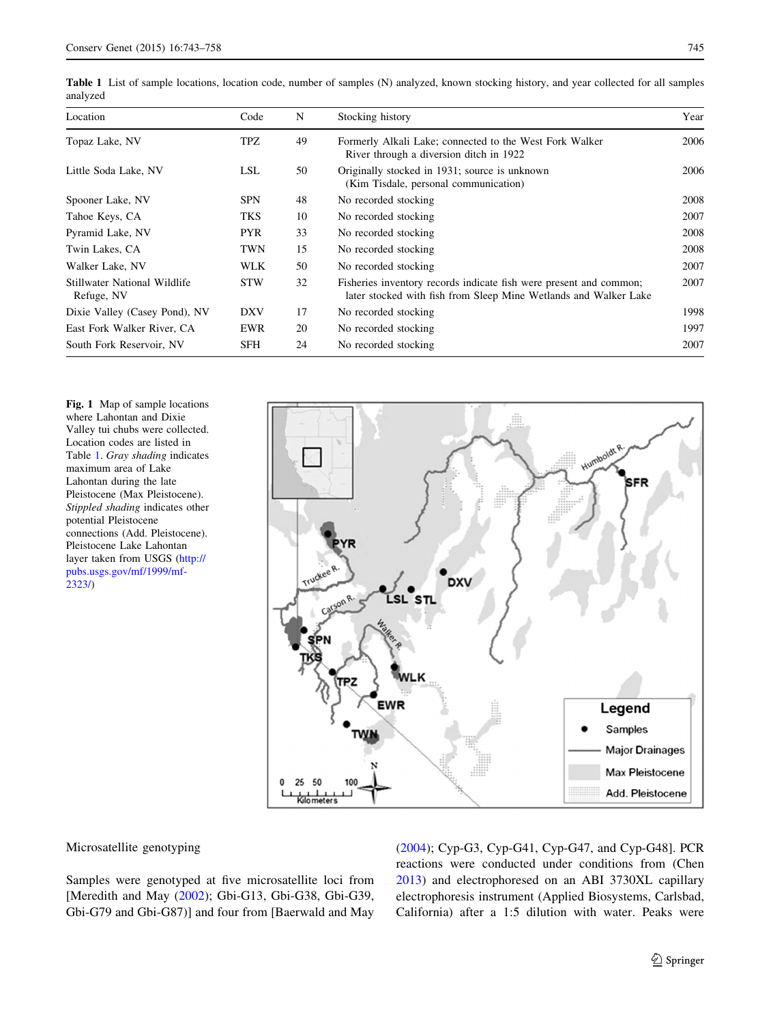| Location                                   | Code       | N  | Stocking history                                                                                                                       | Year |
|--------------------------------------------|------------|----|----------------------------------------------------------------------------------------------------------------------------------------|------|
| Topaz Lake, NV                             | TPZ        | 49 | Formerly Alkali Lake; connected to the West Fork Walker<br>River through a diversion ditch in 1922                                     | 2006 |
| Little Soda Lake, NV                       | LSL        | 50 | Originally stocked in 1931; source is unknown<br>(Kim Tisdale, personal communication)                                                 | 2006 |
| Spooner Lake, NV                           | <b>SPN</b> | 48 | No recorded stocking                                                                                                                   | 2008 |
| Tahoe Keys, CA                             | TKS        | 10 | No recorded stocking                                                                                                                   | 2007 |
| Pyramid Lake, NV                           | <b>PYR</b> | 33 | No recorded stocking                                                                                                                   | 2008 |
| Twin Lakes, CA                             | TWN        | 15 | No recorded stocking                                                                                                                   | 2008 |
| Walker Lake, NV                            | <b>WLK</b> | 50 | No recorded stocking                                                                                                                   | 2007 |
| Stillwater National Wildlife<br>Refuge, NV | <b>STW</b> | 32 | Fisheries inventory records indicate fish were present and common;<br>later stocked with fish from Sleep Mine Wetlands and Walker Lake | 2007 |
| Dixie Valley (Casey Pond), NV              | <b>DXV</b> | 17 | No recorded stocking                                                                                                                   | 1998 |
| East Fork Walker River, CA                 | EWR        | 20 | No recorded stocking                                                                                                                   | 1997 |
| South Fork Reservoir, NV                   | <b>SFH</b> | 24 | No recorded stocking                                                                                                                   | 2007 |

<span id="page-2-0"></span>Table 1 List of sample locations, location code, number of samples (N) analyzed, known stocking history, and year collected for all samples analyzed

Fig. 1 Map of sample locations where Lahontan and Dixie Valley tui chubs were collected. Location codes are listed in Table 1. Gray shading indicates maximum area of Lake Lahontan during the late Pleistocene (Max Pleistocene). Stippled shading indicates other potential Pleistocene connections (Add. Pleistocene). Pleistocene Lake Lahontan layer taken from USGS ([http://](http://pubs.usgs.gov/mf/1999/mf-2323/) [pubs.usgs.gov/mf/1999/mf-](http://pubs.usgs.gov/mf/1999/mf-2323/)[2323/](http://pubs.usgs.gov/mf/1999/mf-2323/))



## Microsatellite genotyping

Samples were genotyped at five microsatellite loci from [Meredith and May [\(2002](#page-14-0)); Gbi-G13, Gbi-G38, Gbi-G39, Gbi-G79 and Gbi-G87)] and four from [Baerwald and May [\(2004](#page-13-0)); Cyp-G3, Cyp-G41, Cyp-G47, and Cyp-G48]. PCR reactions were conducted under conditions from (Chen [2013](#page-13-0)) and electrophoresed on an ABI 3730XL capillary electrophoresis instrument (Applied Biosystems, Carlsbad, California) after a 1:5 dilution with water. Peaks were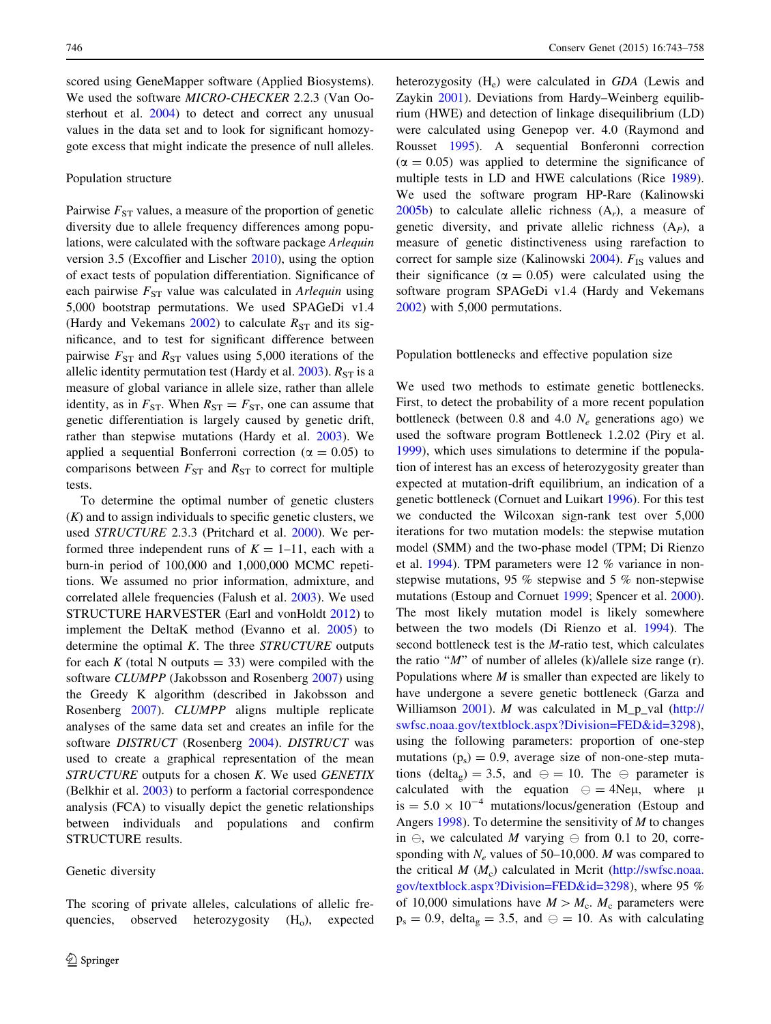scored using GeneMapper software (Applied Biosystems). We used the software MICRO-CHECKER 2.2.3 (Van Oosterhout et al. [2004\)](#page-15-0) to detect and correct any unusual values in the data set and to look for significant homozygote excess that might indicate the presence of null alleles.

## Population structure

Pairwise  $F_{ST}$  values, a measure of the proportion of genetic diversity due to allele frequency differences among populations, were calculated with the software package Arlequin version 3.5 (Excoffier and Lischer [2010](#page-14-0)), using the option of exact tests of population differentiation. Significance of each pairwise  $F_{ST}$  value was calculated in Arlequin using 5,000 bootstrap permutations. We used SPAGeDi v1.4 (Hardy and Vekemans [2002\)](#page-14-0) to calculate  $R_{ST}$  and its significance, and to test for significant difference between pairwise  $F_{ST}$  and  $R_{ST}$  values using 5,000 iterations of the allelic identity permutation test (Hardy et al.  $2003$ ).  $R_{ST}$  is a measure of global variance in allele size, rather than allele identity, as in  $F_{ST}$ . When  $R_{ST} = F_{ST}$ , one can assume that genetic differentiation is largely caused by genetic drift, rather than stepwise mutations (Hardy et al. [2003\)](#page-14-0). We applied a sequential Bonferroni correction ( $\alpha = 0.05$ ) to comparisons between  $F_{ST}$  and  $R_{ST}$  to correct for multiple tests.

To determine the optimal number of genetic clusters  $(K)$  and to assign individuals to specific genetic clusters, we used STRUCTURE 2.3.3 (Pritchard et al. [2000](#page-14-0)). We performed three independent runs of  $K = 1-11$ , each with a burn-in period of 100,000 and 1,000,000 MCMC repetitions. We assumed no prior information, admixture, and correlated allele frequencies (Falush et al. [2003\)](#page-14-0). We used STRUCTURE HARVESTER (Earl and vonHoldt [2012](#page-13-0)) to implement the DeltaK method (Evanno et al. [2005\)](#page-14-0) to determine the optimal  $K$ . The three  $STRUCTURE$  outputs for each K (total N outputs  $=$  33) were compiled with the software CLUMPP (Jakobsson and Rosenberg [2007](#page-14-0)) using the Greedy K algorithm (described in Jakobsson and Rosenberg [2007](#page-14-0)). CLUMPP aligns multiple replicate analyses of the same data set and creates an infile for the software *DISTRUCT* (Rosenberg [2004\)](#page-15-0). *DISTRUCT* was used to create a graphical representation of the mean STRUCTURE outputs for a chosen K. We used GENETIX (Belkhir et al. [2003](#page-13-0)) to perform a factorial correspondence analysis (FCA) to visually depict the genetic relationships between individuals and populations and confirm STRUCTURE results.

## Genetic diversity

The scoring of private alleles, calculations of allelic frequencies, observed heterozygosity  $(H_0)$ , expected heterozygosity  $(H_e)$  were calculated in GDA (Lewis and Zaykin [2001\)](#page-14-0). Deviations from Hardy–Weinberg equilibrium (HWE) and detection of linkage disequilibrium (LD) were calculated using Genepop ver. 4.0 (Raymond and Rousset [1995](#page-14-0)). A sequential Bonferonni correction  $(\alpha = 0.05)$  was applied to determine the significance of multiple tests in LD and HWE calculations (Rice [1989](#page-15-0)). We used the software program HP-Rare (Kalinowski  $2005b$ ) to calculate allelic richness  $(A<sub>r</sub>)$ , a measure of genetic diversity, and private allelic richness  $(A_P)$ , a measure of genetic distinctiveness using rarefaction to correct for sample size (Kalinowski  $2004$ ).  $F_{1S}$  values and their significance ( $\alpha = 0.05$ ) were calculated using the software program SPAGeDi v1.4 (Hardy and Vekemans [2002](#page-14-0)) with 5,000 permutations.

## Population bottlenecks and effective population size

We used two methods to estimate genetic bottlenecks. First, to detect the probability of a more recent population bottleneck (between 0.8 and 4.0  $N_e$  generations ago) we used the software program Bottleneck 1.2.02 (Piry et al. [1999](#page-14-0)), which uses simulations to determine if the population of interest has an excess of heterozygosity greater than expected at mutation-drift equilibrium, an indication of a genetic bottleneck (Cornuet and Luikart [1996\)](#page-13-0). For this test we conducted the Wilcoxan sign-rank test over 5,000 iterations for two mutation models: the stepwise mutation model (SMM) and the two-phase model (TPM; Di Rienzo et al. [1994\)](#page-13-0). TPM parameters were 12 % variance in nonstepwise mutations, 95 % stepwise and 5 % non-stepwise mutations (Estoup and Cornuet [1999;](#page-14-0) Spencer et al. [2000](#page-15-0)). The most likely mutation model is likely somewhere between the two models (Di Rienzo et al. [1994](#page-13-0)). The second bottleneck test is the M-ratio test, which calculates the ratio " $M$ " of number of alleles (k)/allele size range (r). Populations where  $M$  is smaller than expected are likely to have undergone a severe genetic bottleneck (Garza and Williamson  $2001$ ). *M* was calculated in M p val [\(http://](http://swfsc.noaa.gov/textblock.aspx?Division=FED&id=3298) [swfsc.noaa.gov/textblock.aspx?Division=FED&id=3298](http://swfsc.noaa.gov/textblock.aspx?Division=FED&id=3298)), using the following parameters: proportion of one-step mutations  $(p_s) = 0.9$ , average size of non-one-step mutations (delta<sub>g</sub>) = 3.5, and  $\ominus$  = 10. The  $\ominus$  parameter is calculated with the equation  $\Theta = 4N \epsilon \mu$ , where  $\mu$ is  $= 5.0 \times 10^{-4}$  mutations/locus/generation (Estoup and Angers [1998](#page-13-0)). To determine the sensitivity of  $M$  to changes in  $\ominus$ , we calculated M varying  $\ominus$  from 0.1 to 20, corresponding with  $N_e$  values of 50–10,000. M was compared to the critical  $M(M_c)$  calculated in Mcrit ([http://swfsc.noaa.](http://swfsc.noaa.gov/textblock.aspx?Division=FED&id=3298) [gov/textblock.aspx?Division=FED&id=3298\)](http://swfsc.noaa.gov/textblock.aspx?Division=FED&id=3298), where 95 % of 10,000 simulations have  $M > M_c$ . M<sub>c</sub> parameters were  $p_s = 0.9$ , delta<sub>g</sub> = 3.5, and  $\ominus = 10$ . As with calculating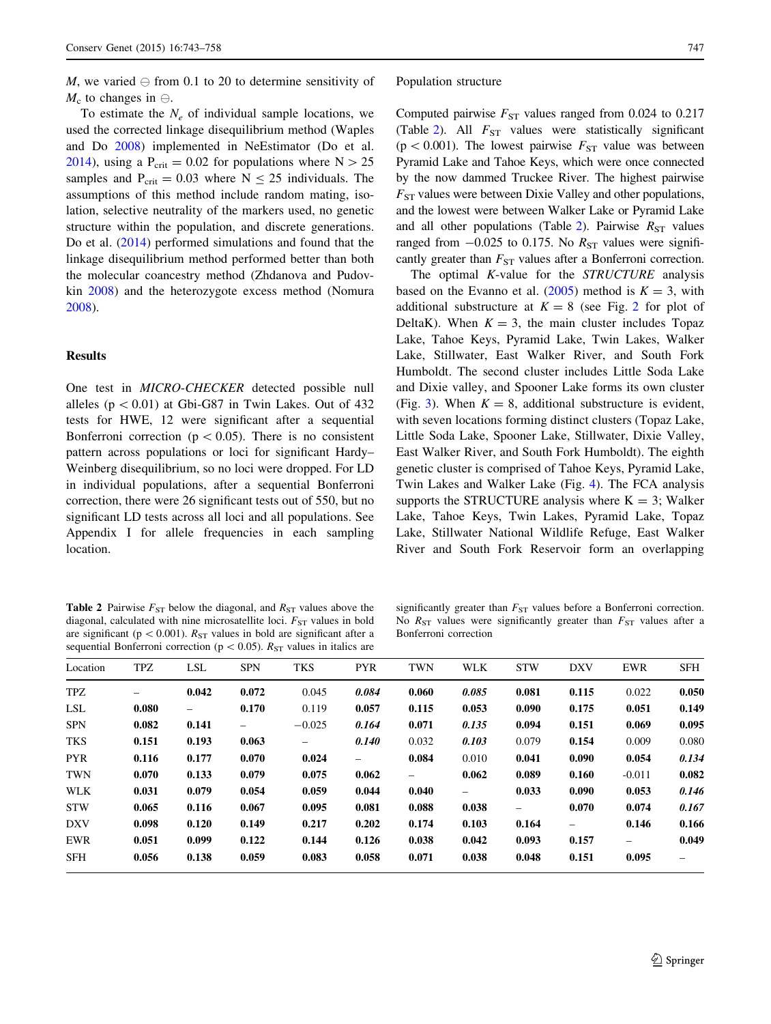M, we varied  $\ominus$  from 0.1 to 20 to determine sensitivity of  $M_c$  to changes in  $\ominus$ .

To estimate the  $N_e$  of individual sample locations, we used the corrected linkage disequilibrium method (Waples and Do [2008\)](#page-15-0) implemented in NeEstimator (Do et al. [2014\)](#page-13-0), using a  $P_{\text{crit}} = 0.02$  for populations where  $N > 25$ samples and  $P_{\text{crit}} = 0.03$  where  $N \le 25$  individuals. The assumptions of this method include random mating, isolation, selective neutrality of the markers used, no genetic structure within the population, and discrete generations. Do et al. [\(2014](#page-13-0)) performed simulations and found that the linkage disequilibrium method performed better than both the molecular coancestry method (Zhdanova and Pudovkin [2008](#page-15-0)) and the heterozygote excess method (Nomura [2008\)](#page-14-0).

# Results

One test in MICRO-CHECKER detected possible null alleles ( $p \lt 0.01$ ) at Gbi-G87 in Twin Lakes. Out of 432 tests for HWE, 12 were significant after a sequential Bonferroni correction ( $p < 0.05$ ). There is no consistent pattern across populations or loci for significant Hardy– Weinberg disequilibrium, so no loci were dropped. For LD in individual populations, after a sequential Bonferroni correction, there were 26 significant tests out of 550, but no significant LD tests across all loci and all populations. See Appendix I for allele frequencies in each sampling location.

#### Population structure

Computed pairwise  $F_{ST}$  values ranged from 0.024 to 0.217 (Table 2). All  $F_{ST}$  values were statistically significant (p < 0.001). The lowest pairwise  $F_{ST}$  value was between Pyramid Lake and Tahoe Keys, which were once connected by the now dammed Truckee River. The highest pairwise  $F_{ST}$  values were between Dixie Valley and other populations, and the lowest were between Walker Lake or Pyramid Lake and all other populations (Table 2). Pairwise  $R_{ST}$  values ranged from  $-0.025$  to 0.175. No  $R_{ST}$  values were significantly greater than  $F_{ST}$  values after a Bonferroni correction.

The optimal K-value for the STRUCTURE analysis based on the Evanno et al.  $(2005)$  $(2005)$  method is  $K = 3$ , with additional substructure at  $K = 8$  (see Fig. [2](#page-5-0) for plot of DeltaK). When  $K = 3$ , the main cluster includes Topaz Lake, Tahoe Keys, Pyramid Lake, Twin Lakes, Walker Lake, Stillwater, East Walker River, and South Fork Humboldt. The second cluster includes Little Soda Lake and Dixie valley, and Spooner Lake forms its own cluster (Fig. [3\)](#page-5-0). When  $K = 8$ , additional substructure is evident, with seven locations forming distinct clusters (Topaz Lake, Little Soda Lake, Spooner Lake, Stillwater, Dixie Valley, East Walker River, and South Fork Humboldt). The eighth genetic cluster is comprised of Tahoe Keys, Pyramid Lake, Twin Lakes and Walker Lake (Fig. [4\)](#page-6-0). The FCA analysis supports the STRUCTURE analysis where  $K = 3$ ; Walker Lake, Tahoe Keys, Twin Lakes, Pyramid Lake, Topaz Lake, Stillwater National Wildlife Refuge, East Walker River and South Fork Reservoir form an overlapping

**Table 2** Pairwise  $F_{ST}$  below the diagonal, and  $R_{ST}$  values above the diagonal, calculated with nine microsatellite loci.  $F_{ST}$  values in bold are significant ( $p < 0.001$ ).  $R_{ST}$  values in bold are significant after a sequential Bonferroni correction ( $p < 0.05$ ).  $R_{ST}$  values in italics are

significantly greater than  $F_{ST}$  values before a Bonferroni correction. No  $R_{ST}$  values were significantly greater than  $F_{ST}$  values after a Bonferroni correction

| Location   | TPZ                      | LSL   | <b>SPN</b> | <b>TKS</b>               | <b>PYR</b>               | <b>TWN</b> | <b>WLK</b> | <b>STW</b>               | <b>DXV</b>               | EWR      | <b>SFH</b>               |
|------------|--------------------------|-------|------------|--------------------------|--------------------------|------------|------------|--------------------------|--------------------------|----------|--------------------------|
| TPZ        | $\overline{\phantom{0}}$ | 0.042 | 0.072      | 0.045                    | 0.084                    | 0.060      | 0.085      | 0.081                    | 0.115                    | 0.022    | 0.050                    |
| <b>LSL</b> | 0.080                    | -     | 0.170      | 0.119                    | 0.057                    | 0.115      | 0.053      | 0.090                    | 0.175                    | 0.051    | 0.149                    |
| <b>SPN</b> | 0.082                    | 0.141 | -          | $-0.025$                 | 0.164                    | 0.071      | 0.135      | 0.094                    | 0.151                    | 0.069    | 0.095                    |
| TKS        | 0.151                    | 0.193 | 0.063      | $\overline{\phantom{0}}$ | 0.140                    | 0.032      | 0.103      | 0.079                    | 0.154                    | 0.009    | 0.080                    |
| <b>PYR</b> | 0.116                    | 0.177 | 0.070      | 0.024                    | $\overline{\phantom{0}}$ | 0.084      | 0.010      | 0.041                    | 0.090                    | 0.054    | 0.134                    |
| <b>TWN</b> | 0.070                    | 0.133 | 0.079      | 0.075                    | 0.062                    | -          | 0.062      | 0.089                    | 0.160                    | $-0.011$ | 0.082                    |
| <b>WLK</b> | 0.031                    | 0.079 | 0.054      | 0.059                    | 0.044                    | 0.040      | $-$        | 0.033                    | 0.090                    | 0.053    | 0.146                    |
| <b>STW</b> | 0.065                    | 0.116 | 0.067      | 0.095                    | 0.081                    | 0.088      | 0.038      | $\overline{\phantom{0}}$ | 0.070                    | 0.074    | 0.167                    |
| <b>DXV</b> | 0.098                    | 0.120 | 0.149      | 0.217                    | 0.202                    | 0.174      | 0.103      | 0.164                    | $\overline{\phantom{0}}$ | 0.146    | 0.166                    |
| <b>EWR</b> | 0.051                    | 0.099 | 0.122      | 0.144                    | 0.126                    | 0.038      | 0.042      | 0.093                    | 0.157                    |          | 0.049                    |
| <b>SFH</b> | 0.056                    | 0.138 | 0.059      | 0.083                    | 0.058                    | 0.071      | 0.038      | 0.048                    | 0.151                    | 0.095    | $\overline{\phantom{0}}$ |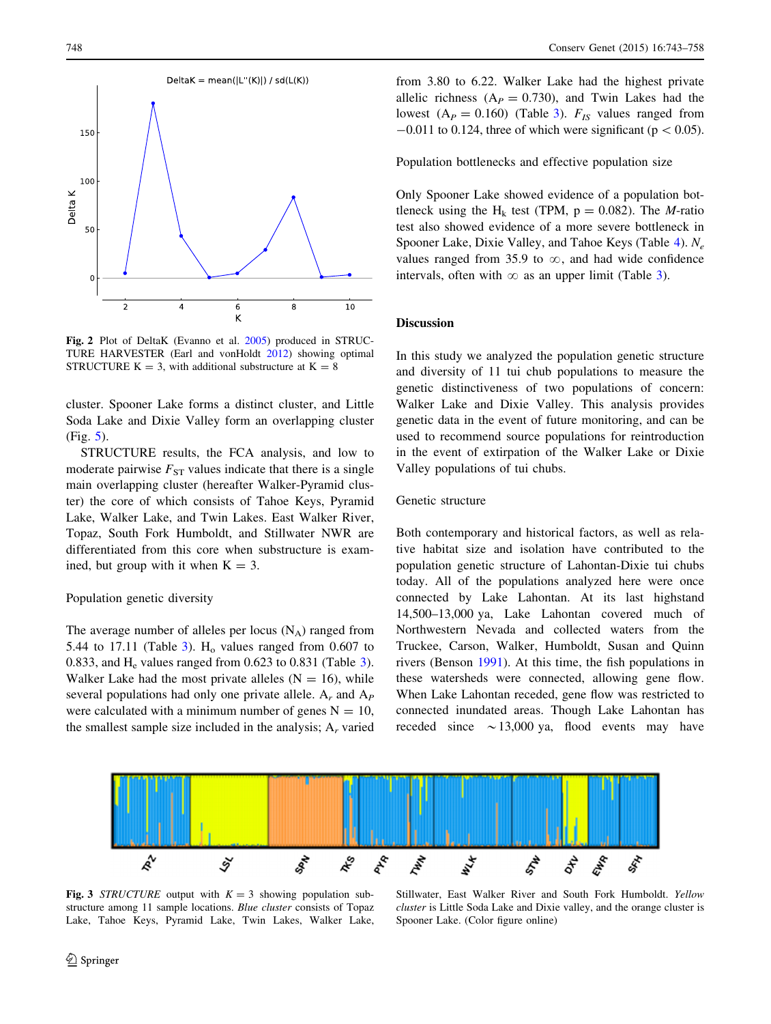<span id="page-5-0"></span>

Fig. 2 Plot of DeltaK (Evanno et al. [2005](#page-14-0)) produced in STRUC-TURE HARVESTER (Earl and vonHoldt [2012\)](#page-13-0) showing optimal STRUCTURE  $K = 3$ , with additional substructure at  $K = 8$ 

cluster. Spooner Lake forms a distinct cluster, and Little Soda Lake and Dixie Valley form an overlapping cluster (Fig. [5](#page-6-0)).

STRUCTURE results, the FCA analysis, and low to moderate pairwise  $F_{ST}$  values indicate that there is a single main overlapping cluster (hereafter Walker-Pyramid cluster) the core of which consists of Tahoe Keys, Pyramid Lake, Walker Lake, and Twin Lakes. East Walker River, Topaz, South Fork Humboldt, and Stillwater NWR are differentiated from this core when substructure is examined, but group with it when  $K = 3$ .

## Population genetic diversity

The average number of alleles per locus  $(N_A)$  ranged from 5.44 to 17.11 (Table [3](#page-6-0)).  $H_0$  values ranged from 0.607 to 0.8[3](#page-6-0)3, and  $H_e$  values ranged from 0.623 to 0.831 (Table 3). Walker Lake had the most private alleles  $(N = 16)$ , while several populations had only one private allele.  $A_r$  and  $A_p$ were calculated with a minimum number of genes  $N = 10$ , the smallest sample size included in the analysis;  $A_r$  varied

from 3.80 to 6.22. Walker Lake had the highest private allelic richness ( $A_P = 0.730$ ), and Twin Lakes had the lowest ( $A_P = 0.160$ ) (Table [3\)](#page-6-0).  $F_{IS}$  values ranged from  $-0.011$  to 0.124, three of which were significant (p  $< 0.05$ ).

Population bottlenecks and effective population size

Only Spooner Lake showed evidence of a population bottleneck using the H<sub>k</sub> test (TPM,  $p = 0.082$ ). The *M*-ratio test also showed evidence of a more severe bottleneck in Spooner Lake, Dixie Valley, and Tahoe Keys (Table [4\)](#page-7-0).  $N_e$ values ranged from 35.9 to  $\infty$ , and had wide confidence intervals, often with  $\infty$  as an upper limit (Table [3](#page-6-0)).

## Discussion

In this study we analyzed the population genetic structure and diversity of 11 tui chub populations to measure the genetic distinctiveness of two populations of concern: Walker Lake and Dixie Valley. This analysis provides genetic data in the event of future monitoring, and can be used to recommend source populations for reintroduction in the event of extirpation of the Walker Lake or Dixie Valley populations of tui chubs.

## Genetic structure

Both contemporary and historical factors, as well as relative habitat size and isolation have contributed to the population genetic structure of Lahontan-Dixie tui chubs today. All of the populations analyzed here were once connected by Lake Lahontan. At its last highstand 14,500–13,000 ya, Lake Lahontan covered much of Northwestern Nevada and collected waters from the Truckee, Carson, Walker, Humboldt, Susan and Quinn rivers (Benson [1991\)](#page-13-0). At this time, the fish populations in these watersheds were connected, allowing gene flow. When Lake Lahontan receded, gene flow was restricted to connected inundated areas. Though Lake Lahontan has receded since  $\sim$  13,000 ya, flood events may have



Fig. 3 STRUCTURE output with  $K = 3$  showing population substructure among 11 sample locations. Blue cluster consists of Topaz Lake, Tahoe Keys, Pyramid Lake, Twin Lakes, Walker Lake,

Stillwater, East Walker River and South Fork Humboldt. Yellow cluster is Little Soda Lake and Dixie valley, and the orange cluster is Spooner Lake. (Color figure online)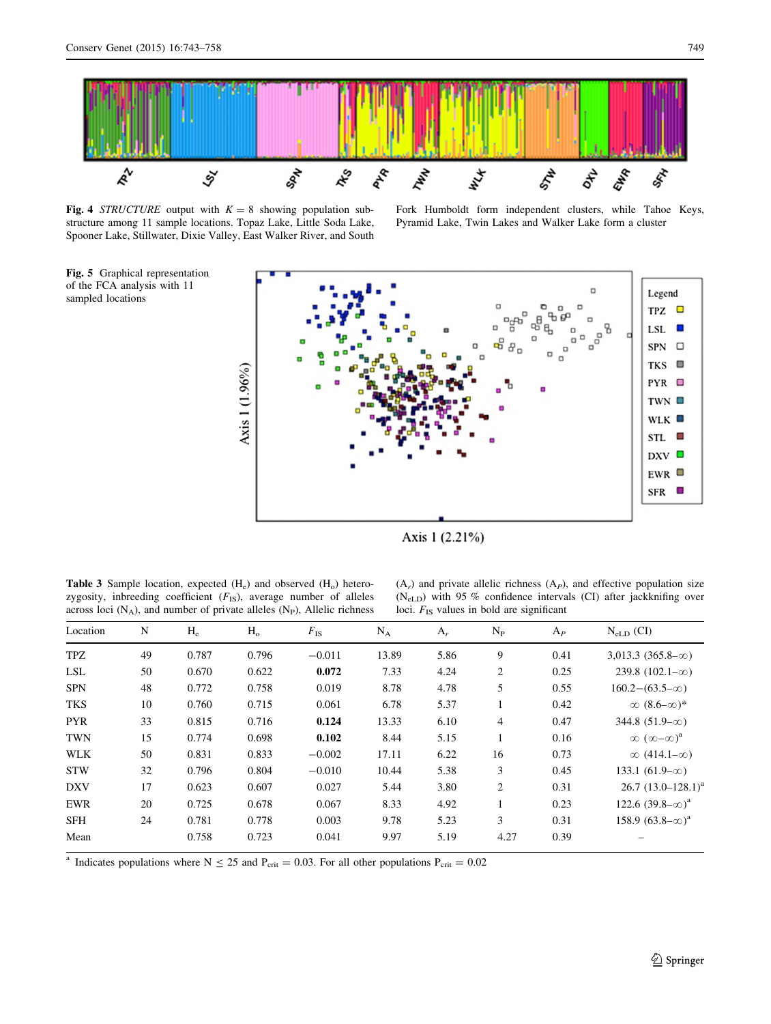sampled locations

<span id="page-6-0"></span>

Fig. 4 STRUCTURE output with  $K = 8$  showing population substructure among 11 sample locations. Topaz Lake, Little Soda Lake, Spooner Lake, Stillwater, Dixie Valley, East Walker River, and South Fork Humboldt form independent clusters, while Tahoe Keys, Pyramid Lake, Twin Lakes and Walker Lake form a cluster



Axis 1 (2.21%)

**Table 3** Sample location, expected  $(H_e)$  and observed  $(H_o)$  heterozygosity, inbreeding coefficient  $(F_{IS})$ , average number of alleles across loci  $(N_A)$ , and number of private alleles  $(N_P)$ , Allelic richness

 $(A_r)$  and private allelic richness  $(A_p)$ , and effective population size (NeLD) with 95 % confidence intervals (CI) after jackknifing over loci.  $F_{IS}$  values in bold are significant

| Location   | N  | $H_e$ | $H_{o}$ | $F_{\rm IS}$ | $N_A$ | $A_r$ | $N_{\rm P}$ | $A_P$ | $N_{eLD}$ (CI)                 |
|------------|----|-------|---------|--------------|-------|-------|-------------|-------|--------------------------------|
| <b>TPZ</b> | 49 | 0.787 | 0.796   | $-0.011$     | 13.89 | 5.86  | 9           | 0.41  | $3,013.3$ $(365.8-\infty)$     |
| <b>LSL</b> | 50 | 0.670 | 0.622   | 0.072        | 7.33  | 4.24  | 2           | 0.25  | 239.8 $(102.1-\infty)$         |
| <b>SPN</b> | 48 | 0.772 | 0.758   | 0.019        | 8.78  | 4.78  | 5           | 0.55  | $160.2 - (63.5 - \infty)$      |
| <b>TKS</b> | 10 | 0.760 | 0.715   | 0.061        | 6.78  | 5.37  |             | 0.42  | $\infty$ (8.6– $\infty$ )*     |
| <b>PYR</b> | 33 | 0.815 | 0.716   | 0.124        | 13.33 | 6.10  | 4           | 0.47  | 344.8 $(51.9-\infty)$          |
| <b>TWN</b> | 15 | 0.774 | 0.698   | 0.102        | 8.44  | 5.15  |             | 0.16  | $\infty$ $(\infty - \infty)^a$ |
| <b>WLK</b> | 50 | 0.831 | 0.833   | $-0.002$     | 17.11 | 6.22  | 16          | 0.73  | $\infty$ (414.1- $\infty$ )    |
| <b>STW</b> | 32 | 0.796 | 0.804   | $-0.010$     | 10.44 | 5.38  | 3           | 0.45  | 133.1 $(61.9-\infty)$          |
| <b>DXV</b> | 17 | 0.623 | 0.607   | 0.027        | 5.44  | 3.80  | 2           | 0.31  | $26.7$ $(13.0 - 128.1)^a$      |
| <b>EWR</b> | 20 | 0.725 | 0.678   | 0.067        | 8.33  | 4.92  |             | 0.23  | 122.6 $(39.8-\infty)^a$        |
| <b>SFH</b> | 24 | 0.781 | 0.778   | 0.003        | 9.78  | 5.23  | 3           | 0.31  | 158.9 $(63.8-\infty)^a$        |
| Mean       |    | 0.758 | 0.723   | 0.041        | 9.97  | 5.19  | 4.27        | 0.39  |                                |

<sup>a</sup> Indicates populations where N  $\leq$  25 and P<sub>crit</sub> = 0.03. For all other populations P<sub>crit</sub> = 0.02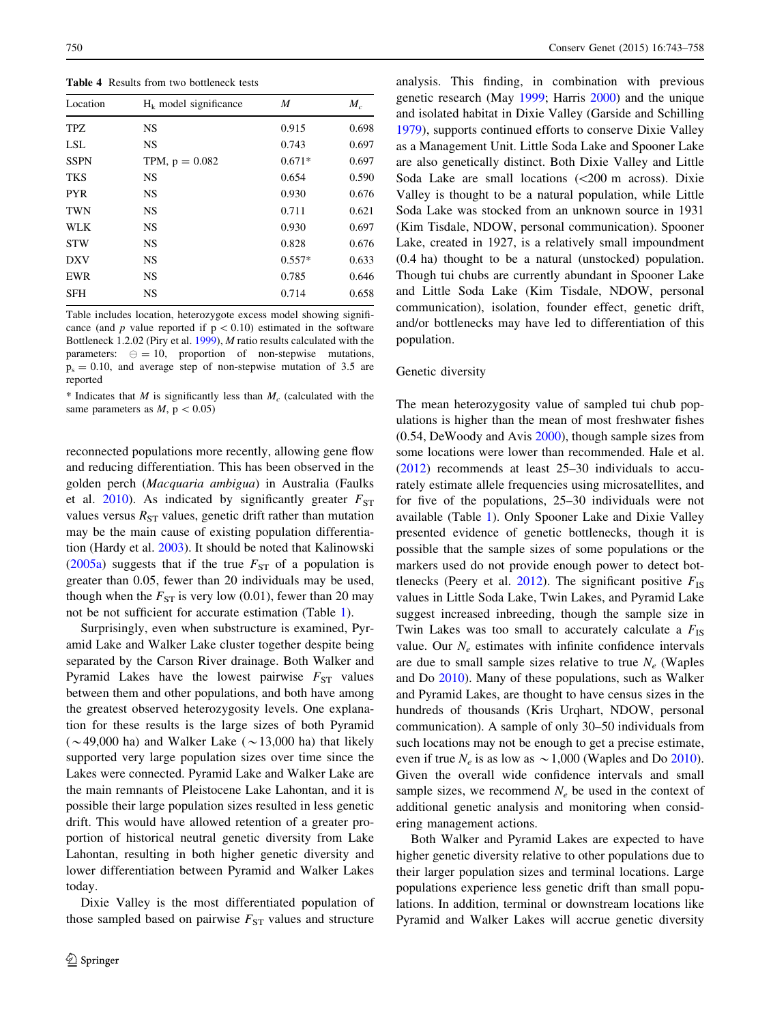<span id="page-7-0"></span>Table 4 Results from two bottleneck tests

| Location    | $H_k$ model significance | M        | $M_c$ |
|-------------|--------------------------|----------|-------|
| TPZ.        | <b>NS</b>                | 0.915    | 0.698 |
| <b>LSL</b>  | <b>NS</b>                | 0.743    | 0.697 |
| <b>SSPN</b> | TPM, $p = 0.082$         | $0.671*$ | 0.697 |
| <b>TKS</b>  | <b>NS</b>                | 0.654    | 0.590 |
| <b>PYR</b>  | <b>NS</b>                | 0.930    | 0.676 |
| <b>TWN</b>  | <b>NS</b>                | 0.711    | 0.621 |
| WLK         | <b>NS</b>                | 0.930    | 0.697 |
| <b>STW</b>  | <b>NS</b>                | 0.828    | 0.676 |
| <b>DXV</b>  | <b>NS</b>                | $0.557*$ | 0.633 |
| EWR         | <b>NS</b>                | 0.785    | 0.646 |
| <b>SFH</b>  | <b>NS</b>                | 0.714    | 0.658 |

Table includes location, heterozygote excess model showing significance (and p value reported if  $p < 0.10$ ) estimated in the software Bottleneck 1.2.02 (Piry et al. [1999](#page-14-0)), M ratio results calculated with the parameters:  $\Theta = 10$ , proportion of non-stepwise mutations,  $p_s = 0.10$ , and average step of non-stepwise mutation of 3.5 are reported

\* Indicates that M is significantly less than  $M_c$  (calculated with the same parameters as  $M$ ,  $p < 0.05$ )

reconnected populations more recently, allowing gene flow and reducing differentiation. This has been observed in the golden perch (Macquaria ambigua) in Australia (Faulks et al. [2010](#page-14-0)). As indicated by significantly greater  $F_{ST}$ values versus  $R_{ST}$  values, genetic drift rather than mutation may be the main cause of existing population differentiation (Hardy et al. [2003](#page-14-0)). It should be noted that Kalinowski [\(2005a\)](#page-14-0) suggests that if the true  $F_{ST}$  of a population is greater than 0.05, fewer than 20 individuals may be used, though when the  $F_{ST}$  is very low (0.01), fewer than 20 may not be not sufficient for accurate estimation (Table [1\)](#page-2-0).

Surprisingly, even when substructure is examined, Pyramid Lake and Walker Lake cluster together despite being separated by the Carson River drainage. Both Walker and Pyramid Lakes have the lowest pairwise  $F_{ST}$  values between them and other populations, and both have among the greatest observed heterozygosity levels. One explanation for these results is the large sizes of both Pyramid ( $\sim$ 49,000 ha) and Walker Lake ( $\sim$ 13,000 ha) that likely supported very large population sizes over time since the Lakes were connected. Pyramid Lake and Walker Lake are the main remnants of Pleistocene Lake Lahontan, and it is possible their large population sizes resulted in less genetic drift. This would have allowed retention of a greater proportion of historical neutral genetic diversity from Lake Lahontan, resulting in both higher genetic diversity and lower differentiation between Pyramid and Walker Lakes today.

Dixie Valley is the most differentiated population of those sampled based on pairwise  $F_{ST}$  values and structure analysis. This finding, in combination with previous genetic research (May [1999](#page-14-0); Harris [2000](#page-14-0)) and the unique and isolated habitat in Dixie Valley (Garside and Schilling [1979](#page-14-0)), supports continued efforts to conserve Dixie Valley as a Management Unit. Little Soda Lake and Spooner Lake are also genetically distinct. Both Dixie Valley and Little Soda Lake are small locations  $( $200 \text{ m}$  across). Dixie$ Valley is thought to be a natural population, while Little Soda Lake was stocked from an unknown source in 1931 (Kim Tisdale, NDOW, personal communication). Spooner Lake, created in 1927, is a relatively small impoundment (0.4 ha) thought to be a natural (unstocked) population. Though tui chubs are currently abundant in Spooner Lake and Little Soda Lake (Kim Tisdale, NDOW, personal communication), isolation, founder effect, genetic drift, and/or bottlenecks may have led to differentiation of this population.

## Genetic diversity

The mean heterozygosity value of sampled tui chub populations is higher than the mean of most freshwater fishes (0.54, DeWoody and Avis [2000\)](#page-13-0), though sample sizes from some locations were lower than recommended. Hale et al. [\(2012](#page-14-0)) recommends at least 25–30 individuals to accurately estimate allele frequencies using microsatellites, and for five of the populations, 25–30 individuals were not available (Table [1](#page-2-0)). Only Spooner Lake and Dixie Valley presented evidence of genetic bottlenecks, though it is possible that the sample sizes of some populations or the markers used do not provide enough power to detect bot-tlenecks (Peery et al. [2012](#page-14-0)). The significant positive  $F_{IS}$ values in Little Soda Lake, Twin Lakes, and Pyramid Lake suggest increased inbreeding, though the sample size in Twin Lakes was too small to accurately calculate a  $F_{\text{IS}}$ value. Our  $N_e$  estimates with infinite confidence intervals are due to small sample sizes relative to true  $N_e$  (Waples and Do [2010\)](#page-15-0). Many of these populations, such as Walker and Pyramid Lakes, are thought to have census sizes in the hundreds of thousands (Kris Urqhart, NDOW, personal communication). A sample of only 30–50 individuals from such locations may not be enough to get a precise estimate, even if true  $N_e$  is as low as  $\sim 1,000$  (Waples and Do [2010](#page-15-0)). Given the overall wide confidence intervals and small sample sizes, we recommend  $N_e$  be used in the context of additional genetic analysis and monitoring when considering management actions.

Both Walker and Pyramid Lakes are expected to have higher genetic diversity relative to other populations due to their larger population sizes and terminal locations. Large populations experience less genetic drift than small populations. In addition, terminal or downstream locations like Pyramid and Walker Lakes will accrue genetic diversity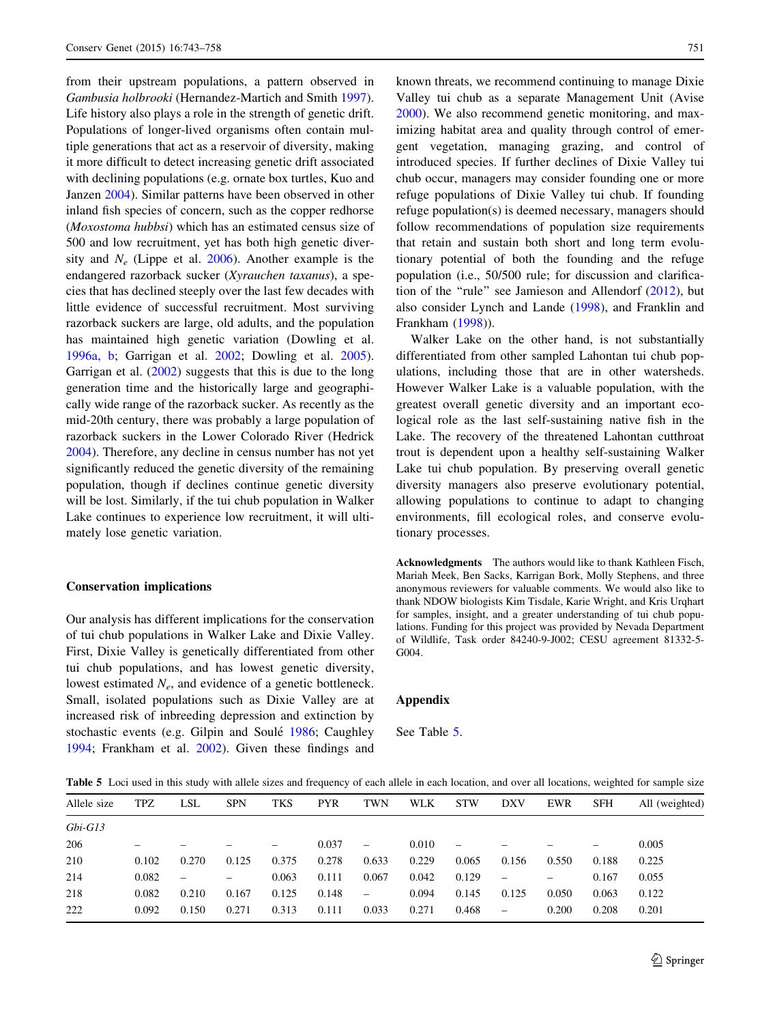from their upstream populations, a pattern observed in Gambusia holbrooki (Hernandez-Martich and Smith [1997](#page-14-0)). Life history also plays a role in the strength of genetic drift. Populations of longer-lived organisms often contain multiple generations that act as a reservoir of diversity, making it more difficult to detect increasing genetic drift associated with declining populations (e.g. ornate box turtles, Kuo and Janzen [2004\)](#page-14-0). Similar patterns have been observed in other inland fish species of concern, such as the copper redhorse (Moxostoma hubbsi) which has an estimated census size of 500 and low recruitment, yet has both high genetic diversity and  $N_e$  (Lippe et al. [2006](#page-14-0)). Another example is the endangered razorback sucker (Xyrauchen taxanus), a species that has declined steeply over the last few decades with little evidence of successful recruitment. Most surviving razorback suckers are large, old adults, and the population has maintained high genetic variation (Dowling et al. [1996a](#page-13-0), [b](#page-13-0); Garrigan et al. [2002](#page-14-0); Dowling et al. [2005](#page-13-0)). Garrigan et al. ([2002\)](#page-14-0) suggests that this is due to the long generation time and the historically large and geographically wide range of the razorback sucker. As recently as the mid-20th century, there was probably a large population of razorback suckers in the Lower Colorado River (Hedrick [2004\)](#page-14-0). Therefore, any decline in census number has not yet significantly reduced the genetic diversity of the remaining population, though if declines continue genetic diversity will be lost. Similarly, if the tui chub population in Walker Lake continues to experience low recruitment, it will ultimately lose genetic variation.

## Conservation implications

Our analysis has different implications for the conservation of tui chub populations in Walker Lake and Dixie Valley. First, Dixie Valley is genetically differentiated from other tui chub populations, and has lowest genetic diversity, lowest estimated  $N_e$ , and evidence of a genetic bottleneck. Small, isolated populations such as Dixie Valley are at increased risk of inbreeding depression and extinction by stochastic events (e.g. Gilpin and Soulé [1986](#page-14-0); Caughley [1994;](#page-13-0) Frankham et al. [2002\)](#page-14-0). Given these findings and known threats, we recommend continuing to manage Dixie Valley tui chub as a separate Management Unit (Avise [2000](#page-13-0)). We also recommend genetic monitoring, and maximizing habitat area and quality through control of emergent vegetation, managing grazing, and control of introduced species. If further declines of Dixie Valley tui chub occur, managers may consider founding one or more refuge populations of Dixie Valley tui chub. If founding refuge population(s) is deemed necessary, managers should follow recommendations of population size requirements that retain and sustain both short and long term evolutionary potential of both the founding and the refuge population (i.e., 50/500 rule; for discussion and clarifica-tion of the "rule" see Jamieson and Allendorf [\(2012](#page-14-0)), but also consider Lynch and Lande ([1998\)](#page-14-0), and Franklin and Frankham [\(1998](#page-14-0))).

Walker Lake on the other hand, is not substantially differentiated from other sampled Lahontan tui chub populations, including those that are in other watersheds. However Walker Lake is a valuable population, with the greatest overall genetic diversity and an important ecological role as the last self-sustaining native fish in the Lake. The recovery of the threatened Lahontan cutthroat trout is dependent upon a healthy self-sustaining Walker Lake tui chub population. By preserving overall genetic diversity managers also preserve evolutionary potential, allowing populations to continue to adapt to changing environments, fill ecological roles, and conserve evolutionary processes.

Acknowledgments The authors would like to thank Kathleen Fisch, Mariah Meek, Ben Sacks, Karrigan Bork, Molly Stephens, and three anonymous reviewers for valuable comments. We would also like to thank NDOW biologists Kim Tisdale, Karie Wright, and Kris Urqhart for samples, insight, and a greater understanding of tui chub populations. Funding for this project was provided by Nevada Department of Wildlife, Task order 84240-9-J002; CESU agreement 81332-5- G<sub>0</sub>04.

## Appendix

See Table 5.

Table 5 Loci used in this study with allele sizes and frequency of each allele in each location, and over all locations, weighted for sample size

| Allele size | TPZ   | LSL   | <b>SPN</b> | <b>TKS</b> | <b>PYR</b> | <b>TWN</b>               | <b>WLK</b> | <b>STW</b>               | <b>DXV</b>               | EWR   | <b>SFH</b> | All (weighted) |
|-------------|-------|-------|------------|------------|------------|--------------------------|------------|--------------------------|--------------------------|-------|------------|----------------|
| $Gbi-G13$   |       |       |            |            |            |                          |            |                          |                          |       |            |                |
| 206         | -     |       |            | -          | 0.037      | $\overline{\phantom{0}}$ | 0.010      | $\overline{\phantom{0}}$ |                          |       |            | 0.005          |
| 210         | 0.102 | 0.270 | 0.125      | 0.375      | 0.278      | 0.633                    | 0.229      | 0.065                    | 0.156                    | 0.550 | 0.188      | 0.225          |
| 214         | 0.082 |       |            | 0.063      | 0.111      | 0.067                    | 0.042      | 0.129                    | -                        | -     | 0.167      | 0.055          |
| 218         | 0.082 | 0.210 | 0.167      | 0.125      | 0.148      | $\overline{\phantom{m}}$ | 0.094      | 0.145                    | 0.125                    | 0.050 | 0.063      | 0.122          |
| 222         | 0.092 | 0.150 | 0.271      | 0.313      | 0.111      | 0.033                    | 0.271      | 0.468                    | $\overline{\phantom{0}}$ | 0.200 | 0.208      | 0.201          |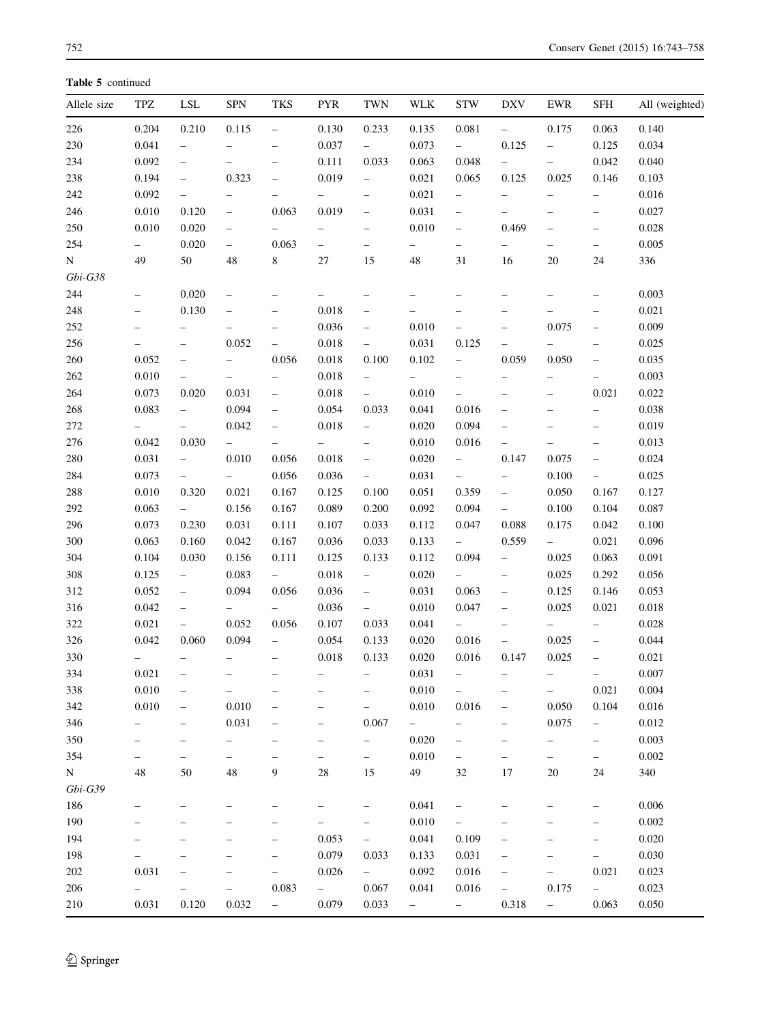Table 5 continued

| Allele size | TPZ                      | LSL                               | <b>SPN</b>                        | TKS                      | <b>PYR</b>               | TWN                      | WLK                      | <b>STW</b>               | DXV                      | EWR                      | SFH                      | All (weighted) |
|-------------|--------------------------|-----------------------------------|-----------------------------------|--------------------------|--------------------------|--------------------------|--------------------------|--------------------------|--------------------------|--------------------------|--------------------------|----------------|
| 226         | 0.204                    | 0.210                             | 0.115                             | $\equiv$                 | 0.130                    | 0.233                    | 0.135                    | 0.081                    | $\equiv$                 | 0.175                    | 0.063                    | 0.140          |
| 230         | 0.041                    | $\qquad \qquad -$                 |                                   | $\qquad \qquad -$        | 0.037                    | $ \,$                    | 0.073                    | $\sim$                   | 0.125                    | $\overline{\phantom{0}}$ | 0.125                    | 0.034          |
| 234         | 0.092                    | $\qquad \qquad -$                 | $\overline{\phantom{0}}$          | $\qquad \qquad -$        | 0.111                    | 0.033                    | 0.063                    | 0.048                    | $\overline{\phantom{0}}$ | $\overline{\phantom{0}}$ | 0.042                    | 0.040          |
| 238         | 0.194                    | $\hspace{0.1in} - \hspace{0.1in}$ | 0.323                             | $\qquad \qquad -$        | 0.019                    | $\overline{\phantom{a}}$ | 0.021                    | 0.065                    | 0.125                    | 0.025                    | 0.146                    | 0.103          |
| 242         | 0.092                    | $\overline{\phantom{0}}$          | $\qquad \qquad -$                 | $\qquad \qquad -$        | $\equiv$                 | $\overline{\phantom{0}}$ | 0.021                    | $\overline{\phantom{0}}$ | $\overline{\phantom{0}}$ | $\overline{\phantom{0}}$ | $\overline{\phantom{0}}$ | 0.016          |
| 246         | 0.010                    | 0.120                             | $\overline{\phantom{0}}$          | 0.063                    | 0.019                    | $\overline{\phantom{a}}$ | 0.031                    | $\overline{\phantom{a}}$ | $\overline{\phantom{a}}$ | $\overline{\phantom{0}}$ | $\overline{\phantom{a}}$ | 0.027          |
| 250         | 0.010                    | 0.020                             | $\qquad \qquad -$                 |                          | $\overline{\phantom{0}}$ | $\overline{\phantom{0}}$ | 0.010                    | $\overline{\phantom{0}}$ | 0.469                    | $\qquad \qquad -$        | $\qquad \qquad -$        | 0.028          |
| 254         |                          | 0.020                             | $\overline{\phantom{a}}$          | 0.063                    | $\overline{\phantom{0}}$ | $\overline{\phantom{0}}$ | $\overline{\phantom{0}}$ | $\qquad \qquad -$        | $\qquad \qquad -$        | $\qquad \qquad -$        | $\qquad \qquad -$        | 0.005          |
| $\mathbf N$ | 49                       | 50                                | 48                                | $8\,$                    | $27\,$                   | 15                       | 48                       | 31                       | 16                       | 20                       | 24                       | 336            |
| $Gbi-G38$   |                          |                                   |                                   |                          |                          |                          |                          |                          |                          |                          |                          |                |
| 244         | $\overline{\phantom{a}}$ | 0.020                             | $\qquad \qquad -$                 | $\overline{\phantom{m}}$ |                          | $\qquad \qquad -$        |                          | $\qquad \qquad -$        | $\overline{\phantom{0}}$ |                          | $\qquad \qquad -$        | 0.003          |
| 248         | $\overline{\phantom{0}}$ | 0.130                             | $\hspace{0.1in} - \hspace{0.1in}$ | $\overline{\phantom{m}}$ | 0.018                    | $\qquad \qquad -$        | $\overline{\phantom{0}}$ | $\qquad \qquad -$        | $\qquad \qquad -$        | $\overline{\phantom{0}}$ | $\qquad \qquad -$        | 0.021          |
| 252         | $\qquad \qquad -$        | $\overline{\phantom{0}}$          | $\overline{\phantom{0}}$          | $\overline{\phantom{m}}$ | 0.036                    | $\overline{\phantom{0}}$ | 0.010                    | $\qquad \qquad -$        | $\qquad \qquad -$        | 0.075                    | $\overline{\phantom{0}}$ | 0.009          |
| 256         | $\qquad \qquad -$        | $\overline{\phantom{0}}$          | 0.052                             | $\overline{\phantom{a}}$ | 0.018                    | $\overline{\phantom{a}}$ | 0.031                    | 0.125                    | $\qquad \qquad -$        | $\overline{\phantom{0}}$ | $\overline{\phantom{a}}$ | 0.025          |
| 260         | 0.052                    | $\overline{\phantom{0}}$          | $\overline{\phantom{0}}$          | 0.056                    | 0.018                    | 0.100                    | 0.102                    | $-$                      | 0.059                    | 0.050                    | $\qquad \qquad -$        | 0.035          |
| 262         | 0.010                    | $\overline{\phantom{0}}$          | $\overline{\phantom{0}}$          | $\overline{\phantom{a}}$ | 0.018                    | $\overline{\phantom{0}}$ | $-$                      | $\qquad \qquad -$        | $\overline{\phantom{a}}$ | $\qquad \qquad -$        | $\overline{\phantom{0}}$ | 0.003          |
| 264         | 0.073                    | 0.020                             | 0.031                             | $\overline{\phantom{0}}$ | 0.018                    | $\overline{\phantom{0}}$ | 0.010                    | $\overline{\phantom{a}}$ | $\overline{\phantom{m}}$ | $\overline{\phantom{0}}$ | 0.021                    | 0.022          |
| 268         | 0.083                    | $\overline{\phantom{0}}$          | 0.094                             | $\overline{\phantom{0}}$ | 0.054                    | 0.033                    | 0.041                    | 0.016                    | $\qquad \qquad -$        | $\overline{\phantom{0}}$ | $\overline{\phantom{0}}$ | 0.038          |
| $272\,$     | $\overline{\phantom{0}}$ | $\overline{\phantom{0}}$          | 0.042                             | $\overline{\phantom{m}}$ | 0.018                    | $\overline{\phantom{0}}$ | 0.020                    | 0.094                    | $\overline{\phantom{0}}$ |                          | $\qquad \qquad -$        | 0.019          |
| 276         | 0.042                    | 0.030                             | $\overline{\phantom{0}}$          | $\overline{\phantom{a}}$ | $\overline{\phantom{0}}$ | $\overline{\phantom{a}}$ | 0.010                    | 0.016                    | $\qquad \qquad -$        | $\qquad \qquad -$        | $\qquad \qquad -$        | 0.013          |
| 280         | 0.031                    | $\overline{\phantom{0}}$          | 0.010                             | 0.056                    | 0.018                    | $\overline{\phantom{0}}$ | 0.020                    | $\overline{\phantom{0}}$ | 0.147                    | 0.075                    | $\qquad \qquad -$        | 0.024          |
| 284         | 0.073                    | $\overline{\phantom{0}}$          | $\sim$                            | 0.056                    | 0.036                    | $\overline{\phantom{0}}$ | 0.031                    | $-$                      | $\overline{\phantom{a}}$ | 0.100                    | $-$                      | 0.025          |
| 288         | 0.010                    | 0.320                             | 0.021                             | 0.167                    | 0.125                    | 0.100                    | 0.051                    | 0.359                    | $\overline{\phantom{a}}$ | 0.050                    | 0.167                    | 0.127          |
| 292         | 0.063                    | $\sim$                            | 0.156                             | 0.167                    | 0.089                    | 0.200                    | 0.092                    | 0.094                    | $\overline{\phantom{a}}$ | 0.100                    | 0.104                    | 0.087          |
| 296         | 0.073                    | 0.230                             | 0.031                             | 0.111                    | 0.107                    | 0.033                    | 0.112                    | 0.047                    | 0.088                    | 0.175                    | 0.042                    | 0.100          |
| 300         | 0.063                    | 0.160                             | 0.042                             | 0.167                    | 0.036                    | 0.033                    | 0.133                    | $\overline{\phantom{a}}$ | 0.559                    | $\sim$ $-$               | 0.021                    | 0.096          |
| 304         | 0.104                    | 0.030                             | 0.156                             | 0.111                    | 0.125                    | 0.133                    | 0.112                    | 0.094                    | $\equiv$                 | 0.025                    | 0.063                    | 0.091          |
| 308         | 0.125                    | $\overline{\phantom{0}}$          | 0.083                             | $\overline{\phantom{a}}$ | 0.018                    | $\overline{\phantom{0}}$ | 0.020                    | $ \,$                    | $\overline{\phantom{a}}$ | 0.025                    | 0.292                    | 0.056          |
| 312         | 0.052                    | $\qquad \qquad -$                 | 0.094                             | 0.056                    | 0.036                    | $\overline{\phantom{0}}$ | 0.031                    | 0.063                    | $\overline{\phantom{0}}$ | 0.125                    | 0.146                    | 0.053          |
| 316         | 0.042                    | $\overline{\phantom{0}}$          | $-$                               | $\overline{\phantom{a}}$ | 0.036                    | $\overline{\phantom{0}}$ | 0.010                    | 0.047                    | $\overline{\phantom{0}}$ | 0.025                    | 0.021                    | 0.018          |
| 322         | 0.021                    | $\overline{\phantom{0}}$          | 0.052                             | 0.056                    | 0.107                    | 0.033                    | 0.041                    | $\sim$                   | $\overline{\phantom{a}}$ | $\equiv$                 | $-$                      | 0.028          |
| 326         | 0.042                    | 0.060                             | 0.094                             | $\overline{\phantom{a}}$ | 0.054                    | 0.133                    | 0.020                    | 0.016                    | $\overline{\phantom{0}}$ | 0.025                    | $\overline{\phantom{0}}$ | 0.044          |
| 330         | $\overline{\phantom{0}}$ | $\overline{\phantom{0}}$          | $\qquad \qquad -$                 |                          | 0.018                    | 0.133                    | 0.020                    | 0.016                    | 0.147                    | 0.025                    | $\qquad \qquad -$        | 0.021          |
| 334         | 0.021                    |                                   |                                   | $\overline{\phantom{0}}$ |                          |                          | $0.031\,$                |                          |                          |                          |                          | 0.007          |
|             |                          | $\overline{\phantom{0}}$          |                                   |                          |                          |                          |                          |                          |                          |                          | -                        |                |
| 338         | 0.010                    | $\overline{\phantom{0}}$          | $\qquad \qquad -$                 | $\overline{\phantom{0}}$ |                          | $\qquad \qquad -$        | 0.010                    |                          | $\overline{\phantom{0}}$ | $\qquad \qquad -$        | 0.021                    | 0.004          |
| 342         | 0.010                    | $\qquad \qquad -$                 | 0.010                             | $\qquad \qquad -$        | $\overline{\phantom{0}}$ | $\qquad \qquad -$        | 0.010                    | 0.016                    | $\qquad \qquad -$        | 0.050                    | 0.104                    | 0.016          |
| 346         | $\qquad \qquad -$        | -                                 | 0.031                             | $\overline{\phantom{0}}$ | -                        | 0.067                    | $\overline{\phantom{0}}$ | $\qquad \qquad -$        | $\qquad \qquad -$        | 0.075                    | $\overline{\phantom{0}}$ | 0.012          |
| 350         |                          |                                   | -                                 |                          | -                        | $\qquad \qquad -$        | 0.020                    | $\qquad \qquad -$        | -                        | $\qquad \qquad -$        | $\qquad \qquad -$        | 0.003          |
| 354         | $\qquad \qquad -$        | $\qquad \qquad -$                 | $\qquad \qquad -$                 | $\qquad \qquad -$        | $\overline{\phantom{0}}$ | $\overline{\phantom{0}}$ | 0.010                    | $\qquad \qquad -$        | $\overline{\phantom{0}}$ | $\qquad \qquad -$        | $\qquad \qquad -$        | 0.002          |
| N           | 48                       | 50                                | 48                                | 9                        | 28                       | 15                       | 49                       | 32                       | 17                       | $20\,$                   | 24                       | 340            |
| $Gbi-G39$   |                          |                                   |                                   |                          |                          |                          |                          |                          |                          |                          |                          |                |
| 186         | $\qquad \qquad -$        |                                   |                                   |                          |                          | $\qquad \qquad -$        | 0.041                    | $\qquad \qquad -$        | -                        |                          | -                        | 0.006          |
| 190         |                          |                                   |                                   |                          |                          | $\qquad \qquad -$        | 0.010                    | $\qquad \qquad -$        | $\overline{\phantom{0}}$ |                          | $\qquad \qquad -$        | $0.002\,$      |
| 194         |                          |                                   |                                   |                          | 0.053                    | $\qquad \qquad -$        | 0.041                    | 0.109                    | $\overline{\phantom{0}}$ |                          | $\qquad \qquad -$        | 0.020          |
| 198         |                          |                                   |                                   | $\overline{\phantom{0}}$ | 0.079                    | 0.033                    | 0.133                    | 0.031                    | $\overline{\phantom{0}}$ |                          | $\qquad \qquad -$        | 0.030          |
| 202         | 0.031                    |                                   |                                   | $\qquad \qquad -$        | 0.026                    | $ \,$                    | 0.092                    | 0.016                    | -                        | $\qquad \qquad -$        | 0.021                    | 0.023          |
| 206         | $\qquad \qquad -$        |                                   | $\qquad \qquad -$                 | 0.083                    | $\sim$                   | 0.067                    | 0.041                    | 0.016                    | $\overline{\phantom{0}}$ | 0.175                    | $\overline{\phantom{0}}$ | 0.023          |
| 210         | 0.031                    | 0.120                             | 0.032                             | $\overline{\phantom{0}}$ | 0.079                    | 0.033                    | $\overline{\phantom{0}}$ | $\sim$ $-$               | 0.318                    | $ \,$                    | 0.063                    | 0.050          |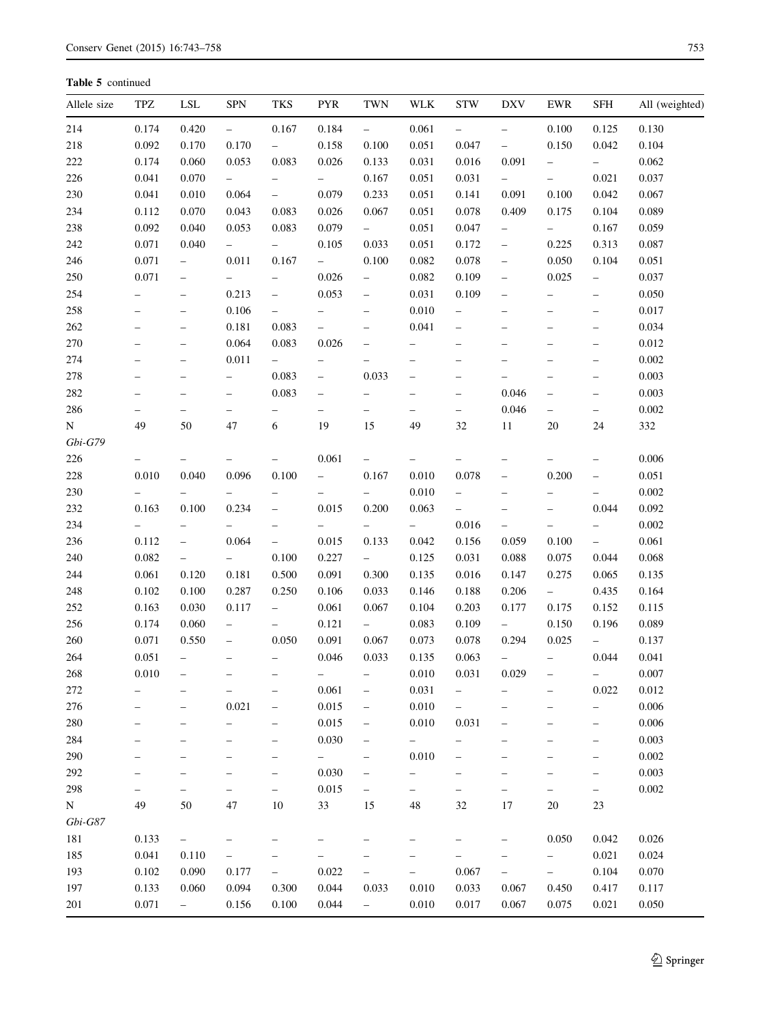| Allele size | TPZ                      | <b>LSL</b>               | <b>SPN</b>               | <b>TKS</b>               | <b>PYR</b>               | <b>TWN</b>                        | <b>WLK</b>               | <b>STW</b>               | <b>DXV</b>               | EWR                      | SFH                      | All (weighted) |
|-------------|--------------------------|--------------------------|--------------------------|--------------------------|--------------------------|-----------------------------------|--------------------------|--------------------------|--------------------------|--------------------------|--------------------------|----------------|
| 214         | 0.174                    | 0.420                    | $\overline{\phantom{a}}$ | 0.167                    | 0.184                    | $\overline{\phantom{a}}$          | 0.061                    | $\overline{\phantom{0}}$ | $\qquad \qquad -$        | 0.100                    | 0.125                    | 0.130          |
| 218         | 0.092                    | 0.170                    | 0.170                    | $-$                      | 0.158                    | 0.100                             | 0.051                    | 0.047                    | $\overline{\phantom{0}}$ | 0.150                    | 0.042                    | 0.104          |
| 222         | 0.174                    | 0.060                    | 0.053                    | 0.083                    | 0.026                    | 0.133                             | 0.031                    | 0.016                    | 0.091                    | $\qquad \qquad -$        | $-$                      | 0.062          |
| 226         | 0.041                    | 0.070                    | $\overline{\phantom{0}}$ | $\overline{\phantom{0}}$ | $\sim$                   | 0.167                             | 0.051                    | 0.031                    | $\overline{\phantom{0}}$ | $\overline{\phantom{0}}$ | 0.021                    | 0.037          |
| 230         | 0.041                    | 0.010                    | 0.064                    | $\equiv$                 | 0.079                    | 0.233                             | 0.051                    | 0.141                    | 0.091                    | 0.100                    | 0.042                    | 0.067          |
| 234         | 0.112                    | 0.070                    | 0.043                    | 0.083                    | 0.026                    | 0.067                             | 0.051                    | 0.078                    | 0.409                    | 0.175                    | 0.104                    | 0.089          |
| 238         | 0.092                    | 0.040                    | 0.053                    | 0.083                    | 0.079                    | $-$                               | 0.051                    | 0.047                    | $\qquad \qquad -$        | $ \,$                    | 0.167                    | 0.059          |
| 242         | 0.071                    | 0.040                    | $\equiv$                 | $\overline{\phantom{0}}$ | 0.105                    | 0.033                             | 0.051                    | 0.172                    | $\overline{\phantom{0}}$ | 0.225                    | 0.313                    | 0.087          |
| 246         | 0.071                    | $\overline{\phantom{0}}$ | 0.011                    | 0.167                    | $ \,$                    | 0.100                             | 0.082                    | 0.078                    | $\qquad \qquad -$        | 0.050                    | 0.104                    | 0.051          |
| 250         | 0.071                    | $\qquad \qquad -$        | $\overline{\phantom{0}}$ |                          | 0.026                    | $\overline{\phantom{0}}$          | 0.082                    | 0.109                    | $\qquad \qquad -$        | 0.025                    | $\overline{\phantom{0}}$ | 0.037          |
| 254         | $\qquad \qquad -$        | $\overline{\phantom{m}}$ | 0.213                    | $\overline{\phantom{0}}$ | 0.053                    | $\qquad \qquad -$                 | 0.031                    | 0.109                    | $\qquad \qquad -$        | $\overline{\phantom{0}}$ | $\qquad \qquad -$        | 0.050          |
| 258         | $\qquad \qquad -$        | $\overline{\phantom{0}}$ | 0.106                    | $\overline{\phantom{0}}$ | $\overline{\phantom{0}}$ | $\overline{\phantom{m}}$          | 0.010                    | $\overline{\phantom{0}}$ | $\qquad \qquad -$        | $\overline{\phantom{0}}$ | $\qquad \qquad -$        | 0.017          |
| 262         | $\qquad \qquad -$        | $\qquad \qquad -$        | 0.181                    | 0.083                    | $\overline{\phantom{0}}$ | $\hspace{0.1in} - \hspace{0.1in}$ | 0.041                    | $\qquad \qquad -$        | $\qquad \qquad -$        | $\overline{\phantom{m}}$ | $\qquad \qquad -$        | 0.034          |
| 270         | $\qquad \qquad -$        | $\overline{\phantom{0}}$ | 0.064                    | 0.083                    | 0.026                    | $\overline{\phantom{0}}$          | $\qquad \qquad -$        | $\qquad \qquad -$        | $\overline{\phantom{0}}$ | $\qquad \qquad -$        | $\qquad \qquad -$        | 0.012          |
| 274         | $\overline{\phantom{0}}$ | $\qquad \qquad -$        | 0.011                    | $\overline{\phantom{0}}$ | -                        | -                                 | $\qquad \qquad -$        | $\qquad \qquad -$        | -                        | $\overline{\phantom{0}}$ | $\overline{\phantom{0}}$ | 0.002          |
| 278         | $\qquad \qquad -$        | $\overline{\phantom{0}}$ | $\overline{\phantom{0}}$ | 0.083                    | $\qquad \qquad -$        | 0.033                             |                          | $\qquad \qquad -$        | $\overline{\phantom{0}}$ | $\overline{\phantom{0}}$ | $\overline{\phantom{0}}$ | 0.003          |
| 282         | $\overline{\phantom{0}}$ | $\overline{\phantom{0}}$ | $\qquad \qquad -$        | 0.083                    | $\qquad \qquad -$        | $\overline{\phantom{0}}$          | $\overline{\phantom{a}}$ | $\qquad \qquad -$        | 0.046                    | $\qquad \qquad -$        | $\overline{\phantom{0}}$ | 0.003          |
| 286         |                          | $\overline{\phantom{0}}$ | $\overline{\phantom{0}}$ | $\overline{\phantom{0}}$ | $\overline{\phantom{0}}$ | $\overline{\phantom{0}}$          | $\qquad \qquad -$        | $\overline{\phantom{0}}$ | 0.046                    | $\overline{\phantom{0}}$ | $\overline{\phantom{0}}$ | 0.002          |
| N           | 49                       | 50                       | 47                       | 6                        | 19                       | 15                                | 49                       | 32                       | 11                       | 20                       | 24                       | 332            |
| $Gbi-G79$   |                          |                          |                          |                          |                          |                                   |                          |                          |                          |                          |                          |                |
| 226         | $\qquad \qquad -$        | $\overline{\phantom{0}}$ | $\qquad \qquad -$        | $\overline{\phantom{0}}$ | 0.061                    | $\overline{\phantom{0}}$          | $\qquad \qquad -$        | $\qquad \qquad -$        | $\overline{\phantom{0}}$ | $\overline{\phantom{0}}$ | $\overline{\phantom{0}}$ | 0.006          |
| 228         | 0.010                    | 0.040                    | 0.096                    | 0.100                    | $\overline{\phantom{0}}$ | 0.167                             | 0.010                    | 0.078                    | $\qquad \qquad -$        | 0.200                    | $\qquad \qquad -$        | 0.051          |
| 230         |                          | $\overline{\phantom{0}}$ | $\qquad \qquad -$        |                          | $\overline{\phantom{0}}$ | $\overline{\phantom{0}}$          | 0.010                    | $\qquad \qquad -$        | $\qquad \qquad -$        | $\overline{\phantom{0}}$ | $\overline{\phantom{0}}$ | 0.002          |
| 232         | 0.163                    | 0.100                    | 0.234                    |                          | 0.015                    | 0.200                             | 0.063                    | $\qquad \qquad -$        | $\qquad \qquad -$        | $\overline{\phantom{m}}$ | 0.044                    | 0.092          |
| 234         |                          | $\qquad \qquad -$        | $\qquad \qquad -$        | $\overline{\phantom{0}}$ | $\overline{\phantom{0}}$ | $\overline{\phantom{a}}$          | $\overline{\phantom{0}}$ | 0.016                    | $\qquad \qquad -$        | $\overline{\phantom{0}}$ | $\overline{\phantom{0}}$ | 0.002          |
| 236         | 0.112                    | $\qquad \qquad -$        | 0.064                    | $\overline{\phantom{0}}$ | 0.015                    | 0.133                             | 0.042                    | 0.156                    | 0.059                    | 0.100                    | $-$                      | 0.061          |
| 240         | 0.082                    | $\qquad \qquad -$        | $\overline{\phantom{0}}$ | 0.100                    | 0.227                    | $\overline{\phantom{0}}$          | 0.125                    | 0.031                    | 0.088                    | 0.075                    | 0.044                    | 0.068          |
| 244         | 0.061                    | 0.120                    | 0.181                    | 0.500                    | 0.091                    | 0.300                             | 0.135                    | 0.016                    | 0.147                    | 0.275                    | 0.065                    | 0.135          |
| 248         | 0.102                    | 0.100                    | 0.287                    | 0.250                    | 0.106                    | 0.033                             | 0.146                    | 0.188                    | 0.206                    | $\frac{1}{2}$ .          | 0.435                    | 0.164          |
| 252         | 0.163                    | 0.030                    | 0.117                    | $\equiv$                 | 0.061                    | 0.067                             | 0.104                    | 0.203                    | 0.177                    | 0.175                    | 0.152                    | 0.115          |
| 256         | 0.174                    | 0.060                    | $\qquad \qquad -$        | $\overline{\phantom{0}}$ | 0.121                    | $ \,$                             | 0.083                    | 0.109                    | $\overline{\phantom{0}}$ | 0.150                    | 0.196                    | 0.089          |
| 260         | 0.071                    | 0.550                    | $\overline{\phantom{m}}$ | 0.050                    | 0.091                    | 0.067                             | 0.073                    | 0.078                    | 0.294                    | 0.025                    | $-$                      | 0.137          |
| 264         | 0.051                    | $\overline{\phantom{0}}$ | $\qquad \qquad -$        |                          | 0.046                    | 0.033                             | 0.135                    | 0.063                    | $\qquad \qquad -$        | $\overline{\phantom{0}}$ | 0.044                    | 0.041          |
| 268         | 0.010                    | -                        |                          |                          | -                        | $\overline{\phantom{a}}$          | 0.010                    | 0.031                    | 0.029                    |                          | -                        | 0.007          |
| 272         |                          |                          |                          |                          | 0.061                    | -                                 | 0.031                    |                          |                          |                          | 0.022                    | 0.012          |
| 276         | $\overline{\phantom{0}}$ | $\overline{\phantom{0}}$ | 0.021                    | $\qquad \qquad -$        | 0.015                    | -                                 | 0.010                    | $\overline{\phantom{0}}$ | -                        | $\overline{\phantom{0}}$ | $\overline{\phantom{0}}$ | 0.006          |
| 280         | -                        |                          | -                        | -                        | 0.015                    | -                                 | 0.010                    | 0.031                    | $\overline{\phantom{0}}$ | $\overline{\phantom{0}}$ | -                        | 0.006          |
| 284         | -                        |                          |                          | -                        | 0.030                    | -                                 | $\qquad \qquad -$        | -                        | ۰                        |                          | -                        | 0.003          |
| 290         |                          |                          |                          | $\overline{\phantom{0}}$ | -                        | -                                 | 0.010                    | -                        | $\overline{\phantom{0}}$ |                          | -                        | 0.002          |
| 292         |                          |                          | <u>.</u>                 |                          | 0.030                    | $\overline{\phantom{0}}$          |                          | -                        |                          | $\overline{\phantom{0}}$ | $\overline{\phantom{0}}$ | 0.003          |
| 298         |                          | -                        | -                        | $\overline{\phantom{0}}$ | 0.015                    | $\overline{\phantom{0}}$          |                          | -                        | $\overline{\phantom{0}}$ | -                        | $\overline{\phantom{0}}$ | 0.002          |
| N           | 49                       | 50                       | 47                       | $10\,$                   | 33                       | 15                                | $\sqrt{48}$              | 32                       | 17                       | 20                       | 23                       |                |
| $Gbi-G87$   |                          |                          |                          |                          |                          |                                   |                          |                          |                          |                          |                          |                |
| 181         | 0.133                    | $\overline{\phantom{0}}$ | -                        | $\overline{\phantom{0}}$ | -                        | -                                 |                          | -                        | $\qquad \qquad -$        | 0.050                    | 0.042                    | 0.026          |
| 185         | 0.041                    | 0.110                    | -                        |                          |                          | -                                 |                          |                          | $\overline{\phantom{0}}$ | $\overline{\phantom{0}}$ | 0.021                    | 0.024          |
| 193         | 0.102                    | 0.090                    | 0.177                    | $\overline{\phantom{0}}$ | 0.022                    | $\overline{\phantom{0}}$          | $\qquad \qquad -$        | 0.067                    | $\qquad \qquad -$        | $\overline{\phantom{0}}$ | 0.104                    | 0.070          |
| 197         | 0.133                    | 0.060                    | 0.094                    | 0.300                    | 0.044                    | 0.033                             | 0.010                    | 0.033                    | 0.067                    | 0.450                    | 0.417                    | 0.117          |
| 201         | 0.071                    | $\equiv$                 | 0.156                    | 0.100                    | 0.044                    | $\overline{\phantom{0}}$          | 0.010                    | 0.017                    | 0.067                    | 0.075                    | 0.021                    | 0.050          |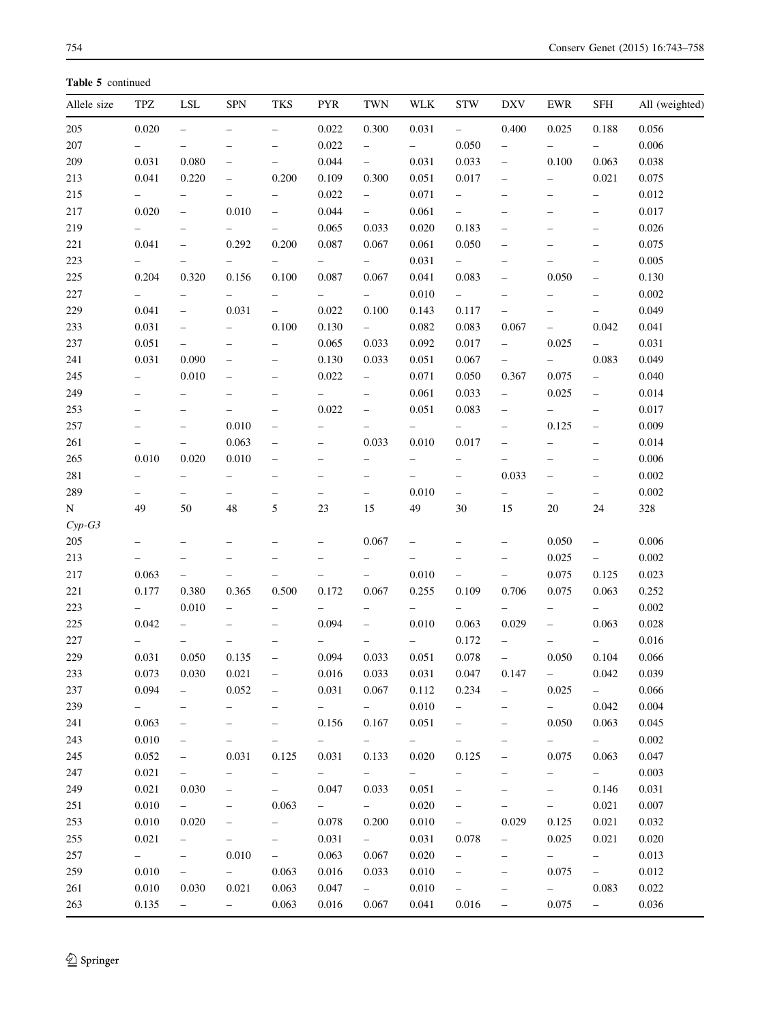| 0.020<br>0.056<br>0.022<br>0.300<br>0.031<br>$-$<br>0.400<br>0.025<br>0.188<br>$\equiv$<br>$\equiv$<br>$\overline{\phantom{0}}$<br>0.022<br>0.050<br>0.006<br>$\qquad \qquad -$<br>$\overline{\phantom{0}}$<br>$\overline{\phantom{0}}$<br>$\overline{\phantom{0}}$<br>$\overline{\phantom{0}}$<br>0.031<br>0.080<br>0.044<br>0.031<br>0.063<br>0.033<br>0.100<br>0.038<br>$\overline{\phantom{a}}$<br>$\overline{\phantom{0}}$<br>0.200<br>0.109<br>0.041<br>0.220<br>0.300<br>0.051<br>0.017<br>0.021<br>0.075<br>$\overline{\phantom{0}}$<br>$\overline{\phantom{0}}$<br>0.022<br>0.071<br>0.012<br>$\overline{\phantom{0}}$<br>$\overline{\phantom{0}}$<br>$\overline{\phantom{0}}$<br>$\overline{\phantom{0}}$<br>$\qquad \qquad -$<br>$\overline{\phantom{0}}$<br>$\overline{\phantom{0}}$<br>0.044<br>0.020<br>0.010<br>0.061<br>0.017<br>$\equiv$<br>$\overline{\phantom{0}}$<br>$\overline{\phantom{0}}$<br>$\overline{\phantom{0}}$<br>$\overline{\phantom{0}}$<br>$\qquad \qquad -$<br>0.065<br>0.033<br>0.020<br>0.183<br>$0.026\,$<br>$\qquad \qquad -$<br>$\overline{\phantom{0}}$<br>$\qquad \qquad -$<br>$\overline{\phantom{0}}$<br>$\overline{\phantom{0}}$<br>$\overline{\phantom{0}}$<br>$\qquad \qquad -$<br>221<br>0.041<br>0.292<br>0.200<br>0.087<br>0.061<br>0.050<br>0.075<br>0.067<br>$\qquad \qquad -$<br>$\qquad \qquad -$<br>0.031<br>0.005<br>$\overline{\phantom{0}}$<br>$\overline{\phantom{0}}$<br>$\qquad \qquad -$<br>-<br>$\overline{\phantom{0}}$<br>-<br>-<br>$\overline{\phantom{0}}$<br>0.204<br>0.320<br>0.100<br>0.087<br>0.083<br>0.050<br>0.156<br>0.067<br>0.041<br>0.130<br>$\overline{\phantom{0}}$<br>$\qquad \qquad -$<br>0.010<br>0.002<br>$\overline{\phantom{0}}$<br>$\overline{\phantom{0}}$<br>$\qquad \qquad -$<br>$\overline{\phantom{0}}$<br>$\overline{\phantom{0}}$<br>$\overline{\phantom{0}}$<br>$\overline{\phantom{0}}$<br>$\overline{\phantom{0}}$<br>$\qquad \qquad -$<br>0.041<br>0.031<br>0.022<br>0.100<br>0.143<br>0.117<br>0.049<br>$\overline{\phantom{0}}$<br>$\overline{\phantom{0}}$<br>$\overline{\phantom{0}}$<br>$\qquad \qquad -$<br>0.031<br>0.100<br>0.130<br>0.082<br>0.083<br>0.042<br>0.041<br>$ \,$<br>0.067<br>$\overline{\phantom{0}}$<br>$\overline{\phantom{0}}$<br>$\overline{\phantom{0}}$<br>0.092<br>0.025<br>0.051<br>0.065<br>0.033<br>0.017<br>0.031<br>$\overline{\phantom{0}}$<br>$-$<br>$\overline{\phantom{0}}$<br>$\overline{\phantom{0}}$<br>$\overline{\phantom{0}}$<br>0.083<br>0.031<br>0.090<br>0.130<br>0.033<br>0.051<br>0.067<br>$\overline{\phantom{0}}$<br>0.049<br>$\overline{\phantom{0}}$<br>$\qquad \qquad -$<br>0.075<br>0.010<br>0.022<br>0.071<br>0.050<br>0.367<br>0.040<br>$\qquad \qquad -$<br>$\overline{\phantom{0}}$<br>$\overline{\phantom{0}}$<br>$\overline{\phantom{0}}$<br>249<br>0.061<br>0.033<br>0.025<br>0.014<br>$\overline{\phantom{0}}$<br>$\overline{\phantom{0}}$<br>$\overline{\phantom{0}}$<br>$\overline{\phantom{0}}$<br>$\qquad \qquad -$<br>$\overline{\phantom{0}}$<br>$\overline{\phantom{0}}$<br>$\overline{\phantom{0}}$<br>253<br>0.022<br>0.051<br>0.083<br>0.017<br>$\overline{\phantom{0}}$<br>$\overline{\phantom{0}}$<br>$\equiv$<br>$\qquad \qquad -$<br>257<br>0.125<br>0.010<br>0.009<br>$\overline{\phantom{0}}$<br>$\qquad \qquad -$<br>$\qquad \qquad -$<br>$\qquad \qquad -$<br>$\overline{\phantom{0}}$<br>-<br>261<br>0.063<br>0.033<br>0.010<br>0.017<br>0.014<br>$\overline{\phantom{0}}$<br>$\overline{\phantom{0}}$<br>$\qquad \qquad -$<br>-<br>0.010<br>0.020<br>0.010<br>0.006<br>$\qquad \qquad -$<br>$\overline{\phantom{0}}$<br>$\qquad \qquad -$<br>-<br>-<br>$\qquad \qquad -$<br>$\qquad \qquad -$<br>$\overline{\phantom{0}}$<br>0.033<br>0.002<br>$\qquad \qquad -$<br>$\overline{\phantom{0}}$<br>$\overline{\phantom{0}}$<br>$\qquad \qquad -$<br>$\overline{\phantom{0}}$<br>$\overline{\phantom{0}}$<br>$\overline{\phantom{0}}$<br>$\qquad \qquad -$<br>$\overline{\phantom{0}}$<br>$\qquad \qquad -$<br>0.010<br>0.002<br>$\overline{\phantom{0}}$<br>$\overline{\phantom{0}}$<br>$\overline{\phantom{0}}$<br>$\qquad \qquad -$<br>$\overline{\phantom{0}}$<br>$\qquad \qquad -$<br>$\overline{\phantom{0}}$<br>$\overline{\phantom{0}}$<br>$\overline{\phantom{0}}$<br>$\qquad \qquad -$<br>49<br>48<br>15<br>49<br>$20\,$<br>328<br>50<br>5<br>23<br>30<br>15<br>24<br>$Cyp-G3$<br>205<br>0.067<br>0.050<br>0.006<br>$\overline{\phantom{0}}$<br>$\qquad \qquad -$<br>$\qquad \qquad -$<br>$\overline{\phantom{0}}$<br>$\qquad \qquad -$<br>$\overline{\phantom{0}}$<br>0.025<br>0.002<br>$\qquad \qquad -$<br>$\qquad \qquad -$<br>$\overline{\phantom{0}}$<br>$\overline{\phantom{0}}$<br>$\overline{\phantom{0}}$<br>-<br>$\qquad \qquad -$<br>0.010<br>0.063<br>0.075<br>0.125<br>0.023<br>$\overline{\phantom{0}}$<br>$\overline{\phantom{0}}$<br>$\overline{\phantom{0}}$<br>$\overline{\phantom{0}}$<br>$\qquad \qquad -$<br>$\overline{\phantom{0}}$<br>0.177<br>0.380<br>0.500<br>0.172<br>0.067<br>0.255<br>0.706<br>0.075<br>0.252<br>0.365<br>0.109<br>0.063<br>0.010<br>0.002<br>$\equiv$<br>$\overline{\phantom{0}}$<br>$\overline{\phantom{0}}$<br>$-$<br>$\equiv$<br>$-$<br>$\overline{\phantom{0}}$<br>$\overline{\phantom{0}}$<br>$\overline{\phantom{0}}$<br>$\overline{\phantom{0}}$<br>0.042<br>0.094<br>0.010<br>0.063<br>0.063<br>0.028<br>0.029<br>$\overline{\phantom{0}}$<br>$\qquad \qquad -$<br>$\qquad \qquad -$<br>$\qquad \qquad -$<br>0.172<br>0.016<br>$\overline{\phantom{0}}$<br>$\overline{\phantom{0}}$<br>-<br>0.031<br>0.094<br>0.051<br>0.050<br>0.104<br>0.050<br>0.135<br>0.033<br>0.078<br>0.066<br>$\overline{\phantom{0}}$<br>$\overline{\phantom{0}}$<br>0.073<br>0.030<br>0.016<br>0.147<br>0.042<br>0.021<br>0.033<br>0.031<br>0.047<br>0.039<br>233<br>$\qquad \qquad -$<br>$\qquad \qquad -$<br>0.094<br>0.066<br>0.052<br>0.031<br>0.067<br>0.112<br>0.234<br>0.025<br>$\overline{\phantom{0}}$<br>$\overline{\phantom{0}}$<br>$\qquad \qquad -$<br>0.010<br>0.004<br>0.042<br>$\overline{\phantom{0}}$<br>$\overline{\phantom{0}}$<br>$\overline{\phantom{0}}$<br>$\overline{\phantom{0}}$<br>$\overline{\phantom{0}}$<br>$\overline{\phantom{0}}$<br>$\overline{\phantom{0}}$<br>-<br>$\overline{\phantom{0}}$<br>0.050<br>0.063<br>0.167<br>0.051<br>0.063<br>0.045<br>0.156<br>$\qquad \qquad -$<br>$\qquad \qquad -$<br>$\qquad \qquad -$<br>$\qquad \qquad -$<br>0.010<br>0.002<br>$\sim$ 100 $\sim$<br>$\frac{1}{2}$ and $\frac{1}{2}$<br>$\sim$ $ -$<br>$ -$<br>$\sim$ $\sim$<br>$\qquad \qquad -$<br>$\qquad \qquad -$<br>$\qquad \qquad -$<br>-<br>$\qquad \qquad -$<br>0.052<br>0.075<br>0.047<br>0.031<br>0.125<br>0.031<br>0.133<br>0.020<br>0.125<br>0.063<br>$\overline{\phantom{0}}$<br>$\qquad \qquad -$<br>0.021<br>0.003<br>$\sim$<br>$\sim$ $\sim$<br>$\overline{\phantom{0}}$<br>$-$<br>$\overline{\phantom{a}}$<br>$\qquad \qquad -$<br>$\overline{\phantom{0}}$<br>$\overline{\phantom{0}}$<br>$\overline{\phantom{0}}$<br>$\overline{\phantom{0}}$<br>0.021<br>0.051<br>0.146<br>0.031<br>0.030<br>0.047<br>0.033<br>$\overline{\phantom{0}}$<br>$\qquad \qquad -$<br>$\qquad \qquad -$<br>$\overline{\phantom{0}}$<br>$\overline{\phantom{0}}$<br>251<br>0.010<br>0.063<br>0.007<br>÷.<br>0.020<br>0.021<br>$-$<br>$\overline{\phantom{0}}$<br>$\overline{\phantom{0}}$<br>$\qquad \qquad -$<br>$\overline{\phantom{0}}$<br>0.010<br>0.125<br>0.032<br>253<br>0.020<br>0.078<br>0.200<br>0.010<br>0.029<br>0.021<br>$\qquad \qquad -$<br>0.021<br>0.020<br>0.031<br>0.031<br>0.078<br>0.025<br>0.021<br>$ \,$<br>$\qquad \qquad -$<br>$\overline{\phantom{0}}$<br>-<br>$\qquad \qquad -$<br>0.013<br>$\frac{1}{2}$<br>0.010<br>0.063<br>0.067<br>0.020<br>$ \,$<br>$\overline{\phantom{0}}$<br>$-$<br>$\overline{\phantom{0}}$<br>$\overline{\phantom{0}}$<br>-<br>0.010<br>0.010<br>0.075<br>0.012<br>$-$<br>0.063<br>0.016<br>0.033<br>$\overline{\phantom{0}}$<br>$-$<br>$\overline{\phantom{0}}$<br>$\overline{\phantom{0}}$<br>0.010<br>$\frac{1}{2}$<br>0.030<br>0.021<br>0.063<br>0.047<br>0.010<br>0.083<br>0.022<br>$\sim$ $ -$<br>$\overline{\phantom{0}}$<br>$\qquad \qquad -$ | Allele size | TPZ   | LSL | <b>SPN</b> | <b>TKS</b> | <b>PYR</b> | <b>TWN</b> | WLK | <b>STW</b> | <b>DXV</b> | EWR   | SFH | All (weighted) |
|-----------------------------------------------------------------------------------------------------------------------------------------------------------------------------------------------------------------------------------------------------------------------------------------------------------------------------------------------------------------------------------------------------------------------------------------------------------------------------------------------------------------------------------------------------------------------------------------------------------------------------------------------------------------------------------------------------------------------------------------------------------------------------------------------------------------------------------------------------------------------------------------------------------------------------------------------------------------------------------------------------------------------------------------------------------------------------------------------------------------------------------------------------------------------------------------------------------------------------------------------------------------------------------------------------------------------------------------------------------------------------------------------------------------------------------------------------------------------------------------------------------------------------------------------------------------------------------------------------------------------------------------------------------------------------------------------------------------------------------------------------------------------------------------------------------------------------------------------------------------------------------------------------------------------------------------------------------------------------------------------------------------------------------------------------------------------------------------------------------------------------------------------------------------------------------------------------------------------------------------------------------------------------------------------------------------------------------------------------------------------------------------------------------------------------------------------------------------------------------------------------------------------------------------------------------------------------------------------------------------------------------------------------------------------------------------------------------------------------------------------------------------------------------------------------------------------------------------------------------------------------------------------------------------------------------------------------------------------------------------------------------------------------------------------------------------------------------------------------------------------------------------------------------------------------------------------------------------------------------------------------------------------------------------------------------------------------------------------------------------------------------------------------------------------------------------------------------------------------------------------------------------------------------------------------------------------------------------------------------------------------------------------------------------------------------------------------------------------------------------------------------------------------------------------------------------------------------------------------------------------------------------------------------------------------------------------------------------------------------------------------------------------------------------------------------------------------------------------------------------------------------------------------------------------------------------------------------------------------------------------------------------------------------------------------------------------------------------------------------------------------------------------------------------------------------------------------------------------------------------------------------------------------------------------------------------------------------------------------------------------------------------------------------------------------------------------------------------------------------------------------------------------------------------------------------------------------------------------------------------------------------------------------------------------------------------------------------------------------------------------------------------------------------------------------------------------------------------------------------------------------------------------------------------------------------------------------------------------------------------------------------------------------------------------------------------------------------------------------------------------------------------------------------------------------------------------------------------------------------------------------------------------------------------------------------------------------------------------------------------------------------------------------------------------------------------------------------------------------------------------------------------------------------------------------------------------------------------------------------------------------------------------------------------------------------------------------------------------------------------------------------------------------------------------------------------------------------------------------------------------------------------------------------------------------------------------------------------------------------------------------------------------------------------------------------------------------------------------------------------------------------------------------------------------------------------------------------------------------------------------------------------------------------------------------------------------------------------------------------------------------------------------------------------------------------------------------------------------------------------------------------------------------------------------------------------------------------------------------------------------------------------------------------------------------------------------------------------------------------------------------------------------------------------------------------------------------------------------------------------------------------------------------------------------------------------------------------------------------------------------------------------------------------------------------------------------------------------------------------------------------------------------------------------------------------------------------------------------------------------------------------------------------------------------------------------------------------------------------------------------------------------------------------------------------------------------------------------------------------------------------------------------------------------------------------------------------------------------------------------------------------------------------------------------------------------------------------------------------------------------------------------------------------------------------------------------------------------------------------------------------------------------------------------|-------------|-------|-----|------------|------------|------------|------------|-----|------------|------------|-------|-----|----------------|
|                                                                                                                                                                                                                                                                                                                                                                                                                                                                                                                                                                                                                                                                                                                                                                                                                                                                                                                                                                                                                                                                                                                                                                                                                                                                                                                                                                                                                                                                                                                                                                                                                                                                                                                                                                                                                                                                                                                                                                                                                                                                                                                                                                                                                                                                                                                                                                                                                                                                                                                                                                                                                                                                                                                                                                                                                                                                                                                                                                                                                                                                                                                                                                                                                                                                                                                                                                                                                                                                                                                                                                                                                                                                                                                                                                                                                                                                                                                                                                                                                                                                                                                                                                                                                                                                                                                                                                                                                                                                                                                                                                                                                                                                                                                                                                                                                                                                                                                                                                                                                                                                                                                                                                                                                                                                                                                                                                                                                                                                                                                                                                                                                                                                                                                                                                                                                                                                                                                                                                                                                                                                                                                                                                                                                                                                                                                                                                                                                                                                                                                                                                                                                                                                                                                                                                                                                                                                                                                                                                                                                                                                                                                                                                                                                                                                                                                                                                                                                                                                                                                                                                                                                                                                                                                                                                                                                                                                                                                                                                                                                                                                                                                                                                 | 205         |       |     |            |            |            |            |     |            |            |       |     |                |
|                                                                                                                                                                                                                                                                                                                                                                                                                                                                                                                                                                                                                                                                                                                                                                                                                                                                                                                                                                                                                                                                                                                                                                                                                                                                                                                                                                                                                                                                                                                                                                                                                                                                                                                                                                                                                                                                                                                                                                                                                                                                                                                                                                                                                                                                                                                                                                                                                                                                                                                                                                                                                                                                                                                                                                                                                                                                                                                                                                                                                                                                                                                                                                                                                                                                                                                                                                                                                                                                                                                                                                                                                                                                                                                                                                                                                                                                                                                                                                                                                                                                                                                                                                                                                                                                                                                                                                                                                                                                                                                                                                                                                                                                                                                                                                                                                                                                                                                                                                                                                                                                                                                                                                                                                                                                                                                                                                                                                                                                                                                                                                                                                                                                                                                                                                                                                                                                                                                                                                                                                                                                                                                                                                                                                                                                                                                                                                                                                                                                                                                                                                                                                                                                                                                                                                                                                                                                                                                                                                                                                                                                                                                                                                                                                                                                                                                                                                                                                                                                                                                                                                                                                                                                                                                                                                                                                                                                                                                                                                                                                                                                                                                                                                 | 207         |       |     |            |            |            |            |     |            |            |       |     |                |
|                                                                                                                                                                                                                                                                                                                                                                                                                                                                                                                                                                                                                                                                                                                                                                                                                                                                                                                                                                                                                                                                                                                                                                                                                                                                                                                                                                                                                                                                                                                                                                                                                                                                                                                                                                                                                                                                                                                                                                                                                                                                                                                                                                                                                                                                                                                                                                                                                                                                                                                                                                                                                                                                                                                                                                                                                                                                                                                                                                                                                                                                                                                                                                                                                                                                                                                                                                                                                                                                                                                                                                                                                                                                                                                                                                                                                                                                                                                                                                                                                                                                                                                                                                                                                                                                                                                                                                                                                                                                                                                                                                                                                                                                                                                                                                                                                                                                                                                                                                                                                                                                                                                                                                                                                                                                                                                                                                                                                                                                                                                                                                                                                                                                                                                                                                                                                                                                                                                                                                                                                                                                                                                                                                                                                                                                                                                                                                                                                                                                                                                                                                                                                                                                                                                                                                                                                                                                                                                                                                                                                                                                                                                                                                                                                                                                                                                                                                                                                                                                                                                                                                                                                                                                                                                                                                                                                                                                                                                                                                                                                                                                                                                                                                 | 209         |       |     |            |            |            |            |     |            |            |       |     |                |
|                                                                                                                                                                                                                                                                                                                                                                                                                                                                                                                                                                                                                                                                                                                                                                                                                                                                                                                                                                                                                                                                                                                                                                                                                                                                                                                                                                                                                                                                                                                                                                                                                                                                                                                                                                                                                                                                                                                                                                                                                                                                                                                                                                                                                                                                                                                                                                                                                                                                                                                                                                                                                                                                                                                                                                                                                                                                                                                                                                                                                                                                                                                                                                                                                                                                                                                                                                                                                                                                                                                                                                                                                                                                                                                                                                                                                                                                                                                                                                                                                                                                                                                                                                                                                                                                                                                                                                                                                                                                                                                                                                                                                                                                                                                                                                                                                                                                                                                                                                                                                                                                                                                                                                                                                                                                                                                                                                                                                                                                                                                                                                                                                                                                                                                                                                                                                                                                                                                                                                                                                                                                                                                                                                                                                                                                                                                                                                                                                                                                                                                                                                                                                                                                                                                                                                                                                                                                                                                                                                                                                                                                                                                                                                                                                                                                                                                                                                                                                                                                                                                                                                                                                                                                                                                                                                                                                                                                                                                                                                                                                                                                                                                                                                 | 213         |       |     |            |            |            |            |     |            |            |       |     |                |
|                                                                                                                                                                                                                                                                                                                                                                                                                                                                                                                                                                                                                                                                                                                                                                                                                                                                                                                                                                                                                                                                                                                                                                                                                                                                                                                                                                                                                                                                                                                                                                                                                                                                                                                                                                                                                                                                                                                                                                                                                                                                                                                                                                                                                                                                                                                                                                                                                                                                                                                                                                                                                                                                                                                                                                                                                                                                                                                                                                                                                                                                                                                                                                                                                                                                                                                                                                                                                                                                                                                                                                                                                                                                                                                                                                                                                                                                                                                                                                                                                                                                                                                                                                                                                                                                                                                                                                                                                                                                                                                                                                                                                                                                                                                                                                                                                                                                                                                                                                                                                                                                                                                                                                                                                                                                                                                                                                                                                                                                                                                                                                                                                                                                                                                                                                                                                                                                                                                                                                                                                                                                                                                                                                                                                                                                                                                                                                                                                                                                                                                                                                                                                                                                                                                                                                                                                                                                                                                                                                                                                                                                                                                                                                                                                                                                                                                                                                                                                                                                                                                                                                                                                                                                                                                                                                                                                                                                                                                                                                                                                                                                                                                                                                 | 215         |       |     |            |            |            |            |     |            |            |       |     |                |
|                                                                                                                                                                                                                                                                                                                                                                                                                                                                                                                                                                                                                                                                                                                                                                                                                                                                                                                                                                                                                                                                                                                                                                                                                                                                                                                                                                                                                                                                                                                                                                                                                                                                                                                                                                                                                                                                                                                                                                                                                                                                                                                                                                                                                                                                                                                                                                                                                                                                                                                                                                                                                                                                                                                                                                                                                                                                                                                                                                                                                                                                                                                                                                                                                                                                                                                                                                                                                                                                                                                                                                                                                                                                                                                                                                                                                                                                                                                                                                                                                                                                                                                                                                                                                                                                                                                                                                                                                                                                                                                                                                                                                                                                                                                                                                                                                                                                                                                                                                                                                                                                                                                                                                                                                                                                                                                                                                                                                                                                                                                                                                                                                                                                                                                                                                                                                                                                                                                                                                                                                                                                                                                                                                                                                                                                                                                                                                                                                                                                                                                                                                                                                                                                                                                                                                                                                                                                                                                                                                                                                                                                                                                                                                                                                                                                                                                                                                                                                                                                                                                                                                                                                                                                                                                                                                                                                                                                                                                                                                                                                                                                                                                                                                 | 217         |       |     |            |            |            |            |     |            |            |       |     |                |
|                                                                                                                                                                                                                                                                                                                                                                                                                                                                                                                                                                                                                                                                                                                                                                                                                                                                                                                                                                                                                                                                                                                                                                                                                                                                                                                                                                                                                                                                                                                                                                                                                                                                                                                                                                                                                                                                                                                                                                                                                                                                                                                                                                                                                                                                                                                                                                                                                                                                                                                                                                                                                                                                                                                                                                                                                                                                                                                                                                                                                                                                                                                                                                                                                                                                                                                                                                                                                                                                                                                                                                                                                                                                                                                                                                                                                                                                                                                                                                                                                                                                                                                                                                                                                                                                                                                                                                                                                                                                                                                                                                                                                                                                                                                                                                                                                                                                                                                                                                                                                                                                                                                                                                                                                                                                                                                                                                                                                                                                                                                                                                                                                                                                                                                                                                                                                                                                                                                                                                                                                                                                                                                                                                                                                                                                                                                                                                                                                                                                                                                                                                                                                                                                                                                                                                                                                                                                                                                                                                                                                                                                                                                                                                                                                                                                                                                                                                                                                                                                                                                                                                                                                                                                                                                                                                                                                                                                                                                                                                                                                                                                                                                                                                 | 219         |       |     |            |            |            |            |     |            |            |       |     |                |
|                                                                                                                                                                                                                                                                                                                                                                                                                                                                                                                                                                                                                                                                                                                                                                                                                                                                                                                                                                                                                                                                                                                                                                                                                                                                                                                                                                                                                                                                                                                                                                                                                                                                                                                                                                                                                                                                                                                                                                                                                                                                                                                                                                                                                                                                                                                                                                                                                                                                                                                                                                                                                                                                                                                                                                                                                                                                                                                                                                                                                                                                                                                                                                                                                                                                                                                                                                                                                                                                                                                                                                                                                                                                                                                                                                                                                                                                                                                                                                                                                                                                                                                                                                                                                                                                                                                                                                                                                                                                                                                                                                                                                                                                                                                                                                                                                                                                                                                                                                                                                                                                                                                                                                                                                                                                                                                                                                                                                                                                                                                                                                                                                                                                                                                                                                                                                                                                                                                                                                                                                                                                                                                                                                                                                                                                                                                                                                                                                                                                                                                                                                                                                                                                                                                                                                                                                                                                                                                                                                                                                                                                                                                                                                                                                                                                                                                                                                                                                                                                                                                                                                                                                                                                                                                                                                                                                                                                                                                                                                                                                                                                                                                                                                 |             |       |     |            |            |            |            |     |            |            |       |     |                |
|                                                                                                                                                                                                                                                                                                                                                                                                                                                                                                                                                                                                                                                                                                                                                                                                                                                                                                                                                                                                                                                                                                                                                                                                                                                                                                                                                                                                                                                                                                                                                                                                                                                                                                                                                                                                                                                                                                                                                                                                                                                                                                                                                                                                                                                                                                                                                                                                                                                                                                                                                                                                                                                                                                                                                                                                                                                                                                                                                                                                                                                                                                                                                                                                                                                                                                                                                                                                                                                                                                                                                                                                                                                                                                                                                                                                                                                                                                                                                                                                                                                                                                                                                                                                                                                                                                                                                                                                                                                                                                                                                                                                                                                                                                                                                                                                                                                                                                                                                                                                                                                                                                                                                                                                                                                                                                                                                                                                                                                                                                                                                                                                                                                                                                                                                                                                                                                                                                                                                                                                                                                                                                                                                                                                                                                                                                                                                                                                                                                                                                                                                                                                                                                                                                                                                                                                                                                                                                                                                                                                                                                                                                                                                                                                                                                                                                                                                                                                                                                                                                                                                                                                                                                                                                                                                                                                                                                                                                                                                                                                                                                                                                                                                                 | 223         |       |     |            |            |            |            |     |            |            |       |     |                |
|                                                                                                                                                                                                                                                                                                                                                                                                                                                                                                                                                                                                                                                                                                                                                                                                                                                                                                                                                                                                                                                                                                                                                                                                                                                                                                                                                                                                                                                                                                                                                                                                                                                                                                                                                                                                                                                                                                                                                                                                                                                                                                                                                                                                                                                                                                                                                                                                                                                                                                                                                                                                                                                                                                                                                                                                                                                                                                                                                                                                                                                                                                                                                                                                                                                                                                                                                                                                                                                                                                                                                                                                                                                                                                                                                                                                                                                                                                                                                                                                                                                                                                                                                                                                                                                                                                                                                                                                                                                                                                                                                                                                                                                                                                                                                                                                                                                                                                                                                                                                                                                                                                                                                                                                                                                                                                                                                                                                                                                                                                                                                                                                                                                                                                                                                                                                                                                                                                                                                                                                                                                                                                                                                                                                                                                                                                                                                                                                                                                                                                                                                                                                                                                                                                                                                                                                                                                                                                                                                                                                                                                                                                                                                                                                                                                                                                                                                                                                                                                                                                                                                                                                                                                                                                                                                                                                                                                                                                                                                                                                                                                                                                                                                                 | 225         |       |     |            |            |            |            |     |            |            |       |     |                |
|                                                                                                                                                                                                                                                                                                                                                                                                                                                                                                                                                                                                                                                                                                                                                                                                                                                                                                                                                                                                                                                                                                                                                                                                                                                                                                                                                                                                                                                                                                                                                                                                                                                                                                                                                                                                                                                                                                                                                                                                                                                                                                                                                                                                                                                                                                                                                                                                                                                                                                                                                                                                                                                                                                                                                                                                                                                                                                                                                                                                                                                                                                                                                                                                                                                                                                                                                                                                                                                                                                                                                                                                                                                                                                                                                                                                                                                                                                                                                                                                                                                                                                                                                                                                                                                                                                                                                                                                                                                                                                                                                                                                                                                                                                                                                                                                                                                                                                                                                                                                                                                                                                                                                                                                                                                                                                                                                                                                                                                                                                                                                                                                                                                                                                                                                                                                                                                                                                                                                                                                                                                                                                                                                                                                                                                                                                                                                                                                                                                                                                                                                                                                                                                                                                                                                                                                                                                                                                                                                                                                                                                                                                                                                                                                                                                                                                                                                                                                                                                                                                                                                                                                                                                                                                                                                                                                                                                                                                                                                                                                                                                                                                                                                                 | 227         |       |     |            |            |            |            |     |            |            |       |     |                |
|                                                                                                                                                                                                                                                                                                                                                                                                                                                                                                                                                                                                                                                                                                                                                                                                                                                                                                                                                                                                                                                                                                                                                                                                                                                                                                                                                                                                                                                                                                                                                                                                                                                                                                                                                                                                                                                                                                                                                                                                                                                                                                                                                                                                                                                                                                                                                                                                                                                                                                                                                                                                                                                                                                                                                                                                                                                                                                                                                                                                                                                                                                                                                                                                                                                                                                                                                                                                                                                                                                                                                                                                                                                                                                                                                                                                                                                                                                                                                                                                                                                                                                                                                                                                                                                                                                                                                                                                                                                                                                                                                                                                                                                                                                                                                                                                                                                                                                                                                                                                                                                                                                                                                                                                                                                                                                                                                                                                                                                                                                                                                                                                                                                                                                                                                                                                                                                                                                                                                                                                                                                                                                                                                                                                                                                                                                                                                                                                                                                                                                                                                                                                                                                                                                                                                                                                                                                                                                                                                                                                                                                                                                                                                                                                                                                                                                                                                                                                                                                                                                                                                                                                                                                                                                                                                                                                                                                                                                                                                                                                                                                                                                                                                                 | 229         |       |     |            |            |            |            |     |            |            |       |     |                |
|                                                                                                                                                                                                                                                                                                                                                                                                                                                                                                                                                                                                                                                                                                                                                                                                                                                                                                                                                                                                                                                                                                                                                                                                                                                                                                                                                                                                                                                                                                                                                                                                                                                                                                                                                                                                                                                                                                                                                                                                                                                                                                                                                                                                                                                                                                                                                                                                                                                                                                                                                                                                                                                                                                                                                                                                                                                                                                                                                                                                                                                                                                                                                                                                                                                                                                                                                                                                                                                                                                                                                                                                                                                                                                                                                                                                                                                                                                                                                                                                                                                                                                                                                                                                                                                                                                                                                                                                                                                                                                                                                                                                                                                                                                                                                                                                                                                                                                                                                                                                                                                                                                                                                                                                                                                                                                                                                                                                                                                                                                                                                                                                                                                                                                                                                                                                                                                                                                                                                                                                                                                                                                                                                                                                                                                                                                                                                                                                                                                                                                                                                                                                                                                                                                                                                                                                                                                                                                                                                                                                                                                                                                                                                                                                                                                                                                                                                                                                                                                                                                                                                                                                                                                                                                                                                                                                                                                                                                                                                                                                                                                                                                                                                                 | 233         |       |     |            |            |            |            |     |            |            |       |     |                |
|                                                                                                                                                                                                                                                                                                                                                                                                                                                                                                                                                                                                                                                                                                                                                                                                                                                                                                                                                                                                                                                                                                                                                                                                                                                                                                                                                                                                                                                                                                                                                                                                                                                                                                                                                                                                                                                                                                                                                                                                                                                                                                                                                                                                                                                                                                                                                                                                                                                                                                                                                                                                                                                                                                                                                                                                                                                                                                                                                                                                                                                                                                                                                                                                                                                                                                                                                                                                                                                                                                                                                                                                                                                                                                                                                                                                                                                                                                                                                                                                                                                                                                                                                                                                                                                                                                                                                                                                                                                                                                                                                                                                                                                                                                                                                                                                                                                                                                                                                                                                                                                                                                                                                                                                                                                                                                                                                                                                                                                                                                                                                                                                                                                                                                                                                                                                                                                                                                                                                                                                                                                                                                                                                                                                                                                                                                                                                                                                                                                                                                                                                                                                                                                                                                                                                                                                                                                                                                                                                                                                                                                                                                                                                                                                                                                                                                                                                                                                                                                                                                                                                                                                                                                                                                                                                                                                                                                                                                                                                                                                                                                                                                                                                                 | 237         |       |     |            |            |            |            |     |            |            |       |     |                |
|                                                                                                                                                                                                                                                                                                                                                                                                                                                                                                                                                                                                                                                                                                                                                                                                                                                                                                                                                                                                                                                                                                                                                                                                                                                                                                                                                                                                                                                                                                                                                                                                                                                                                                                                                                                                                                                                                                                                                                                                                                                                                                                                                                                                                                                                                                                                                                                                                                                                                                                                                                                                                                                                                                                                                                                                                                                                                                                                                                                                                                                                                                                                                                                                                                                                                                                                                                                                                                                                                                                                                                                                                                                                                                                                                                                                                                                                                                                                                                                                                                                                                                                                                                                                                                                                                                                                                                                                                                                                                                                                                                                                                                                                                                                                                                                                                                                                                                                                                                                                                                                                                                                                                                                                                                                                                                                                                                                                                                                                                                                                                                                                                                                                                                                                                                                                                                                                                                                                                                                                                                                                                                                                                                                                                                                                                                                                                                                                                                                                                                                                                                                                                                                                                                                                                                                                                                                                                                                                                                                                                                                                                                                                                                                                                                                                                                                                                                                                                                                                                                                                                                                                                                                                                                                                                                                                                                                                                                                                                                                                                                                                                                                                                                 | 241         |       |     |            |            |            |            |     |            |            |       |     |                |
|                                                                                                                                                                                                                                                                                                                                                                                                                                                                                                                                                                                                                                                                                                                                                                                                                                                                                                                                                                                                                                                                                                                                                                                                                                                                                                                                                                                                                                                                                                                                                                                                                                                                                                                                                                                                                                                                                                                                                                                                                                                                                                                                                                                                                                                                                                                                                                                                                                                                                                                                                                                                                                                                                                                                                                                                                                                                                                                                                                                                                                                                                                                                                                                                                                                                                                                                                                                                                                                                                                                                                                                                                                                                                                                                                                                                                                                                                                                                                                                                                                                                                                                                                                                                                                                                                                                                                                                                                                                                                                                                                                                                                                                                                                                                                                                                                                                                                                                                                                                                                                                                                                                                                                                                                                                                                                                                                                                                                                                                                                                                                                                                                                                                                                                                                                                                                                                                                                                                                                                                                                                                                                                                                                                                                                                                                                                                                                                                                                                                                                                                                                                                                                                                                                                                                                                                                                                                                                                                                                                                                                                                                                                                                                                                                                                                                                                                                                                                                                                                                                                                                                                                                                                                                                                                                                                                                                                                                                                                                                                                                                                                                                                                                                 | 245         |       |     |            |            |            |            |     |            |            |       |     |                |
|                                                                                                                                                                                                                                                                                                                                                                                                                                                                                                                                                                                                                                                                                                                                                                                                                                                                                                                                                                                                                                                                                                                                                                                                                                                                                                                                                                                                                                                                                                                                                                                                                                                                                                                                                                                                                                                                                                                                                                                                                                                                                                                                                                                                                                                                                                                                                                                                                                                                                                                                                                                                                                                                                                                                                                                                                                                                                                                                                                                                                                                                                                                                                                                                                                                                                                                                                                                                                                                                                                                                                                                                                                                                                                                                                                                                                                                                                                                                                                                                                                                                                                                                                                                                                                                                                                                                                                                                                                                                                                                                                                                                                                                                                                                                                                                                                                                                                                                                                                                                                                                                                                                                                                                                                                                                                                                                                                                                                                                                                                                                                                                                                                                                                                                                                                                                                                                                                                                                                                                                                                                                                                                                                                                                                                                                                                                                                                                                                                                                                                                                                                                                                                                                                                                                                                                                                                                                                                                                                                                                                                                                                                                                                                                                                                                                                                                                                                                                                                                                                                                                                                                                                                                                                                                                                                                                                                                                                                                                                                                                                                                                                                                                                                 |             |       |     |            |            |            |            |     |            |            |       |     |                |
|                                                                                                                                                                                                                                                                                                                                                                                                                                                                                                                                                                                                                                                                                                                                                                                                                                                                                                                                                                                                                                                                                                                                                                                                                                                                                                                                                                                                                                                                                                                                                                                                                                                                                                                                                                                                                                                                                                                                                                                                                                                                                                                                                                                                                                                                                                                                                                                                                                                                                                                                                                                                                                                                                                                                                                                                                                                                                                                                                                                                                                                                                                                                                                                                                                                                                                                                                                                                                                                                                                                                                                                                                                                                                                                                                                                                                                                                                                                                                                                                                                                                                                                                                                                                                                                                                                                                                                                                                                                                                                                                                                                                                                                                                                                                                                                                                                                                                                                                                                                                                                                                                                                                                                                                                                                                                                                                                                                                                                                                                                                                                                                                                                                                                                                                                                                                                                                                                                                                                                                                                                                                                                                                                                                                                                                                                                                                                                                                                                                                                                                                                                                                                                                                                                                                                                                                                                                                                                                                                                                                                                                                                                                                                                                                                                                                                                                                                                                                                                                                                                                                                                                                                                                                                                                                                                                                                                                                                                                                                                                                                                                                                                                                                                 |             |       |     |            |            |            |            |     |            |            |       |     |                |
|                                                                                                                                                                                                                                                                                                                                                                                                                                                                                                                                                                                                                                                                                                                                                                                                                                                                                                                                                                                                                                                                                                                                                                                                                                                                                                                                                                                                                                                                                                                                                                                                                                                                                                                                                                                                                                                                                                                                                                                                                                                                                                                                                                                                                                                                                                                                                                                                                                                                                                                                                                                                                                                                                                                                                                                                                                                                                                                                                                                                                                                                                                                                                                                                                                                                                                                                                                                                                                                                                                                                                                                                                                                                                                                                                                                                                                                                                                                                                                                                                                                                                                                                                                                                                                                                                                                                                                                                                                                                                                                                                                                                                                                                                                                                                                                                                                                                                                                                                                                                                                                                                                                                                                                                                                                                                                                                                                                                                                                                                                                                                                                                                                                                                                                                                                                                                                                                                                                                                                                                                                                                                                                                                                                                                                                                                                                                                                                                                                                                                                                                                                                                                                                                                                                                                                                                                                                                                                                                                                                                                                                                                                                                                                                                                                                                                                                                                                                                                                                                                                                                                                                                                                                                                                                                                                                                                                                                                                                                                                                                                                                                                                                                                                 |             |       |     |            |            |            |            |     |            |            |       |     |                |
|                                                                                                                                                                                                                                                                                                                                                                                                                                                                                                                                                                                                                                                                                                                                                                                                                                                                                                                                                                                                                                                                                                                                                                                                                                                                                                                                                                                                                                                                                                                                                                                                                                                                                                                                                                                                                                                                                                                                                                                                                                                                                                                                                                                                                                                                                                                                                                                                                                                                                                                                                                                                                                                                                                                                                                                                                                                                                                                                                                                                                                                                                                                                                                                                                                                                                                                                                                                                                                                                                                                                                                                                                                                                                                                                                                                                                                                                                                                                                                                                                                                                                                                                                                                                                                                                                                                                                                                                                                                                                                                                                                                                                                                                                                                                                                                                                                                                                                                                                                                                                                                                                                                                                                                                                                                                                                                                                                                                                                                                                                                                                                                                                                                                                                                                                                                                                                                                                                                                                                                                                                                                                                                                                                                                                                                                                                                                                                                                                                                                                                                                                                                                                                                                                                                                                                                                                                                                                                                                                                                                                                                                                                                                                                                                                                                                                                                                                                                                                                                                                                                                                                                                                                                                                                                                                                                                                                                                                                                                                                                                                                                                                                                                                                 |             |       |     |            |            |            |            |     |            |            |       |     |                |
|                                                                                                                                                                                                                                                                                                                                                                                                                                                                                                                                                                                                                                                                                                                                                                                                                                                                                                                                                                                                                                                                                                                                                                                                                                                                                                                                                                                                                                                                                                                                                                                                                                                                                                                                                                                                                                                                                                                                                                                                                                                                                                                                                                                                                                                                                                                                                                                                                                                                                                                                                                                                                                                                                                                                                                                                                                                                                                                                                                                                                                                                                                                                                                                                                                                                                                                                                                                                                                                                                                                                                                                                                                                                                                                                                                                                                                                                                                                                                                                                                                                                                                                                                                                                                                                                                                                                                                                                                                                                                                                                                                                                                                                                                                                                                                                                                                                                                                                                                                                                                                                                                                                                                                                                                                                                                                                                                                                                                                                                                                                                                                                                                                                                                                                                                                                                                                                                                                                                                                                                                                                                                                                                                                                                                                                                                                                                                                                                                                                                                                                                                                                                                                                                                                                                                                                                                                                                                                                                                                                                                                                                                                                                                                                                                                                                                                                                                                                                                                                                                                                                                                                                                                                                                                                                                                                                                                                                                                                                                                                                                                                                                                                                                                 | 265         |       |     |            |            |            |            |     |            |            |       |     |                |
|                                                                                                                                                                                                                                                                                                                                                                                                                                                                                                                                                                                                                                                                                                                                                                                                                                                                                                                                                                                                                                                                                                                                                                                                                                                                                                                                                                                                                                                                                                                                                                                                                                                                                                                                                                                                                                                                                                                                                                                                                                                                                                                                                                                                                                                                                                                                                                                                                                                                                                                                                                                                                                                                                                                                                                                                                                                                                                                                                                                                                                                                                                                                                                                                                                                                                                                                                                                                                                                                                                                                                                                                                                                                                                                                                                                                                                                                                                                                                                                                                                                                                                                                                                                                                                                                                                                                                                                                                                                                                                                                                                                                                                                                                                                                                                                                                                                                                                                                                                                                                                                                                                                                                                                                                                                                                                                                                                                                                                                                                                                                                                                                                                                                                                                                                                                                                                                                                                                                                                                                                                                                                                                                                                                                                                                                                                                                                                                                                                                                                                                                                                                                                                                                                                                                                                                                                                                                                                                                                                                                                                                                                                                                                                                                                                                                                                                                                                                                                                                                                                                                                                                                                                                                                                                                                                                                                                                                                                                                                                                                                                                                                                                                                                 | 281         |       |     |            |            |            |            |     |            |            |       |     |                |
|                                                                                                                                                                                                                                                                                                                                                                                                                                                                                                                                                                                                                                                                                                                                                                                                                                                                                                                                                                                                                                                                                                                                                                                                                                                                                                                                                                                                                                                                                                                                                                                                                                                                                                                                                                                                                                                                                                                                                                                                                                                                                                                                                                                                                                                                                                                                                                                                                                                                                                                                                                                                                                                                                                                                                                                                                                                                                                                                                                                                                                                                                                                                                                                                                                                                                                                                                                                                                                                                                                                                                                                                                                                                                                                                                                                                                                                                                                                                                                                                                                                                                                                                                                                                                                                                                                                                                                                                                                                                                                                                                                                                                                                                                                                                                                                                                                                                                                                                                                                                                                                                                                                                                                                                                                                                                                                                                                                                                                                                                                                                                                                                                                                                                                                                                                                                                                                                                                                                                                                                                                                                                                                                                                                                                                                                                                                                                                                                                                                                                                                                                                                                                                                                                                                                                                                                                                                                                                                                                                                                                                                                                                                                                                                                                                                                                                                                                                                                                                                                                                                                                                                                                                                                                                                                                                                                                                                                                                                                                                                                                                                                                                                                                                 | 289         |       |     |            |            |            |            |     |            |            |       |     |                |
|                                                                                                                                                                                                                                                                                                                                                                                                                                                                                                                                                                                                                                                                                                                                                                                                                                                                                                                                                                                                                                                                                                                                                                                                                                                                                                                                                                                                                                                                                                                                                                                                                                                                                                                                                                                                                                                                                                                                                                                                                                                                                                                                                                                                                                                                                                                                                                                                                                                                                                                                                                                                                                                                                                                                                                                                                                                                                                                                                                                                                                                                                                                                                                                                                                                                                                                                                                                                                                                                                                                                                                                                                                                                                                                                                                                                                                                                                                                                                                                                                                                                                                                                                                                                                                                                                                                                                                                                                                                                                                                                                                                                                                                                                                                                                                                                                                                                                                                                                                                                                                                                                                                                                                                                                                                                                                                                                                                                                                                                                                                                                                                                                                                                                                                                                                                                                                                                                                                                                                                                                                                                                                                                                                                                                                                                                                                                                                                                                                                                                                                                                                                                                                                                                                                                                                                                                                                                                                                                                                                                                                                                                                                                                                                                                                                                                                                                                                                                                                                                                                                                                                                                                                                                                                                                                                                                                                                                                                                                                                                                                                                                                                                                                                 | N           |       |     |            |            |            |            |     |            |            |       |     |                |
|                                                                                                                                                                                                                                                                                                                                                                                                                                                                                                                                                                                                                                                                                                                                                                                                                                                                                                                                                                                                                                                                                                                                                                                                                                                                                                                                                                                                                                                                                                                                                                                                                                                                                                                                                                                                                                                                                                                                                                                                                                                                                                                                                                                                                                                                                                                                                                                                                                                                                                                                                                                                                                                                                                                                                                                                                                                                                                                                                                                                                                                                                                                                                                                                                                                                                                                                                                                                                                                                                                                                                                                                                                                                                                                                                                                                                                                                                                                                                                                                                                                                                                                                                                                                                                                                                                                                                                                                                                                                                                                                                                                                                                                                                                                                                                                                                                                                                                                                                                                                                                                                                                                                                                                                                                                                                                                                                                                                                                                                                                                                                                                                                                                                                                                                                                                                                                                                                                                                                                                                                                                                                                                                                                                                                                                                                                                                                                                                                                                                                                                                                                                                                                                                                                                                                                                                                                                                                                                                                                                                                                                                                                                                                                                                                                                                                                                                                                                                                                                                                                                                                                                                                                                                                                                                                                                                                                                                                                                                                                                                                                                                                                                                                                 |             |       |     |            |            |            |            |     |            |            |       |     |                |
|                                                                                                                                                                                                                                                                                                                                                                                                                                                                                                                                                                                                                                                                                                                                                                                                                                                                                                                                                                                                                                                                                                                                                                                                                                                                                                                                                                                                                                                                                                                                                                                                                                                                                                                                                                                                                                                                                                                                                                                                                                                                                                                                                                                                                                                                                                                                                                                                                                                                                                                                                                                                                                                                                                                                                                                                                                                                                                                                                                                                                                                                                                                                                                                                                                                                                                                                                                                                                                                                                                                                                                                                                                                                                                                                                                                                                                                                                                                                                                                                                                                                                                                                                                                                                                                                                                                                                                                                                                                                                                                                                                                                                                                                                                                                                                                                                                                                                                                                                                                                                                                                                                                                                                                                                                                                                                                                                                                                                                                                                                                                                                                                                                                                                                                                                                                                                                                                                                                                                                                                                                                                                                                                                                                                                                                                                                                                                                                                                                                                                                                                                                                                                                                                                                                                                                                                                                                                                                                                                                                                                                                                                                                                                                                                                                                                                                                                                                                                                                                                                                                                                                                                                                                                                                                                                                                                                                                                                                                                                                                                                                                                                                                                                                 |             |       |     |            |            |            |            |     |            |            |       |     |                |
|                                                                                                                                                                                                                                                                                                                                                                                                                                                                                                                                                                                                                                                                                                                                                                                                                                                                                                                                                                                                                                                                                                                                                                                                                                                                                                                                                                                                                                                                                                                                                                                                                                                                                                                                                                                                                                                                                                                                                                                                                                                                                                                                                                                                                                                                                                                                                                                                                                                                                                                                                                                                                                                                                                                                                                                                                                                                                                                                                                                                                                                                                                                                                                                                                                                                                                                                                                                                                                                                                                                                                                                                                                                                                                                                                                                                                                                                                                                                                                                                                                                                                                                                                                                                                                                                                                                                                                                                                                                                                                                                                                                                                                                                                                                                                                                                                                                                                                                                                                                                                                                                                                                                                                                                                                                                                                                                                                                                                                                                                                                                                                                                                                                                                                                                                                                                                                                                                                                                                                                                                                                                                                                                                                                                                                                                                                                                                                                                                                                                                                                                                                                                                                                                                                                                                                                                                                                                                                                                                                                                                                                                                                                                                                                                                                                                                                                                                                                                                                                                                                                                                                                                                                                                                                                                                                                                                                                                                                                                                                                                                                                                                                                                                                 | 213         |       |     |            |            |            |            |     |            |            |       |     |                |
|                                                                                                                                                                                                                                                                                                                                                                                                                                                                                                                                                                                                                                                                                                                                                                                                                                                                                                                                                                                                                                                                                                                                                                                                                                                                                                                                                                                                                                                                                                                                                                                                                                                                                                                                                                                                                                                                                                                                                                                                                                                                                                                                                                                                                                                                                                                                                                                                                                                                                                                                                                                                                                                                                                                                                                                                                                                                                                                                                                                                                                                                                                                                                                                                                                                                                                                                                                                                                                                                                                                                                                                                                                                                                                                                                                                                                                                                                                                                                                                                                                                                                                                                                                                                                                                                                                                                                                                                                                                                                                                                                                                                                                                                                                                                                                                                                                                                                                                                                                                                                                                                                                                                                                                                                                                                                                                                                                                                                                                                                                                                                                                                                                                                                                                                                                                                                                                                                                                                                                                                                                                                                                                                                                                                                                                                                                                                                                                                                                                                                                                                                                                                                                                                                                                                                                                                                                                                                                                                                                                                                                                                                                                                                                                                                                                                                                                                                                                                                                                                                                                                                                                                                                                                                                                                                                                                                                                                                                                                                                                                                                                                                                                                                                 | 217         |       |     |            |            |            |            |     |            |            |       |     |                |
|                                                                                                                                                                                                                                                                                                                                                                                                                                                                                                                                                                                                                                                                                                                                                                                                                                                                                                                                                                                                                                                                                                                                                                                                                                                                                                                                                                                                                                                                                                                                                                                                                                                                                                                                                                                                                                                                                                                                                                                                                                                                                                                                                                                                                                                                                                                                                                                                                                                                                                                                                                                                                                                                                                                                                                                                                                                                                                                                                                                                                                                                                                                                                                                                                                                                                                                                                                                                                                                                                                                                                                                                                                                                                                                                                                                                                                                                                                                                                                                                                                                                                                                                                                                                                                                                                                                                                                                                                                                                                                                                                                                                                                                                                                                                                                                                                                                                                                                                                                                                                                                                                                                                                                                                                                                                                                                                                                                                                                                                                                                                                                                                                                                                                                                                                                                                                                                                                                                                                                                                                                                                                                                                                                                                                                                                                                                                                                                                                                                                                                                                                                                                                                                                                                                                                                                                                                                                                                                                                                                                                                                                                                                                                                                                                                                                                                                                                                                                                                                                                                                                                                                                                                                                                                                                                                                                                                                                                                                                                                                                                                                                                                                                                                 | 221         |       |     |            |            |            |            |     |            |            |       |     |                |
|                                                                                                                                                                                                                                                                                                                                                                                                                                                                                                                                                                                                                                                                                                                                                                                                                                                                                                                                                                                                                                                                                                                                                                                                                                                                                                                                                                                                                                                                                                                                                                                                                                                                                                                                                                                                                                                                                                                                                                                                                                                                                                                                                                                                                                                                                                                                                                                                                                                                                                                                                                                                                                                                                                                                                                                                                                                                                                                                                                                                                                                                                                                                                                                                                                                                                                                                                                                                                                                                                                                                                                                                                                                                                                                                                                                                                                                                                                                                                                                                                                                                                                                                                                                                                                                                                                                                                                                                                                                                                                                                                                                                                                                                                                                                                                                                                                                                                                                                                                                                                                                                                                                                                                                                                                                                                                                                                                                                                                                                                                                                                                                                                                                                                                                                                                                                                                                                                                                                                                                                                                                                                                                                                                                                                                                                                                                                                                                                                                                                                                                                                                                                                                                                                                                                                                                                                                                                                                                                                                                                                                                                                                                                                                                                                                                                                                                                                                                                                                                                                                                                                                                                                                                                                                                                                                                                                                                                                                                                                                                                                                                                                                                                                                 | 223         |       |     |            |            |            |            |     |            |            |       |     |                |
|                                                                                                                                                                                                                                                                                                                                                                                                                                                                                                                                                                                                                                                                                                                                                                                                                                                                                                                                                                                                                                                                                                                                                                                                                                                                                                                                                                                                                                                                                                                                                                                                                                                                                                                                                                                                                                                                                                                                                                                                                                                                                                                                                                                                                                                                                                                                                                                                                                                                                                                                                                                                                                                                                                                                                                                                                                                                                                                                                                                                                                                                                                                                                                                                                                                                                                                                                                                                                                                                                                                                                                                                                                                                                                                                                                                                                                                                                                                                                                                                                                                                                                                                                                                                                                                                                                                                                                                                                                                                                                                                                                                                                                                                                                                                                                                                                                                                                                                                                                                                                                                                                                                                                                                                                                                                                                                                                                                                                                                                                                                                                                                                                                                                                                                                                                                                                                                                                                                                                                                                                                                                                                                                                                                                                                                                                                                                                                                                                                                                                                                                                                                                                                                                                                                                                                                                                                                                                                                                                                                                                                                                                                                                                                                                                                                                                                                                                                                                                                                                                                                                                                                                                                                                                                                                                                                                                                                                                                                                                                                                                                                                                                                                                                 | $225\,$     |       |     |            |            |            |            |     |            |            |       |     |                |
|                                                                                                                                                                                                                                                                                                                                                                                                                                                                                                                                                                                                                                                                                                                                                                                                                                                                                                                                                                                                                                                                                                                                                                                                                                                                                                                                                                                                                                                                                                                                                                                                                                                                                                                                                                                                                                                                                                                                                                                                                                                                                                                                                                                                                                                                                                                                                                                                                                                                                                                                                                                                                                                                                                                                                                                                                                                                                                                                                                                                                                                                                                                                                                                                                                                                                                                                                                                                                                                                                                                                                                                                                                                                                                                                                                                                                                                                                                                                                                                                                                                                                                                                                                                                                                                                                                                                                                                                                                                                                                                                                                                                                                                                                                                                                                                                                                                                                                                                                                                                                                                                                                                                                                                                                                                                                                                                                                                                                                                                                                                                                                                                                                                                                                                                                                                                                                                                                                                                                                                                                                                                                                                                                                                                                                                                                                                                                                                                                                                                                                                                                                                                                                                                                                                                                                                                                                                                                                                                                                                                                                                                                                                                                                                                                                                                                                                                                                                                                                                                                                                                                                                                                                                                                                                                                                                                                                                                                                                                                                                                                                                                                                                                                                 | 227         |       |     |            |            |            |            |     |            |            |       |     |                |
|                                                                                                                                                                                                                                                                                                                                                                                                                                                                                                                                                                                                                                                                                                                                                                                                                                                                                                                                                                                                                                                                                                                                                                                                                                                                                                                                                                                                                                                                                                                                                                                                                                                                                                                                                                                                                                                                                                                                                                                                                                                                                                                                                                                                                                                                                                                                                                                                                                                                                                                                                                                                                                                                                                                                                                                                                                                                                                                                                                                                                                                                                                                                                                                                                                                                                                                                                                                                                                                                                                                                                                                                                                                                                                                                                                                                                                                                                                                                                                                                                                                                                                                                                                                                                                                                                                                                                                                                                                                                                                                                                                                                                                                                                                                                                                                                                                                                                                                                                                                                                                                                                                                                                                                                                                                                                                                                                                                                                                                                                                                                                                                                                                                                                                                                                                                                                                                                                                                                                                                                                                                                                                                                                                                                                                                                                                                                                                                                                                                                                                                                                                                                                                                                                                                                                                                                                                                                                                                                                                                                                                                                                                                                                                                                                                                                                                                                                                                                                                                                                                                                                                                                                                                                                                                                                                                                                                                                                                                                                                                                                                                                                                                                                                 | 229         |       |     |            |            |            |            |     |            |            |       |     |                |
|                                                                                                                                                                                                                                                                                                                                                                                                                                                                                                                                                                                                                                                                                                                                                                                                                                                                                                                                                                                                                                                                                                                                                                                                                                                                                                                                                                                                                                                                                                                                                                                                                                                                                                                                                                                                                                                                                                                                                                                                                                                                                                                                                                                                                                                                                                                                                                                                                                                                                                                                                                                                                                                                                                                                                                                                                                                                                                                                                                                                                                                                                                                                                                                                                                                                                                                                                                                                                                                                                                                                                                                                                                                                                                                                                                                                                                                                                                                                                                                                                                                                                                                                                                                                                                                                                                                                                                                                                                                                                                                                                                                                                                                                                                                                                                                                                                                                                                                                                                                                                                                                                                                                                                                                                                                                                                                                                                                                                                                                                                                                                                                                                                                                                                                                                                                                                                                                                                                                                                                                                                                                                                                                                                                                                                                                                                                                                                                                                                                                                                                                                                                                                                                                                                                                                                                                                                                                                                                                                                                                                                                                                                                                                                                                                                                                                                                                                                                                                                                                                                                                                                                                                                                                                                                                                                                                                                                                                                                                                                                                                                                                                                                                                                 |             |       |     |            |            |            |            |     |            |            |       |     |                |
|                                                                                                                                                                                                                                                                                                                                                                                                                                                                                                                                                                                                                                                                                                                                                                                                                                                                                                                                                                                                                                                                                                                                                                                                                                                                                                                                                                                                                                                                                                                                                                                                                                                                                                                                                                                                                                                                                                                                                                                                                                                                                                                                                                                                                                                                                                                                                                                                                                                                                                                                                                                                                                                                                                                                                                                                                                                                                                                                                                                                                                                                                                                                                                                                                                                                                                                                                                                                                                                                                                                                                                                                                                                                                                                                                                                                                                                                                                                                                                                                                                                                                                                                                                                                                                                                                                                                                                                                                                                                                                                                                                                                                                                                                                                                                                                                                                                                                                                                                                                                                                                                                                                                                                                                                                                                                                                                                                                                                                                                                                                                                                                                                                                                                                                                                                                                                                                                                                                                                                                                                                                                                                                                                                                                                                                                                                                                                                                                                                                                                                                                                                                                                                                                                                                                                                                                                                                                                                                                                                                                                                                                                                                                                                                                                                                                                                                                                                                                                                                                                                                                                                                                                                                                                                                                                                                                                                                                                                                                                                                                                                                                                                                                                                 | 237         |       |     |            |            |            |            |     |            |            |       |     |                |
|                                                                                                                                                                                                                                                                                                                                                                                                                                                                                                                                                                                                                                                                                                                                                                                                                                                                                                                                                                                                                                                                                                                                                                                                                                                                                                                                                                                                                                                                                                                                                                                                                                                                                                                                                                                                                                                                                                                                                                                                                                                                                                                                                                                                                                                                                                                                                                                                                                                                                                                                                                                                                                                                                                                                                                                                                                                                                                                                                                                                                                                                                                                                                                                                                                                                                                                                                                                                                                                                                                                                                                                                                                                                                                                                                                                                                                                                                                                                                                                                                                                                                                                                                                                                                                                                                                                                                                                                                                                                                                                                                                                                                                                                                                                                                                                                                                                                                                                                                                                                                                                                                                                                                                                                                                                                                                                                                                                                                                                                                                                                                                                                                                                                                                                                                                                                                                                                                                                                                                                                                                                                                                                                                                                                                                                                                                                                                                                                                                                                                                                                                                                                                                                                                                                                                                                                                                                                                                                                                                                                                                                                                                                                                                                                                                                                                                                                                                                                                                                                                                                                                                                                                                                                                                                                                                                                                                                                                                                                                                                                                                                                                                                                                                 | 239         |       |     |            |            |            |            |     |            |            |       |     |                |
|                                                                                                                                                                                                                                                                                                                                                                                                                                                                                                                                                                                                                                                                                                                                                                                                                                                                                                                                                                                                                                                                                                                                                                                                                                                                                                                                                                                                                                                                                                                                                                                                                                                                                                                                                                                                                                                                                                                                                                                                                                                                                                                                                                                                                                                                                                                                                                                                                                                                                                                                                                                                                                                                                                                                                                                                                                                                                                                                                                                                                                                                                                                                                                                                                                                                                                                                                                                                                                                                                                                                                                                                                                                                                                                                                                                                                                                                                                                                                                                                                                                                                                                                                                                                                                                                                                                                                                                                                                                                                                                                                                                                                                                                                                                                                                                                                                                                                                                                                                                                                                                                                                                                                                                                                                                                                                                                                                                                                                                                                                                                                                                                                                                                                                                                                                                                                                                                                                                                                                                                                                                                                                                                                                                                                                                                                                                                                                                                                                                                                                                                                                                                                                                                                                                                                                                                                                                                                                                                                                                                                                                                                                                                                                                                                                                                                                                                                                                                                                                                                                                                                                                                                                                                                                                                                                                                                                                                                                                                                                                                                                                                                                                                                                 | 241         |       |     |            |            |            |            |     |            |            |       |     |                |
|                                                                                                                                                                                                                                                                                                                                                                                                                                                                                                                                                                                                                                                                                                                                                                                                                                                                                                                                                                                                                                                                                                                                                                                                                                                                                                                                                                                                                                                                                                                                                                                                                                                                                                                                                                                                                                                                                                                                                                                                                                                                                                                                                                                                                                                                                                                                                                                                                                                                                                                                                                                                                                                                                                                                                                                                                                                                                                                                                                                                                                                                                                                                                                                                                                                                                                                                                                                                                                                                                                                                                                                                                                                                                                                                                                                                                                                                                                                                                                                                                                                                                                                                                                                                                                                                                                                                                                                                                                                                                                                                                                                                                                                                                                                                                                                                                                                                                                                                                                                                                                                                                                                                                                                                                                                                                                                                                                                                                                                                                                                                                                                                                                                                                                                                                                                                                                                                                                                                                                                                                                                                                                                                                                                                                                                                                                                                                                                                                                                                                                                                                                                                                                                                                                                                                                                                                                                                                                                                                                                                                                                                                                                                                                                                                                                                                                                                                                                                                                                                                                                                                                                                                                                                                                                                                                                                                                                                                                                                                                                                                                                                                                                                                                 | 243         |       |     |            |            |            |            |     |            |            |       |     |                |
|                                                                                                                                                                                                                                                                                                                                                                                                                                                                                                                                                                                                                                                                                                                                                                                                                                                                                                                                                                                                                                                                                                                                                                                                                                                                                                                                                                                                                                                                                                                                                                                                                                                                                                                                                                                                                                                                                                                                                                                                                                                                                                                                                                                                                                                                                                                                                                                                                                                                                                                                                                                                                                                                                                                                                                                                                                                                                                                                                                                                                                                                                                                                                                                                                                                                                                                                                                                                                                                                                                                                                                                                                                                                                                                                                                                                                                                                                                                                                                                                                                                                                                                                                                                                                                                                                                                                                                                                                                                                                                                                                                                                                                                                                                                                                                                                                                                                                                                                                                                                                                                                                                                                                                                                                                                                                                                                                                                                                                                                                                                                                                                                                                                                                                                                                                                                                                                                                                                                                                                                                                                                                                                                                                                                                                                                                                                                                                                                                                                                                                                                                                                                                                                                                                                                                                                                                                                                                                                                                                                                                                                                                                                                                                                                                                                                                                                                                                                                                                                                                                                                                                                                                                                                                                                                                                                                                                                                                                                                                                                                                                                                                                                                                                 | 245         |       |     |            |            |            |            |     |            |            |       |     |                |
|                                                                                                                                                                                                                                                                                                                                                                                                                                                                                                                                                                                                                                                                                                                                                                                                                                                                                                                                                                                                                                                                                                                                                                                                                                                                                                                                                                                                                                                                                                                                                                                                                                                                                                                                                                                                                                                                                                                                                                                                                                                                                                                                                                                                                                                                                                                                                                                                                                                                                                                                                                                                                                                                                                                                                                                                                                                                                                                                                                                                                                                                                                                                                                                                                                                                                                                                                                                                                                                                                                                                                                                                                                                                                                                                                                                                                                                                                                                                                                                                                                                                                                                                                                                                                                                                                                                                                                                                                                                                                                                                                                                                                                                                                                                                                                                                                                                                                                                                                                                                                                                                                                                                                                                                                                                                                                                                                                                                                                                                                                                                                                                                                                                                                                                                                                                                                                                                                                                                                                                                                                                                                                                                                                                                                                                                                                                                                                                                                                                                                                                                                                                                                                                                                                                                                                                                                                                                                                                                                                                                                                                                                                                                                                                                                                                                                                                                                                                                                                                                                                                                                                                                                                                                                                                                                                                                                                                                                                                                                                                                                                                                                                                                                                 | 247         |       |     |            |            |            |            |     |            |            |       |     |                |
|                                                                                                                                                                                                                                                                                                                                                                                                                                                                                                                                                                                                                                                                                                                                                                                                                                                                                                                                                                                                                                                                                                                                                                                                                                                                                                                                                                                                                                                                                                                                                                                                                                                                                                                                                                                                                                                                                                                                                                                                                                                                                                                                                                                                                                                                                                                                                                                                                                                                                                                                                                                                                                                                                                                                                                                                                                                                                                                                                                                                                                                                                                                                                                                                                                                                                                                                                                                                                                                                                                                                                                                                                                                                                                                                                                                                                                                                                                                                                                                                                                                                                                                                                                                                                                                                                                                                                                                                                                                                                                                                                                                                                                                                                                                                                                                                                                                                                                                                                                                                                                                                                                                                                                                                                                                                                                                                                                                                                                                                                                                                                                                                                                                                                                                                                                                                                                                                                                                                                                                                                                                                                                                                                                                                                                                                                                                                                                                                                                                                                                                                                                                                                                                                                                                                                                                                                                                                                                                                                                                                                                                                                                                                                                                                                                                                                                                                                                                                                                                                                                                                                                                                                                                                                                                                                                                                                                                                                                                                                                                                                                                                                                                                                                 | 249         |       |     |            |            |            |            |     |            |            |       |     |                |
|                                                                                                                                                                                                                                                                                                                                                                                                                                                                                                                                                                                                                                                                                                                                                                                                                                                                                                                                                                                                                                                                                                                                                                                                                                                                                                                                                                                                                                                                                                                                                                                                                                                                                                                                                                                                                                                                                                                                                                                                                                                                                                                                                                                                                                                                                                                                                                                                                                                                                                                                                                                                                                                                                                                                                                                                                                                                                                                                                                                                                                                                                                                                                                                                                                                                                                                                                                                                                                                                                                                                                                                                                                                                                                                                                                                                                                                                                                                                                                                                                                                                                                                                                                                                                                                                                                                                                                                                                                                                                                                                                                                                                                                                                                                                                                                                                                                                                                                                                                                                                                                                                                                                                                                                                                                                                                                                                                                                                                                                                                                                                                                                                                                                                                                                                                                                                                                                                                                                                                                                                                                                                                                                                                                                                                                                                                                                                                                                                                                                                                                                                                                                                                                                                                                                                                                                                                                                                                                                                                                                                                                                                                                                                                                                                                                                                                                                                                                                                                                                                                                                                                                                                                                                                                                                                                                                                                                                                                                                                                                                                                                                                                                                                                 |             |       |     |            |            |            |            |     |            |            |       |     |                |
|                                                                                                                                                                                                                                                                                                                                                                                                                                                                                                                                                                                                                                                                                                                                                                                                                                                                                                                                                                                                                                                                                                                                                                                                                                                                                                                                                                                                                                                                                                                                                                                                                                                                                                                                                                                                                                                                                                                                                                                                                                                                                                                                                                                                                                                                                                                                                                                                                                                                                                                                                                                                                                                                                                                                                                                                                                                                                                                                                                                                                                                                                                                                                                                                                                                                                                                                                                                                                                                                                                                                                                                                                                                                                                                                                                                                                                                                                                                                                                                                                                                                                                                                                                                                                                                                                                                                                                                                                                                                                                                                                                                                                                                                                                                                                                                                                                                                                                                                                                                                                                                                                                                                                                                                                                                                                                                                                                                                                                                                                                                                                                                                                                                                                                                                                                                                                                                                                                                                                                                                                                                                                                                                                                                                                                                                                                                                                                                                                                                                                                                                                                                                                                                                                                                                                                                                                                                                                                                                                                                                                                                                                                                                                                                                                                                                                                                                                                                                                                                                                                                                                                                                                                                                                                                                                                                                                                                                                                                                                                                                                                                                                                                                                                 |             |       |     |            |            |            |            |     |            |            |       |     |                |
|                                                                                                                                                                                                                                                                                                                                                                                                                                                                                                                                                                                                                                                                                                                                                                                                                                                                                                                                                                                                                                                                                                                                                                                                                                                                                                                                                                                                                                                                                                                                                                                                                                                                                                                                                                                                                                                                                                                                                                                                                                                                                                                                                                                                                                                                                                                                                                                                                                                                                                                                                                                                                                                                                                                                                                                                                                                                                                                                                                                                                                                                                                                                                                                                                                                                                                                                                                                                                                                                                                                                                                                                                                                                                                                                                                                                                                                                                                                                                                                                                                                                                                                                                                                                                                                                                                                                                                                                                                                                                                                                                                                                                                                                                                                                                                                                                                                                                                                                                                                                                                                                                                                                                                                                                                                                                                                                                                                                                                                                                                                                                                                                                                                                                                                                                                                                                                                                                                                                                                                                                                                                                                                                                                                                                                                                                                                                                                                                                                                                                                                                                                                                                                                                                                                                                                                                                                                                                                                                                                                                                                                                                                                                                                                                                                                                                                                                                                                                                                                                                                                                                                                                                                                                                                                                                                                                                                                                                                                                                                                                                                                                                                                                                                 | $255\,$     |       |     |            |            |            |            |     |            |            |       |     |                |
|                                                                                                                                                                                                                                                                                                                                                                                                                                                                                                                                                                                                                                                                                                                                                                                                                                                                                                                                                                                                                                                                                                                                                                                                                                                                                                                                                                                                                                                                                                                                                                                                                                                                                                                                                                                                                                                                                                                                                                                                                                                                                                                                                                                                                                                                                                                                                                                                                                                                                                                                                                                                                                                                                                                                                                                                                                                                                                                                                                                                                                                                                                                                                                                                                                                                                                                                                                                                                                                                                                                                                                                                                                                                                                                                                                                                                                                                                                                                                                                                                                                                                                                                                                                                                                                                                                                                                                                                                                                                                                                                                                                                                                                                                                                                                                                                                                                                                                                                                                                                                                                                                                                                                                                                                                                                                                                                                                                                                                                                                                                                                                                                                                                                                                                                                                                                                                                                                                                                                                                                                                                                                                                                                                                                                                                                                                                                                                                                                                                                                                                                                                                                                                                                                                                                                                                                                                                                                                                                                                                                                                                                                                                                                                                                                                                                                                                                                                                                                                                                                                                                                                                                                                                                                                                                                                                                                                                                                                                                                                                                                                                                                                                                                                 | 257         |       |     |            |            |            |            |     |            |            |       |     |                |
|                                                                                                                                                                                                                                                                                                                                                                                                                                                                                                                                                                                                                                                                                                                                                                                                                                                                                                                                                                                                                                                                                                                                                                                                                                                                                                                                                                                                                                                                                                                                                                                                                                                                                                                                                                                                                                                                                                                                                                                                                                                                                                                                                                                                                                                                                                                                                                                                                                                                                                                                                                                                                                                                                                                                                                                                                                                                                                                                                                                                                                                                                                                                                                                                                                                                                                                                                                                                                                                                                                                                                                                                                                                                                                                                                                                                                                                                                                                                                                                                                                                                                                                                                                                                                                                                                                                                                                                                                                                                                                                                                                                                                                                                                                                                                                                                                                                                                                                                                                                                                                                                                                                                                                                                                                                                                                                                                                                                                                                                                                                                                                                                                                                                                                                                                                                                                                                                                                                                                                                                                                                                                                                                                                                                                                                                                                                                                                                                                                                                                                                                                                                                                                                                                                                                                                                                                                                                                                                                                                                                                                                                                                                                                                                                                                                                                                                                                                                                                                                                                                                                                                                                                                                                                                                                                                                                                                                                                                                                                                                                                                                                                                                                                                 | 259         |       |     |            |            |            |            |     |            |            |       |     |                |
|                                                                                                                                                                                                                                                                                                                                                                                                                                                                                                                                                                                                                                                                                                                                                                                                                                                                                                                                                                                                                                                                                                                                                                                                                                                                                                                                                                                                                                                                                                                                                                                                                                                                                                                                                                                                                                                                                                                                                                                                                                                                                                                                                                                                                                                                                                                                                                                                                                                                                                                                                                                                                                                                                                                                                                                                                                                                                                                                                                                                                                                                                                                                                                                                                                                                                                                                                                                                                                                                                                                                                                                                                                                                                                                                                                                                                                                                                                                                                                                                                                                                                                                                                                                                                                                                                                                                                                                                                                                                                                                                                                                                                                                                                                                                                                                                                                                                                                                                                                                                                                                                                                                                                                                                                                                                                                                                                                                                                                                                                                                                                                                                                                                                                                                                                                                                                                                                                                                                                                                                                                                                                                                                                                                                                                                                                                                                                                                                                                                                                                                                                                                                                                                                                                                                                                                                                                                                                                                                                                                                                                                                                                                                                                                                                                                                                                                                                                                                                                                                                                                                                                                                                                                                                                                                                                                                                                                                                                                                                                                                                                                                                                                                                                 | 261         |       |     |            |            |            |            |     |            |            |       |     |                |
| 0.016<br>0.041<br>$-$<br>$-$<br>$\sim$ 100 $\mu$<br>$\overline{\phantom{0}}$                                                                                                                                                                                                                                                                                                                                                                                                                                                                                                                                                                                                                                                                                                                                                                                                                                                                                                                                                                                                                                                                                                                                                                                                                                                                                                                                                                                                                                                                                                                                                                                                                                                                                                                                                                                                                                                                                                                                                                                                                                                                                                                                                                                                                                                                                                                                                                                                                                                                                                                                                                                                                                                                                                                                                                                                                                                                                                                                                                                                                                                                                                                                                                                                                                                                                                                                                                                                                                                                                                                                                                                                                                                                                                                                                                                                                                                                                                                                                                                                                                                                                                                                                                                                                                                                                                                                                                                                                                                                                                                                                                                                                                                                                                                                                                                                                                                                                                                                                                                                                                                                                                                                                                                                                                                                                                                                                                                                                                                                                                                                                                                                                                                                                                                                                                                                                                                                                                                                                                                                                                                                                                                                                                                                                                                                                                                                                                                                                                                                                                                                                                                                                                                                                                                                                                                                                                                                                                                                                                                                                                                                                                                                                                                                                                                                                                                                                                                                                                                                                                                                                                                                                                                                                                                                                                                                                                                                                                                                                                                                                                                                                    | 263         | 0.135 |     |            | 0.063      |            | 0.067      |     | 0.016      |            | 0.075 |     | 0.036          |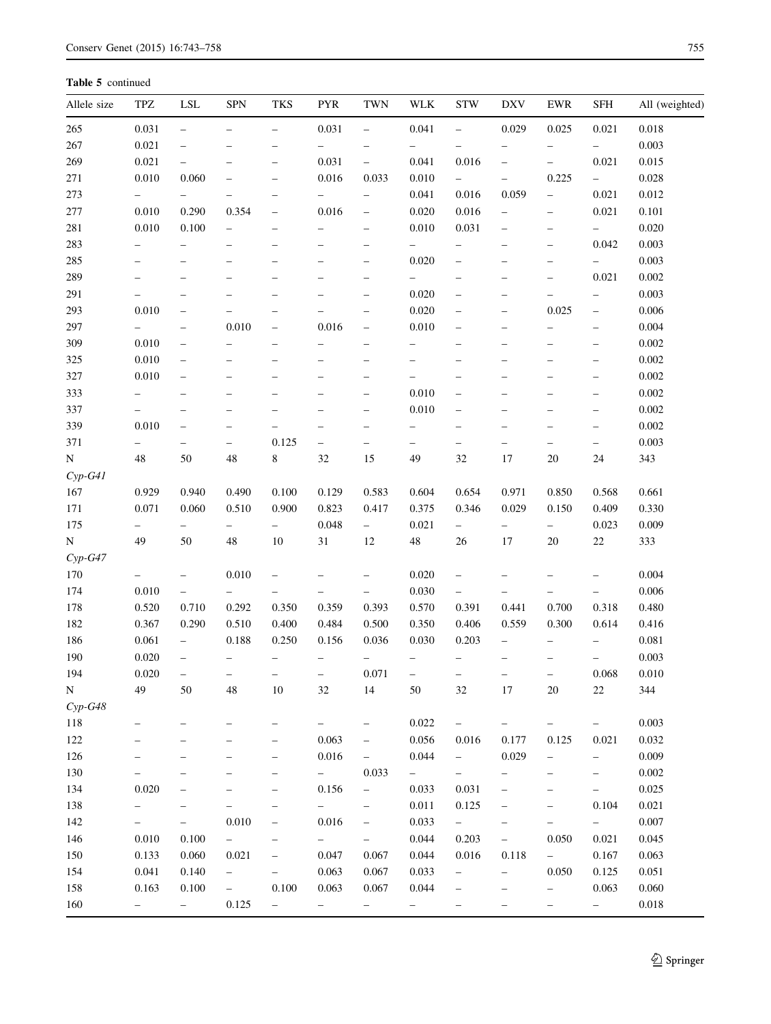Table 5 continued

| Allele size | TPZ                      | LSL                      | <b>SPN</b>               | <b>TKS</b>               | <b>PYR</b>               | TWN                      | <b>WLK</b>               | <b>STW</b>               | <b>DXV</b>               | <b>EWR</b>               | SFH                      | All (weighted) |
|-------------|--------------------------|--------------------------|--------------------------|--------------------------|--------------------------|--------------------------|--------------------------|--------------------------|--------------------------|--------------------------|--------------------------|----------------|
| 265         | 0.031                    | $\equiv$                 | $\overline{\phantom{0}}$ | $\overline{\phantom{0}}$ | 0.031                    | $\overline{\phantom{0}}$ | 0.041                    | $\equiv$                 | 0.029                    | 0.025                    | 0.021                    | 0.018          |
| 267         | 0.021                    | $\overline{\phantom{0}}$ |                          |                          | $\overline{\phantom{0}}$ | $\overline{\phantom{0}}$ | $\overline{\phantom{0}}$ |                          | $\overline{\phantom{0}}$ | $\overline{\phantom{0}}$ | $\overline{\phantom{0}}$ | 0.003          |
| 269         | 0.021                    | $\qquad \qquad -$        |                          | $\overline{\phantom{0}}$ | 0.031                    | $\qquad \qquad -$        | 0.041                    | 0.016                    | $\qquad \qquad -$        | $\overline{\phantom{0}}$ | 0.021                    | 0.015          |
| 271         | 0.010                    | 0.060                    | $\overline{\phantom{0}}$ | -                        | 0.016                    | 0.033                    | 0.010                    | $\overline{\phantom{0}}$ | $\overline{\phantom{0}}$ | 0.225                    | $-$                      | 0.028          |
| 273         | $\qquad \qquad -$        | $\qquad \qquad -$        |                          | ÷                        | $\overline{\phantom{0}}$ | $\qquad \qquad -$        | 0.041                    | 0.016                    | 0.059                    | $\qquad \qquad -$        | 0.021                    | 0.012          |
| 277         | 0.010                    | 0.290                    | 0.354                    | $\overline{\phantom{0}}$ | 0.016                    | $\qquad \qquad -$        | 0.020                    | 0.016                    | $\overline{\phantom{0}}$ | $\overline{\phantom{0}}$ | 0.021                    | 0.101          |
| 281         | 0.010                    | 0.100                    | $\overline{\phantom{0}}$ | $\overline{\phantom{0}}$ | $\overline{\phantom{m}}$ | $\qquad \qquad -$        | 0.010                    | 0.031                    | $\qquad \qquad -$        | $\qquad \qquad -$        | $\overline{\phantom{0}}$ | 0.020          |
| 283         | $\qquad \qquad -$        | $\overline{\phantom{0}}$ | $\overline{\phantom{0}}$ | $\overline{\phantom{0}}$ | $\overline{\phantom{0}}$ | $\overline{\phantom{0}}$ | $\overline{\phantom{0}}$ | $\overline{\phantom{0}}$ | $\overline{\phantom{0}}$ | $\overline{\phantom{0}}$ | 0.042                    | 0.003          |
| 285         | $\qquad \qquad -$        | $\qquad \qquad -$        | $\overline{\phantom{0}}$ | $\overline{\phantom{0}}$ | $\qquad \qquad -$        | $\qquad \qquad -$        | 0.020                    | $\overline{\phantom{m}}$ | $\overline{\phantom{0}}$ | $\overline{\phantom{0}}$ | $-$                      | 0.003          |
| 289         |                          | $\overline{\phantom{0}}$ |                          |                          | ÷                        | $\qquad \qquad -$        | $\overline{\phantom{0}}$ | $\overline{\phantom{m}}$ | $\overline{\phantom{0}}$ | $\overline{\phantom{0}}$ | 0.021                    | 0.002          |
| 291         |                          | $\overline{\phantom{0}}$ |                          | Ē,                       | ÷                        | $\qquad \qquad -$        | 0.020                    | $\overline{\phantom{0}}$ | $\overline{\phantom{0}}$ | $\overline{\phantom{0}}$ | $\overline{\phantom{0}}$ | 0.003          |
| 293         | 0.010                    | $\overline{\phantom{0}}$ |                          | $\overline{\phantom{0}}$ |                          | $\qquad \qquad -$        | 0.020                    | $\qquad \qquad -$        | $\overline{\phantom{0}}$ | 0.025                    | $\overline{\phantom{a}}$ | 0.006          |
| 297         | $\qquad \qquad -$        | $\overline{\phantom{m}}$ | 0.010                    | $\overline{\phantom{0}}$ | 0.016                    | $\qquad \qquad -$        | 0.010                    | $\qquad \qquad -$        | -                        | $\qquad \qquad -$        | $\overline{\phantom{a}}$ | 0.004          |
| 309         | 0.010                    | $\overline{\phantom{m}}$ | $\overline{\phantom{0}}$ | $\overline{\phantom{0}}$ | $\overline{\phantom{0}}$ | $\qquad \qquad -$        | $\overline{\phantom{0}}$ | $\qquad \qquad -$        | $\overline{\phantom{0}}$ | $\overline{\phantom{0}}$ | $\overline{\phantom{0}}$ | 0.002          |
| 325         | 0.010                    | $\overline{\phantom{0}}$ | -                        | $\overline{\phantom{0}}$ | $\qquad \qquad -$        | $\qquad \qquad -$        | $\overline{\phantom{0}}$ | $\qquad \qquad -$        | $\overline{\phantom{0}}$ | $\overline{\phantom{0}}$ | $\qquad \qquad -$        | 0.002          |
| 327         | 0.010                    | $\overline{\phantom{0}}$ | $\overline{\phantom{0}}$ |                          | $\qquad \qquad -$        | $\qquad \qquad -$        | $\overline{\phantom{0}}$ | $\qquad \qquad -$        | $\overline{\phantom{0}}$ | $\overline{\phantom{0}}$ | $\overline{\phantom{m}}$ | 0.002          |
| 333         | $\qquad \qquad -$        | $\qquad \qquad -$        | $\overline{\phantom{0}}$ | $\overline{\phantom{0}}$ | $\overline{\phantom{m}}$ | $\qquad \qquad -$        | 0.010                    | $\overline{\phantom{m}}$ | $\overline{\phantom{0}}$ | $\overline{\phantom{0}}$ | $\overline{\phantom{m}}$ | 0.002          |
| 337         |                          | $\overline{\phantom{0}}$ | $\overline{\phantom{0}}$ |                          | $\qquad \qquad -$        | $\qquad \qquad -$        | 0.010                    | $\qquad \qquad -$        | $\overline{\phantom{0}}$ | $\overline{\phantom{0}}$ | $\overline{\phantom{m}}$ | 0.002          |
| 339         | 0.010                    | $\overline{\phantom{0}}$ | $\overline{\phantom{0}}$ |                          | $\qquad \qquad -$        | -                        | $\overline{\phantom{0}}$ | $\qquad \qquad -$        | $\overline{\phantom{0}}$ | $\overline{\phantom{0}}$ | $\overline{\phantom{a}}$ | 0.002          |
| 371         | $\overline{\phantom{0}}$ | $\overline{\phantom{0}}$ | $\overline{\phantom{0}}$ | 0.125                    | $\overline{\phantom{0}}$ | $\overline{\phantom{0}}$ | $\overline{\phantom{0}}$ | $\overline{\phantom{0}}$ | $\overline{\phantom{0}}$ | $\overline{\phantom{0}}$ | $\overline{\phantom{0}}$ | 0.003          |
| $\mathbf N$ | 48                       | 50                       | 48                       | 8                        | 32                       | 15                       | 49                       | 32                       | 17                       | $20\,$                   | 24                       | 343            |
| $Cyp-G41$   |                          |                          |                          |                          |                          |                          |                          |                          |                          |                          |                          |                |
| 167         | 0.929                    | 0.940                    | 0.490                    | 0.100                    | 0.129                    | 0.583                    | 0.604                    | 0.654                    | 0.971                    | 0.850                    | 0.568                    | 0.661          |
| 171         | 0.071                    | 0.060                    | 0.510                    | 0.900                    | 0.823                    | 0.417                    | 0.375                    | 0.346                    | 0.029                    | 0.150                    | 0.409                    | 0.330          |
| 175         | $\qquad \qquad -$        | $\overline{\phantom{0}}$ | $\overline{\phantom{0}}$ | $\overline{\phantom{0}}$ | 0.048                    | $\equiv$                 | 0.021                    | $\overline{\phantom{0}}$ | $\overline{\phantom{0}}$ | $\overline{\phantom{0}}$ | 0.023                    | 0.009          |
| ${\bf N}$   | 49                       | 50                       | 48                       | 10                       | $31\,$                   | 12                       | 48                       | 26                       | 17                       | $20\,$                   | $22\,$                   | 333            |
| $Cyp-G47$   |                          |                          |                          |                          |                          |                          |                          |                          |                          |                          |                          |                |
| 170         | $\qquad \qquad -$        | $\overline{\phantom{0}}$ | 0.010                    | $\qquad \qquad -$        | $\qquad \qquad -$        | $\qquad \qquad -$        | 0.020                    | $\overline{\phantom{0}}$ | $\overline{\phantom{0}}$ | $\overline{\phantom{0}}$ | $\overline{\phantom{0}}$ | 0.004          |
| 174         | 0.010                    | $\overline{\phantom{0}}$ | $-$                      | $\overline{\phantom{0}}$ | $\overline{\phantom{0}}$ | $\overline{\phantom{0}}$ | 0.030                    | $\overline{\phantom{0}}$ | $\qquad \qquad -$        | $\qquad \qquad -$        | $\overline{\phantom{0}}$ | 0.006          |
| 178         | 0.520                    | 0.710                    | 0.292                    | 0.350                    | 0.359                    | 0.393                    | 0.570                    | 0.391                    | 0.441                    | 0.700                    | 0.318                    | 0.480          |
| 182         | 0.367                    | 0.290                    | 0.510                    | 0.400                    | 0.484                    | 0.500                    | 0.350                    | 0.406                    | 0.559                    | 0.300                    | 0.614                    | 0.416          |
| 186         | 0.061                    | $\overline{\phantom{0}}$ | 0.188                    | 0.250                    | 0.156                    | 0.036                    | 0.030                    | 0.203                    | $\overline{\phantom{0}}$ | $\overline{\phantom{0}}$ | $\overline{\phantom{0}}$ | 0.081          |
| 190         | 0.020                    | $\overline{\phantom{0}}$ |                          | $\qquad \qquad -$        | $\overline{\phantom{a}}$ | $\qquad \qquad -$        | $\qquad \qquad -$        | $\overline{\phantom{a}}$ | $\overline{\phantom{0}}$ | $\overline{\phantom{0}}$ | $\overline{\phantom{m}}$ | 0.003          |
| 194         | 0.020                    | -                        | $\overline{\phantom{0}}$ |                          | $\qquad \qquad -$        | 0.071                    |                          | $\qquad \qquad -$        | $\qquad \qquad -$        | -                        | 0.068                    | $0.010\,$      |
| N           | 49                       | 50                       | 48                       | $10\,$                   | $32\,$                   | 14                       | 50                       | 32                       | 17                       | 20                       | $22\,$                   | 344            |
| $Cyp-G48$   |                          |                          |                          |                          |                          |                          |                          |                          |                          |                          |                          |                |
| 118         | $\qquad \qquad -$        |                          |                          | $\overline{\phantom{0}}$ | $\overline{\phantom{0}}$ | $\qquad \qquad -$        | 0.022                    | $\overline{\phantom{a}}$ | $\qquad \qquad -$        | $\overline{\phantom{0}}$ | $\overline{\phantom{0}}$ | 0.003          |
| 122         |                          |                          |                          | $\overline{\phantom{0}}$ | 0.063                    | $\overline{\phantom{0}}$ | 0.056                    | 0.016                    | 0.177                    | 0.125                    | 0.021                    | 0.032          |
| 126         |                          |                          |                          | -                        | 0.016                    | $\qquad \qquad -$        | 0.044                    | $\overline{\phantom{0}}$ | 0.029                    | $\overline{\phantom{0}}$ | $\qquad \qquad -$        | 0.009          |
| 130         |                          |                          |                          | -                        | $ \,$                    | 0.033                    | $\overline{\phantom{0}}$ | $\overline{\phantom{0}}$ | $\overline{\phantom{0}}$ | $\overline{\phantom{0}}$ | $\overline{\phantom{0}}$ | $0.002\,$      |
| 134         | 0.020                    |                          |                          |                          | 0.156                    | $\qquad \qquad -$        | 0.033                    | 0.031                    | -                        |                          | $\overline{\phantom{0}}$ | 0.025          |
| 138         |                          |                          |                          |                          | $\overline{\phantom{0}}$ | $\overline{\phantom{0}}$ | 0.011                    | 0.125                    | -                        | -                        | 0.104                    | 0.021          |
| 142         |                          | $\qquad \qquad -$        | 0.010                    |                          | 0.016                    | $\overline{\phantom{0}}$ | 0.033                    | $\overline{\phantom{0}}$ | $\qquad \qquad -$        | -                        | $\overline{\phantom{0}}$ | 0.007          |
| 146         | 0.010                    | 0.100                    | $\overline{\phantom{0}}$ |                          | $\overline{\phantom{0}}$ | -                        | 0.044                    | 0.203                    | $\qquad \qquad -$        | 0.050                    | 0.021                    | 0.045          |
| 150         | 0.133                    | 0.060                    | 0.021                    |                          | 0.047                    | 0.067                    | 0.044                    | 0.016                    | 0.118                    | $\overline{\phantom{0}}$ | 0.167                    | 0.063          |
| 154         | 0.041                    | 0.140                    | $\overline{\phantom{0}}$ | $\overline{\phantom{0}}$ | 0.063                    | 0.067                    | 0.033                    | $\qquad \qquad -$        | $\overline{\phantom{0}}$ | 0.050                    | 0.125                    | 0.051          |
| 158         | 0.163                    | 0.100                    | $\overline{\phantom{0}}$ | 0.100                    | 0.063                    | 0.067                    | 0.044                    | $\qquad \qquad -$        | -                        | $\overline{\phantom{0}}$ | 0.063                    | 0.060          |
| 160         | $\overline{\phantom{0}}$ | $-$                      | 0.125                    | $\overline{\phantom{0}}$ | $\overline{\phantom{0}}$ | $\qquad \qquad -$        | $\overline{\phantom{0}}$ | $\qquad \qquad -$        | $\qquad \qquad -$        | $\overline{\phantom{0}}$ | $\overline{\phantom{0}}$ | 0.018          |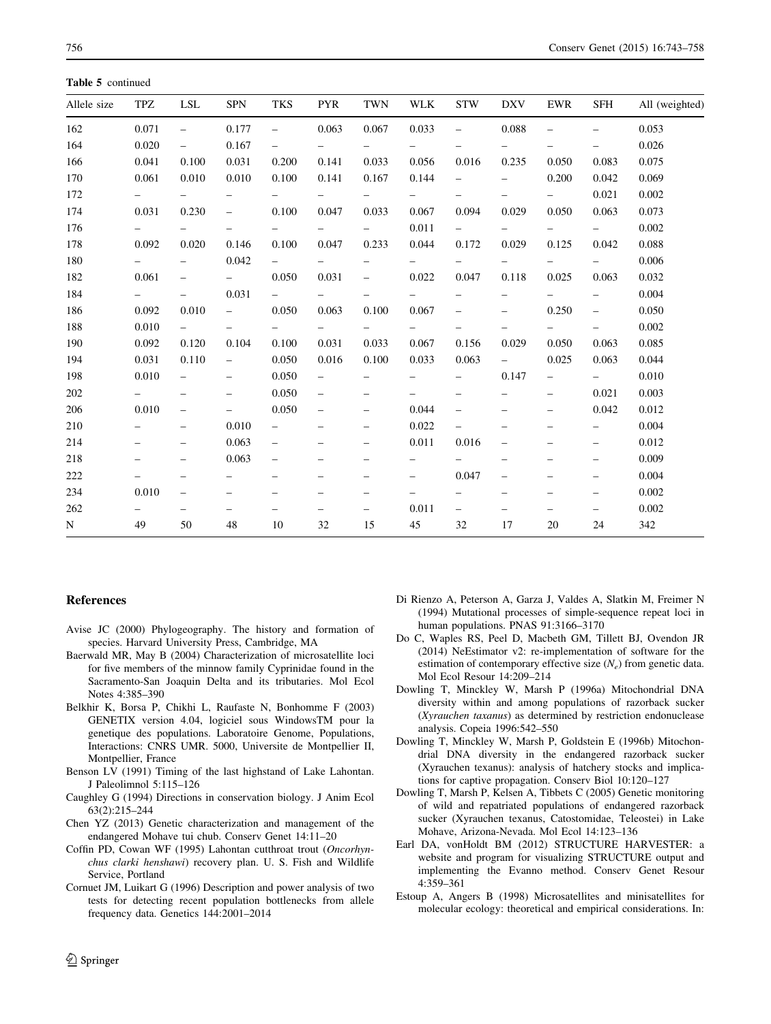<span id="page-13-0"></span>Table 5 continued

| Allele size | TPZ                      | LSL                      | <b>SPN</b>               | <b>TKS</b>               | <b>PYR</b>               | TWN                      | WLK                      | <b>STW</b>               | DXV                             | EWR                      | SFH                      | All (weighted) |
|-------------|--------------------------|--------------------------|--------------------------|--------------------------|--------------------------|--------------------------|--------------------------|--------------------------|---------------------------------|--------------------------|--------------------------|----------------|
| 162         | 0.071                    | $\overline{\phantom{0}}$ | 0.177                    | $\overline{\phantom{a}}$ | 0.063                    | 0.067                    | 0.033                    | $\overline{\phantom{a}}$ | 0.088                           | $\overline{\phantom{0}}$ | $\overline{\phantom{0}}$ | 0.053          |
| 164         | 0.020                    | $-$                      | 0.167                    | $\overline{\phantom{m}}$ | $\overline{\phantom{0}}$ | $\overline{\phantom{0}}$ | $\qquad \qquad -$        |                          | $\overline{\phantom{0}}$        | -                        | $\overline{\phantom{a}}$ | 0.026          |
| 166         | 0.041                    | 0.100                    | 0.031                    | 0.200                    | 0.141                    | 0.033                    | 0.056                    | 0.016                    | 0.235                           | 0.050                    | 0.083                    | 0.075          |
| 170         | 0.061                    | 0.010                    | 0.010                    | 0.100                    | 0.141                    | 0.167                    | 0.144                    | $\overline{\phantom{0}}$ | $\overline{\phantom{0}}$        | 0.200                    | 0.042                    | 0.069          |
| 172         | $\overline{\phantom{a}}$ | $\equiv$                 | $\overline{\phantom{0}}$ |                          | $-$                      | $\equiv$                 |                          | $\overline{\phantom{0}}$ | $\overline{\phantom{0}}$        | $\overline{\phantom{0}}$ | 0.021                    | 0.002          |
| 174         | 0.031                    | 0.230                    | $\overline{\phantom{0}}$ | 0.100                    | 0.047                    | 0.033                    | 0.067                    | 0.094                    | 0.029                           | 0.050                    | 0.063                    | 0.073          |
| 176         | $\overline{\phantom{a}}$ | $\overline{\phantom{0}}$ | $\qquad \qquad -$        | $\overline{\phantom{0}}$ | $\overline{\phantom{0}}$ | $\overline{\phantom{a}}$ | 0.011                    | $\overline{\phantom{a}}$ | $\overline{\phantom{0}}$        | $\qquad \qquad -$        | $ \,$                    | 0.002          |
| 178         | 0.092                    | 0.020                    | 0.146                    | 0.100                    | 0.047                    | 0.233                    | 0.044                    | 0.172                    | 0.029                           | 0.125                    | 0.042                    | 0.088          |
| 180         | $\equiv$                 | $\overline{\phantom{0}}$ | 0.042                    | $\equiv$                 | $\equiv$                 | $\overline{\phantom{0}}$ | $\overline{\phantom{0}}$ | $\equiv$                 | $\overline{\phantom{0}}$        | $\overline{\phantom{0}}$ | $\mathbf{r}$             | 0.006          |
| 182         | 0.061                    | $\qquad \qquad -$        | $\sim$ $-$               | 0.050                    | 0.031                    | $\overline{\phantom{0}}$ | 0.022                    | 0.047                    | 0.118                           | 0.025                    | 0.063                    | 0.032          |
| 184         | $\overline{\phantom{a}}$ | $\overline{\phantom{0}}$ | 0.031                    | $-$                      | $\overline{\phantom{0}}$ | $\overline{\phantom{a}}$ | $\overline{\phantom{0}}$ | $\qquad \qquad -$        | $\qquad \qquad -$               | $\overline{\phantom{0}}$ | $\qquad \qquad -$        | 0.004          |
| 186         | 0.092                    | 0.010                    | $\equiv$                 | 0.050                    | 0.063                    | 0.100                    | 0.067                    | $\qquad \qquad -$        | $\overline{\phantom{0}}$        | 0.250                    | $\overline{\phantom{a}}$ | 0.050          |
| 188         | 0.010                    | $\sim$ $-$               | $\overline{\phantom{0}}$ | $\qquad \qquad -$        | $-$                      | $-$                      | $\qquad \qquad -$        | $\overline{\phantom{0}}$ | $\qquad \qquad -$               | $-$                      | $\overline{\phantom{0}}$ | 0.002          |
| 190         | 0.092                    | 0.120                    | 0.104                    | 0.100                    | 0.031                    | 0.033                    | 0.067                    | 0.156                    | 0.029                           | 0.050                    | 0.063                    | 0.085          |
| 194         | 0.031                    | 0.110                    | $\overline{\phantom{a}}$ | 0.050                    | 0.016                    | 0.100                    | 0.033                    | 0.063                    | $\frac{1}{2}$ and $\frac{1}{2}$ | 0.025                    | 0.063                    | 0.044          |
| 198         | 0.010                    | $\overline{\phantom{0}}$ | $\overline{\phantom{0}}$ | 0.050                    | $\overline{\phantom{0}}$ | $\overline{\phantom{0}}$ | $\qquad \qquad -$        | $\qquad \qquad -$        | 0.147                           | $\overline{\phantom{0}}$ | $\sim$ 100 $\sim$        | 0.010          |
| 202         | $\overline{\phantom{0}}$ | $\overline{\phantom{0}}$ | $\qquad \qquad -$        | 0.050                    | $\overline{\phantom{0}}$ | $\qquad \qquad -$        |                          | $\qquad \qquad -$        | $\overline{\phantom{0}}$        | $\overline{\phantom{0}}$ | 0.021                    | 0.003          |
| 206         | 0.010                    | $\overline{\phantom{0}}$ | $\overline{\phantom{0}}$ | 0.050                    | $\overline{\phantom{0}}$ | $\overline{\phantom{0}}$ | 0.044                    | $\qquad \qquad -$        | -                               | $\overline{\phantom{m}}$ | 0.042                    | 0.012          |
| 210         | $\qquad \qquad -$        | $\overline{\phantom{0}}$ | 0.010                    | $\overline{\phantom{0}}$ | $\overline{\phantom{0}}$ | $\qquad \qquad -$        | 0.022                    | $\qquad \qquad -$        | $\overline{\phantom{0}}$        | $\overline{\phantom{0}}$ | $\overline{\phantom{0}}$ | 0.004          |
| 214         | $\overline{\phantom{m}}$ | $\qquad \qquad -$        | 0.063                    | $\overline{\phantom{0}}$ | $\overline{\phantom{0}}$ | $\qquad \qquad -$        | 0.011                    | 0.016                    | $\overline{\phantom{0}}$        | $\overline{\phantom{0}}$ | $\overline{\phantom{a}}$ | 0.012          |
| 218         | $\qquad \qquad -$        | $\overline{\phantom{0}}$ | 0.063                    | $\overline{\phantom{a}}$ | $\overline{\phantom{0}}$ | $\qquad \qquad -$        | $\qquad \qquad -$        |                          | $\overline{\phantom{0}}$        | $\qquad \qquad -$        | $\qquad \qquad -$        | 0.009          |
| 222         | $\overline{\phantom{0}}$ | $\overline{\phantom{0}}$ | -                        | $\overline{\phantom{0}}$ | $\overline{\phantom{0}}$ | $\overline{\phantom{0}}$ |                          | 0.047                    | $\overline{\phantom{0}}$        |                          | $\qquad \qquad -$        | 0.004          |
| 234         | 0.010                    | $\overline{\phantom{0}}$ | $\overline{\phantom{0}}$ | $\overline{\phantom{0}}$ | $\overline{\phantom{0}}$ | $\qquad \qquad -$        | $\qquad \qquad -$        | $\overline{\phantom{0}}$ | $\overline{\phantom{0}}$        | $\overline{\phantom{0}}$ | $\qquad \qquad -$        | 0.002          |
| 262         | $\overline{\phantom{0}}$ | $\qquad \qquad -$        | $\qquad \qquad -$        | $\qquad \qquad -$        | $\overline{\phantom{0}}$ | $\qquad \qquad -$        | 0.011                    | $\overline{\phantom{a}}$ | $\overline{\phantom{0}}$        | $\overline{\phantom{0}}$ | $\qquad \qquad -$        | 0.002          |
| N           | 49                       | 50                       | 48                       | 10                       | 32                       | 15                       | 45                       | 32                       | 17                              | 20                       | 24                       | 342            |

# References

- Avise JC (2000) Phylogeography. The history and formation of species. Harvard University Press, Cambridge, MA
- Baerwald MR, May B (2004) Characterization of microsatellite loci for five members of the minnow family Cyprinidae found in the Sacramento-San Joaquin Delta and its tributaries. Mol Ecol Notes 4:385–390
- Belkhir K, Borsa P, Chikhi L, Raufaste N, Bonhomme F (2003) GENETIX version 4.04, logiciel sous WindowsTM pour la genetique des populations. Laboratoire Genome, Populations, Interactions: CNRS UMR. 5000, Universite de Montpellier II, Montpellier, France
- Benson LV (1991) Timing of the last highstand of Lake Lahontan. J Paleolimnol 5:115–126
- Caughley G (1994) Directions in conservation biology. J Anim Ecol 63(2):215–244
- Chen YZ (2013) Genetic characterization and management of the endangered Mohave tui chub. Conserv Genet 14:11–20
- Coffin PD, Cowan WF (1995) Lahontan cutthroat trout (Oncorhynchus clarki henshawi) recovery plan. U. S. Fish and Wildlife Service, Portland
- Cornuet JM, Luikart G (1996) Description and power analysis of two tests for detecting recent population bottlenecks from allele frequency data. Genetics 144:2001–2014
- Di Rienzo A, Peterson A, Garza J, Valdes A, Slatkin M, Freimer N (1994) Mutational processes of simple-sequence repeat loci in human populations. PNAS 91:3166–3170
- Do C, Waples RS, Peel D, Macbeth GM, Tillett BJ, Ovendon JR (2014) NeEstimator v2: re-implementation of software for the estimation of contemporary effective size  $(N_e)$  from genetic data. Mol Ecol Resour 14:209–214
- Dowling T, Minckley W, Marsh P (1996a) Mitochondrial DNA diversity within and among populations of razorback sucker (Xyrauchen taxanus) as determined by restriction endonuclease analysis. Copeia 1996:542–550
- Dowling T, Minckley W, Marsh P, Goldstein E (1996b) Mitochondrial DNA diversity in the endangered razorback sucker (Xyrauchen texanus): analysis of hatchery stocks and implications for captive propagation. Conserv Biol 10:120–127
- Dowling T, Marsh P, Kelsen A, Tibbets C (2005) Genetic monitoring of wild and repatriated populations of endangered razorback sucker (Xyrauchen texanus, Catostomidae, Teleostei) in Lake Mohave, Arizona-Nevada. Mol Ecol 14:123–136
- Earl DA, vonHoldt BM (2012) STRUCTURE HARVESTER: a website and program for visualizing STRUCTURE output and implementing the Evanno method. Conserv Genet Resour 4:359–361
- Estoup A, Angers B (1998) Microsatellites and minisatellites for molecular ecology: theoretical and empirical considerations. In: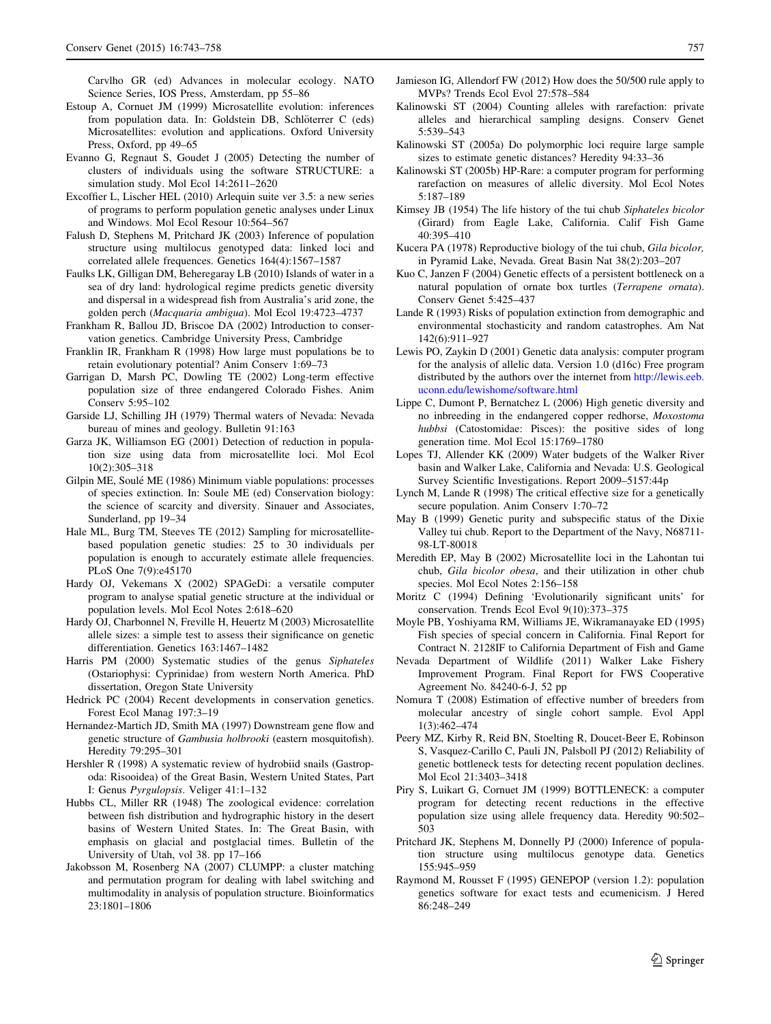<span id="page-14-0"></span>Carvlho GR (ed) Advances in molecular ecology. NATO Science Series, IOS Press, Amsterdam, pp 55–86

- Estoup A, Cornuet JM (1999) Microsatellite evolution: inferences from population data. In: Goldstein DB, Schlöterrer C (eds) Microsatellites: evolution and applications. Oxford University Press, Oxford, pp 49–65
- Evanno G, Regnaut S, Goudet J (2005) Detecting the number of clusters of individuals using the software STRUCTURE: a simulation study. Mol Ecol 14:2611–2620
- Excoffier L, Lischer HEL (2010) Arlequin suite ver 3.5: a new series of programs to perform population genetic analyses under Linux and Windows. Mol Ecol Resour 10:564–567
- Falush D, Stephens M, Pritchard JK (2003) Inference of population structure using multilocus genotyped data: linked loci and correlated allele frequences. Genetics 164(4):1567–1587
- Faulks LK, Gilligan DM, Beheregaray LB (2010) Islands of water in a sea of dry land: hydrological regime predicts genetic diversity and dispersal in a widespread fish from Australia's arid zone, the golden perch (Macquaria ambigua). Mol Ecol 19:4723–4737
- Frankham R, Ballou JD, Briscoe DA (2002) Introduction to conservation genetics. Cambridge University Press, Cambridge
- Franklin IR, Frankham R (1998) How large must populations be to retain evolutionary potential? Anim Conserv 1:69–73
- Garrigan D, Marsh PC, Dowling TE (2002) Long-term effective population size of three endangered Colorado Fishes. Anim Conserv 5:95–102
- Garside LJ, Schilling JH (1979) Thermal waters of Nevada: Nevada bureau of mines and geology. Bulletin 91:163
- Garza JK, Williamson EG (2001) Detection of reduction in population size using data from microsatellite loci. Mol Ecol 10(2):305–318
- Gilpin ME, Soulé ME (1986) Minimum viable populations: processes of species extinction. In: Soule ME (ed) Conservation biology: the science of scarcity and diversity. Sinauer and Associates, Sunderland, pp 19–34
- Hale ML, Burg TM, Steeves TE (2012) Sampling for microsatellitebased population genetic studies: 25 to 30 individuals per population is enough to accurately estimate allele frequencies. PLoS One 7(9):e45170
- Hardy OJ, Vekemans X (2002) SPAGeDi: a versatile computer program to analyse spatial genetic structure at the individual or population levels. Mol Ecol Notes 2:618–620
- Hardy OJ, Charbonnel N, Freville H, Heuertz M (2003) Microsatellite allele sizes: a simple test to assess their significance on genetic differentiation. Genetics 163:1467–1482
- Harris PM (2000) Systematic studies of the genus Siphateles (Ostariophysi: Cyprinidae) from western North America. PhD dissertation, Oregon State University
- Hedrick PC (2004) Recent developments in conservation genetics. Forest Ecol Manag 197:3–19
- Hernandez-Martich JD, Smith MA (1997) Downstream gene flow and genetic structure of Gambusia holbrooki (eastern mosquitofish). Heredity 79:295–301
- Hershler R (1998) A systematic review of hydrobiid snails (Gastropoda: Risooidea) of the Great Basin, Western United States, Part I: Genus Pyrgulopsis. Veliger 41:1–132
- Hubbs CL, Miller RR (1948) The zoological evidence: correlation between fish distribution and hydrographic history in the desert basins of Western United States. In: The Great Basin, with emphasis on glacial and postglacial times. Bulletin of the University of Utah, vol 38. pp 17–166
- Jakobsson M, Rosenberg NA (2007) CLUMPP: a cluster matching and permutation program for dealing with label switching and multimodality in analysis of population structure. Bioinformatics 23:1801–1806
- Jamieson IG, Allendorf FW (2012) How does the 50/500 rule apply to MVPs? Trends Ecol Evol 27:578–584
- Kalinowski ST (2004) Counting alleles with rarefaction: private alleles and hierarchical sampling designs. Conserv Genet 5:539–543
- Kalinowski ST (2005a) Do polymorphic loci require large sample sizes to estimate genetic distances? Heredity 94:33–36
- Kalinowski ST (2005b) HP-Rare: a computer program for performing rarefaction on measures of allelic diversity. Mol Ecol Notes 5:187–189
- Kimsey JB (1954) The life history of the tui chub Siphateles bicolor (Girard) from Eagle Lake, California. Calif Fish Game 40:395–410
- Kucera PA (1978) Reproductive biology of the tui chub, Gila bicolor, in Pyramid Lake, Nevada. Great Basin Nat 38(2):203–207
- Kuo C, Janzen F (2004) Genetic effects of a persistent bottleneck on a natural population of ornate box turtles (Terrapene ornata). Conserv Genet 5:425–437
- Lande R (1993) Risks of population extinction from demographic and environmental stochasticity and random catastrophes. Am Nat 142(6):911–927
- Lewis PO, Zaykin D (2001) Genetic data analysis: computer program for the analysis of allelic data. Version 1.0 (d16c) Free program distributed by the authors over the internet from [http://lewis.eeb.](http://lewis.eeb.uconn.edu/lewishome/software.html) [uconn.edu/lewishome/software.html](http://lewis.eeb.uconn.edu/lewishome/software.html)
- Lippe C, Dumont P, Bernatchez L (2006) High genetic diversity and no inbreeding in the endangered copper redhorse, Moxostoma hubbsi (Catostomidae: Pisces): the positive sides of long generation time. Mol Ecol 15:1769–1780
- Lopes TJ, Allender KK (2009) Water budgets of the Walker River basin and Walker Lake, California and Nevada: U.S. Geological Survey Scientific Investigations. Report 2009–5157:44p
- Lynch M, Lande R (1998) The critical effective size for a genetically secure population. Anim Conserv 1:70–72
- May B (1999) Genetic purity and subspecific status of the Dixie Valley tui chub. Report to the Department of the Navy, N68711- 98-LT-80018
- Meredith EP, May B (2002) Microsatellite loci in the Lahontan tui chub, Gila bicolor obesa, and their utilization in other chub species. Mol Ecol Notes 2:156–158
- Moritz C (1994) Defining 'Evolutionarily significant units' for conservation. Trends Ecol Evol 9(10):373–375
- Moyle PB, Yoshiyama RM, Williams JE, Wikramanayake ED (1995) Fish species of special concern in California. Final Report for Contract N. 2128IF to California Department of Fish and Game
- Nevada Department of Wildlife (2011) Walker Lake Fishery Improvement Program. Final Report for FWS Cooperative Agreement No. 84240-6-J, 52 pp
- Nomura T (2008) Estimation of effective number of breeders from molecular ancestry of single cohort sample. Evol Appl 1(3):462–474
- Peery MZ, Kirby R, Reid BN, Stoelting R, Doucet-Beer E, Robinson S, Vasquez-Carillo C, Pauli JN, Palsboll PJ (2012) Reliability of genetic bottleneck tests for detecting recent population declines. Mol Ecol 21:3403–3418
- Piry S, Luikart G, Cornuet JM (1999) BOTTLENECK: a computer program for detecting recent reductions in the effective population size using allele frequency data. Heredity 90:502– 503
- Pritchard JK, Stephens M, Donnelly PJ (2000) Inference of population structure using multilocus genotype data. Genetics 155:945–959
- Raymond M, Rousset F (1995) GENEPOP (version 1.2): population genetics software for exact tests and ecumenicism. J Hered 86:248–249